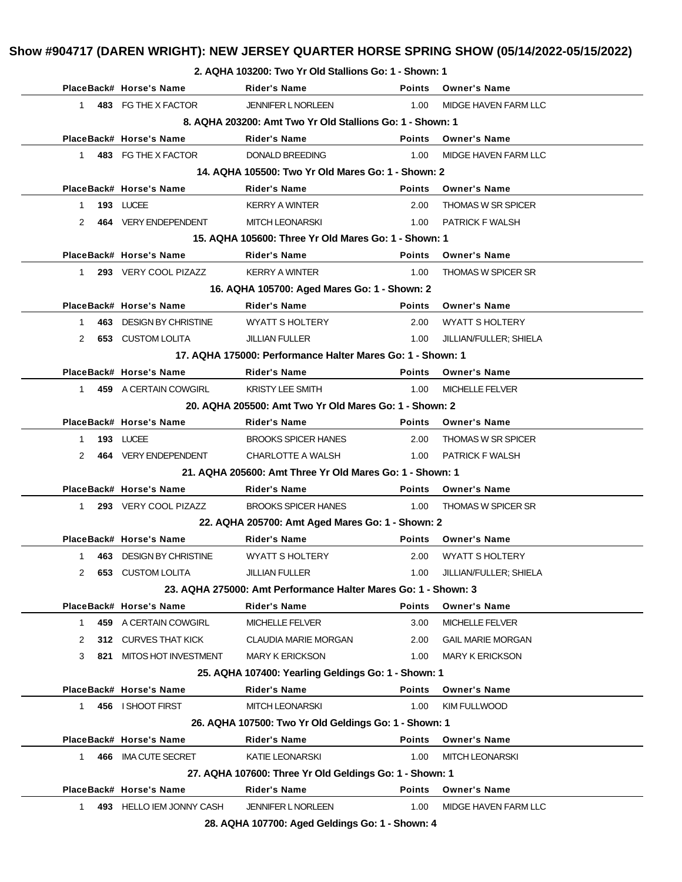**2. AQHA 103200: Two Yr Old Stallions Go: 1 - Shown: 1**

|              |     | PlaceBack# Horse's Name                            | <b>Rider's Name</b>                                            | <b>Points</b> | <b>Owner's Name</b>       |
|--------------|-----|----------------------------------------------------|----------------------------------------------------------------|---------------|---------------------------|
| 1.           |     | 483 FG THE X FACTOR                                | JENNIFER L NORLEEN                                             | 1.00          | MIDGE HAVEN FARM LLC      |
|              |     |                                                    | 8. AQHA 203200: Amt Two Yr Old Stallions Go: 1 - Shown: 1      |               |                           |
|              |     | PlaceBack# Horse's Name                            | <b>Rider's Name</b>                                            | <b>Points</b> | <b>Owner's Name</b>       |
| 1            |     | 483 FG THE X FACTOR                                | <b>DONALD BREEDING</b>                                         | 1.00          | MIDGE HAVEN FARM LLC      |
|              |     | 14. AQHA 105500: Two Yr Old Mares Go: 1 - Shown: 2 |                                                                |               |                           |
|              |     | PlaceBack# Horse's Name                            | <b>Rider's Name</b>                                            | <b>Points</b> | <b>Owner's Name</b>       |
| $\mathbf{1}$ |     | 193 LUCEE                                          | <b>KERRY A WINTER</b>                                          | 2.00          | <b>THOMAS W SR SPICER</b> |
| 2            |     | 464 VERY ENDEPENDENT                               | <b>MITCH LEONARSKI</b>                                         | 1.00          | <b>PATRICK F WALSH</b>    |
|              |     |                                                    | 15. AQHA 105600: Three Yr Old Mares Go: 1 - Shown: 1           |               |                           |
|              |     | PlaceBack# Horse's Name                            | <b>Rider's Name</b>                                            | <b>Points</b> | <b>Owner's Name</b>       |
| $\mathbf{1}$ |     | 293 VERY COOL PIZAZZ                               | <b>KERRY A WINTER</b>                                          | 1.00          | <b>THOMAS W SPICER SR</b> |
|              |     |                                                    | 16. AQHA 105700: Aged Mares Go: 1 - Shown: 2                   |               |                           |
|              |     | PlaceBack# Horse's Name                            | <b>Rider's Name</b>                                            | <b>Points</b> | <b>Owner's Name</b>       |
| 1.           |     | 463 DESIGN BY CHRISTINE                            | <b>WYATT S HOLTERY</b>                                         | 2.00          | <b>WYATT S HOLTERY</b>    |
| 2            |     | <b>653 CUSTOM LOLITA</b>                           | <b>JILLIAN FULLER</b>                                          | 1.00          | JILLIAN/FULLER; SHIELA    |
|              |     |                                                    | 17. AQHA 175000: Performance Halter Mares Go: 1 - Shown: 1     |               |                           |
|              |     | PlaceBack# Horse's Name                            | <b>Rider's Name</b>                                            | <b>Points</b> | <b>Owner's Name</b>       |
| $\mathbf{1}$ |     | 459 A CERTAIN COWGIRL                              | <b>KRISTY LEE SMITH</b>                                        | 1.00          | <b>MICHELLE FELVER</b>    |
|              |     |                                                    | 20. AQHA 205500: Amt Two Yr Old Mares Go: 1 - Shown: 2         |               |                           |
|              |     | PlaceBack# Horse's Name                            | Rider's Name                                                   | <b>Points</b> | <b>Owner's Name</b>       |
| 1            |     | 193 LUCEE                                          | <b>BROOKS SPICER HANES</b>                                     | 2.00          | <b>THOMAS W SR SPICER</b> |
| 2            |     | 464 VERY ENDEPENDENT                               | CHARLOTTE A WALSH                                              | 1.00          | <b>PATRICK F WALSH</b>    |
|              |     |                                                    | 21. AQHA 205600: Amt Three Yr Old Mares Go: 1 - Shown: 1       |               |                           |
|              |     | PlaceBack# Horse's Name                            | Rider's Name                                                   | <b>Points</b> | <b>Owner's Name</b>       |
| 1            |     | 293 VERY COOL PIZAZZ                               | <b>BROOKS SPICER HANES</b>                                     | 1.00          | <b>THOMAS W SPICER SR</b> |
|              |     |                                                    | 22. AQHA 205700: Amt Aged Mares Go: 1 - Shown: 2               |               |                           |
|              |     | PlaceBack# Horse's Name                            | <b>Rider's Name</b>                                            | <b>Points</b> | <b>Owner's Name</b>       |
| 1            |     | 463 DESIGN BY CHRISTINE                            | <b>WYATT S HOLTERY</b>                                         | 2.00          | <b>WYATT S HOLTERY</b>    |
| 2            |     | <b>653 CUSTOM LOLITA</b>                           | <b>JILLIAN FULLER</b>                                          | 1.00          | JILLIAN/FULLER; SHIELA    |
|              |     |                                                    | 23. AQHA 275000: Amt Performance Halter Mares Go: 1 - Shown: 3 |               |                           |
|              |     | PlaceBack# Horse's Name                            | <b>Rider's Name</b>                                            | <b>Points</b> | <b>Owner's Name</b>       |
| $\mathbf{1}$ |     | 459 A CERTAIN COWGIRL                              | <b>MICHELLE FELVER</b>                                         | 3.00          | <b>MICHELLE FELVER</b>    |
| 2            |     | 312 CURVES THAT KICK                               | <b>CLAUDIA MARIE MORGAN</b>                                    | 2.00          | <b>GAIL MARIE MORGAN</b>  |
| 3            | 821 | <b>MITOS HOT INVESTMENT</b>                        | <b>MARY K ERICKSON</b>                                         | 1.00          | <b>MARY K ERICKSON</b>    |
|              |     |                                                    | 25. AQHA 107400: Yearling Geldings Go: 1 - Shown: 1            |               |                           |
|              |     | PlaceBack# Horse's Name                            | <b>Rider's Name</b>                                            | <b>Points</b> | <b>Owner's Name</b>       |
| 1            |     | 456 I SHOOT FIRST                                  | <b>MITCH LEONARSKI</b>                                         | 1.00          | KIM FULLWOOD              |
|              |     |                                                    | 26. AQHA 107500: Two Yr Old Geldings Go: 1 - Shown: 1          |               |                           |
|              |     | PlaceBack# Horse's Name                            | <b>Rider's Name</b>                                            | <b>Points</b> | <b>Owner's Name</b>       |
| $\mathbf{1}$ | 466 | <b>IMA CUTE SECRET</b>                             | <b>KATIE LEONARSKI</b>                                         | 1.00          | <b>MITCH LEONARSKI</b>    |
|              |     |                                                    | 27. AQHA 107600: Three Yr Old Geldings Go: 1 - Shown: 1        |               |                           |
|              |     | PlaceBack# Horse's Name                            | <b>Rider's Name</b>                                            | <b>Points</b> | <b>Owner's Name</b>       |
| 1            |     | 493 HELLO IEM JONNY CASH                           | <b>JENNIFER L NORLEEN</b>                                      | 1.00          | MIDGE HAVEN FARM LLC      |
|              |     |                                                    | 28. AQHA 107700: Aged Geldings Go: 1 - Shown: 4                |               |                           |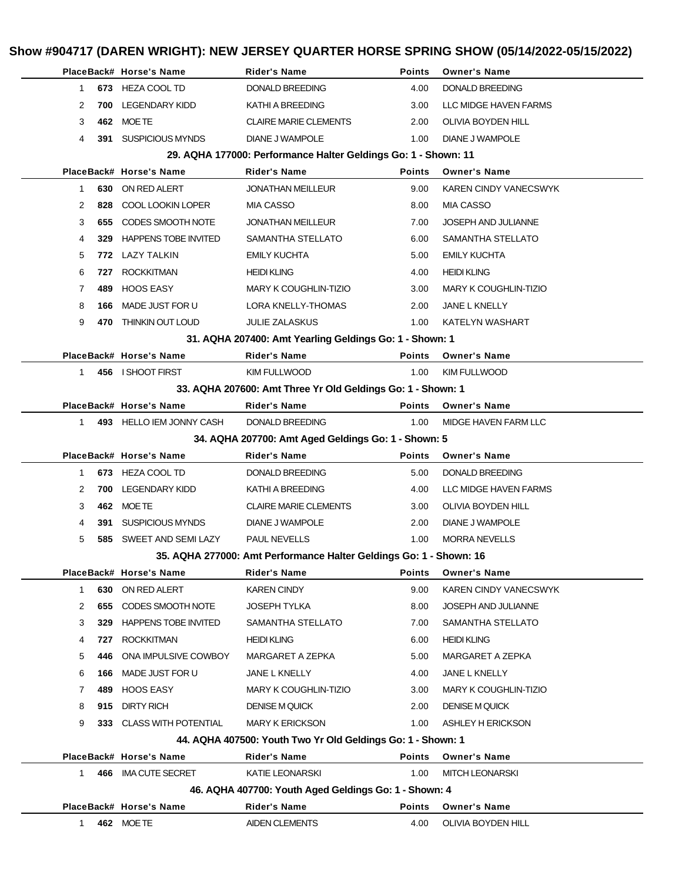|                       | PlaceBack# Horse's Name                                        | <b>Rider's Name</b>                                                | <b>Points</b> | <b>Owner's Name</b>          |  |
|-----------------------|----------------------------------------------------------------|--------------------------------------------------------------------|---------------|------------------------------|--|
| $\mathbf{1}$          | 673 HEZA COOL TD                                               | DONALD BREEDING                                                    | 4.00          | <b>DONALD BREEDING</b>       |  |
| 2<br>700              | <b>LEGENDARY KIDD</b>                                          | KATHI A BREEDING                                                   | 3.00          | LLC MIDGE HAVEN FARMS        |  |
| 3                     | 462 MOETE                                                      | <b>CLAIRE MARIE CLEMENTS</b>                                       | 2.00          | OLIVIA BOYDEN HILL           |  |
| 4<br>391              | <b>SUSPICIOUS MYNDS</b>                                        | DIANE J WAMPOLE                                                    | 1.00          | <b>DIANE J WAMPOLE</b>       |  |
|                       | 29. AQHA 177000: Performance Halter Geldings Go: 1 - Shown: 11 |                                                                    |               |                              |  |
|                       | PlaceBack# Horse's Name                                        | <b>Rider's Name</b>                                                | <b>Points</b> | <b>Owner's Name</b>          |  |
| $\mathbf{1}$          | 630 ON RED ALERT                                               | <b>JONATHAN MEILLEUR</b>                                           | 9.00          | <b>KAREN CINDY VANECSWYK</b> |  |
| 2<br>828              | COOL LOOKIN LOPER                                              | <b>MIA CASSO</b>                                                   | 8.00          | <b>MIA CASSO</b>             |  |
| 3<br>655              | CODES SMOOTH NOTE                                              | <b>JONATHAN MEILLEUR</b>                                           | 7.00          | JOSEPH AND JULIANNE          |  |
| 4<br>329              | <b>HAPPENS TOBE INVITED</b>                                    | SAMANTHA STELLATO                                                  | 6.00          | SAMANTHA STELLATO            |  |
| 5                     | 772 LAZY TALKIN                                                | <b>EMILY KUCHTA</b>                                                | 5.00          | <b>EMILY KUCHTA</b>          |  |
| 6<br>727              | <b>ROCKKITMAN</b>                                              | <b>HEIDI KLING</b>                                                 | 4.00          | <b>HEIDI KLING</b>           |  |
| $\overline{7}$<br>489 | <b>HOOS EASY</b>                                               | MARY K COUGHLIN-TIZIO                                              | 3.00          | <b>MARY K COUGHLIN-TIZIO</b> |  |
| 8<br>166              | MADE JUST FOR U                                                | LORA KNELLY-THOMAS                                                 | 2.00          | JANE L KNELLY                |  |
| 9<br>470              | THINKIN OUT LOUD                                               | <b>JULIE ZALASKUS</b>                                              | 1.00          | KATELYN WASHART              |  |
|                       |                                                                | 31. AQHA 207400: Amt Yearling Geldings Go: 1 - Shown: 1            |               |                              |  |
|                       | PlaceBack# Horse's Name                                        | <b>Rider's Name</b>                                                | <b>Points</b> | <b>Owner's Name</b>          |  |
| $1 \quad$             | 456 I SHOOT FIRST                                              | <b>KIM FULLWOOD</b>                                                | 1.00          | <b>KIM FULLWOOD</b>          |  |
|                       |                                                                | 33. AQHA 207600: Amt Three Yr Old Geldings Go: 1 - Shown: 1        |               |                              |  |
|                       | PlaceBack# Horse's Name                                        | <b>Rider's Name</b>                                                | <b>Points</b> | <b>Owner's Name</b>          |  |
| $\mathbf{1}$          | 493 HELLO IEM JONNY CASH                                       | DONALD BREEDING                                                    | 1.00          | MIDGE HAVEN FARM LLC         |  |
|                       |                                                                | 34. AQHA 207700: Amt Aged Geldings Go: 1 - Shown: 5                |               |                              |  |
|                       | PlaceBack# Horse's Name                                        | <b>Rider's Name</b>                                                | <b>Points</b> | <b>Owner's Name</b>          |  |
| $\mathbf{1}$          | 673 HEZA COOL TD                                               | DONALD BREEDING                                                    | 5.00          | DONALD BREEDING              |  |
| 2<br>700              | <b>LEGENDARY KIDD</b>                                          | KATHI A BREEDING                                                   | 4.00          | LLC MIDGE HAVEN FARMS        |  |
| 3                     | 462 MOETE                                                      | <b>CLAIRE MARIE CLEMENTS</b>                                       | 3.00          | OLIVIA BOYDEN HILL           |  |
| 4<br>391              | <b>SUSPICIOUS MYNDS</b>                                        | <b>DIANE J WAMPOLE</b>                                             | 2.00          | DIANE J WAMPOLE              |  |
| 5<br>585              | SWEET AND SEMI LAZY                                            | <b>PAUL NEVELLS</b>                                                | 1.00          | <b>MORRA NEVELLS</b>         |  |
|                       |                                                                | 35. AQHA 277000: Amt Performance Halter Geldings Go: 1 - Shown: 16 |               |                              |  |
|                       | PlaceBack# Horse's Name                                        | <b>Rider's Name</b>                                                | Points        | <b>Owner's Name</b>          |  |
| $\mathbf{1}$<br>630   | ON RED ALERT                                                   | <b>KAREN CINDY</b>                                                 | 9.00          | <b>KAREN CINDY VANECSWYK</b> |  |
| 2<br>655              | CODES SMOOTH NOTE                                              | <b>JOSEPH TYLKA</b>                                                | 8.00          | JOSEPH AND JULIANNE          |  |
| 3<br>329              | <b>HAPPENS TOBE INVITED</b>                                    | SAMANTHA STELLATO                                                  | 7.00          | SAMANTHA STELLATO            |  |
| 4<br>727              | <b>ROCKKITMAN</b>                                              | <b>HEIDI KLING</b>                                                 | 6.00          | <b>HEIDI KLING</b>           |  |
| 5<br>446              | ONA IMPULSIVE COWBOY                                           | MARGARET A ZEPKA                                                   | 5.00          | MARGARET A ZEPKA             |  |
| 6<br>166              | MADE JUST FOR U                                                | JANE L KNELLY                                                      | 4.00          | JANE L KNELLY                |  |
| 7<br>489              | <b>HOOS EASY</b>                                               | MARY K COUGHLIN-TIZIO                                              | 3.00          | MARY K COUGHLIN-TIZIO        |  |
| 8<br>915              | <b>DIRTY RICH</b>                                              | <b>DENISE M QUICK</b>                                              | 2.00          | <b>DENISE M QUICK</b>        |  |
| 9                     | 333 CLASS WITH POTENTIAL                                       | <b>MARY K ERICKSON</b>                                             | 1.00          | ASHLEY H ERICKSON            |  |
|                       |                                                                | 44. AQHA 407500: Youth Two Yr Old Geldings Go: 1 - Shown: 1        |               |                              |  |
|                       | PlaceBack# Horse's Name                                        | <b>Rider's Name</b>                                                | Points        | <b>Owner's Name</b>          |  |
| 1<br>466              | <b>IMA CUTE SECRET</b>                                         | KATIE LEONARSKI                                                    | 1.00          | <b>MITCH LEONARSKI</b>       |  |
|                       |                                                                | 46. AQHA 407700: Youth Aged Geldings Go: 1 - Shown: 4              |               |                              |  |
|                       | PlaceBack# Horse's Name                                        | <b>Rider's Name</b>                                                | Points        | <b>Owner's Name</b>          |  |
| $\mathbf{1}$          | 462 MOETE                                                      | <b>AIDEN CLEMENTS</b>                                              | 4.00          | OLIVIA BOYDEN HILL           |  |
|                       |                                                                |                                                                    |               |                              |  |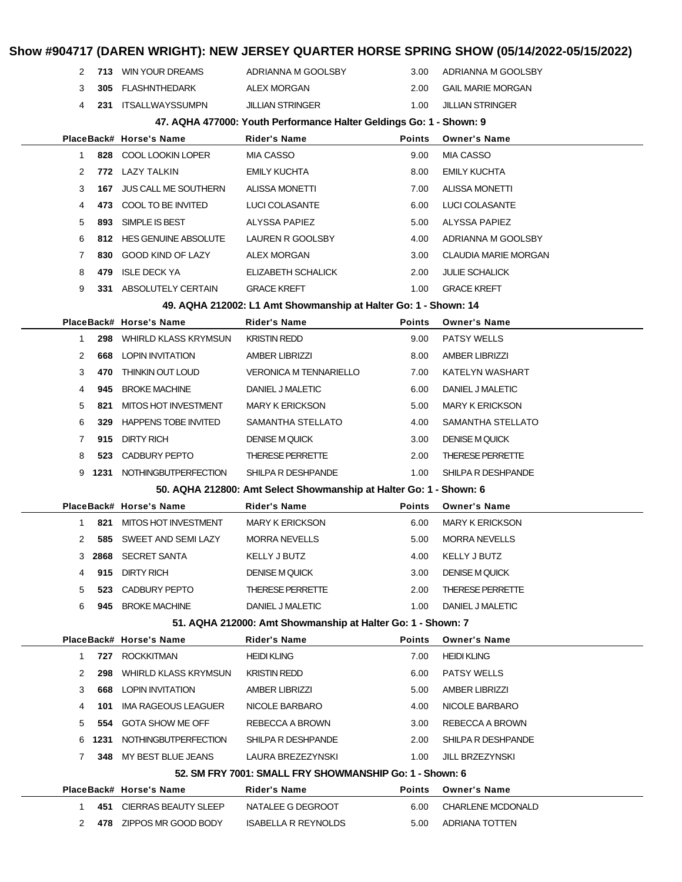| 2                                |      | 713 WIN YOUR DREAMS         | ADRIANNA M GOOLSBY                                                                 | 3.00                   | ADRIANNA M GOOLSBY          |  |
|----------------------------------|------|-----------------------------|------------------------------------------------------------------------------------|------------------------|-----------------------------|--|
| 3                                |      | 305 FLASHNTHEDARK           | ALEX MORGAN                                                                        | 2.00                   | <b>GAIL MARIE MORGAN</b>    |  |
| 4                                |      | 231 ITSALLWAYSSUMPN         | JILLIAN STRINGER                                                                   | 1.00                   | <b>JILLIAN STRINGER</b>     |  |
|                                  |      |                             | 47. AQHA 477000: Youth Performance Halter Geldings Go: 1 - Shown: 9                |                        |                             |  |
|                                  |      | PlaceBack# Horse's Name     | <b>Rider's Name</b>                                                                | <b>Points</b>          | <b>Owner's Name</b>         |  |
| $\mathbf{1}$                     |      | 828 COOL LOOKIN LOPER       | MIA CASSO                                                                          | 9.00                   | <b>MIA CASSO</b>            |  |
| 2                                |      | 772 LAZY TALKIN             | <b>EMILY KUCHTA</b>                                                                | 8.00                   | <b>EMILY KUCHTA</b>         |  |
| 3                                | 167  | JUS CALL ME SOUTHERN        | <b>ALISSA MONETTI</b>                                                              | 7.00                   | <b>ALISSA MONETTI</b>       |  |
| 4                                |      | 473 COOL TO BE INVITED      | LUCI COLASANTE                                                                     | 6.00                   | LUCI COLASANTE              |  |
| 5                                | 893  | SIMPLE IS BEST              | ALYSSA PAPIEZ                                                                      | 5.00                   | ALYSSA PAPIEZ               |  |
| 6                                |      | 812 HES GENUINE ABSOLUTE    | LAUREN R GOOLSBY                                                                   | 4.00                   | ADRIANNA M GOOLSBY          |  |
| 7                                |      | 830 GOOD KIND OF LAZY       | ALEX MORGAN                                                                        | 3.00                   | <b>CLAUDIA MARIE MORGAN</b> |  |
| 8                                | 479  | ISLE DECK YA                | ELIZABETH SCHALICK                                                                 | 2.00                   | JULIE SCHALICK              |  |
| 9                                |      | 331 ABSOLUTELY CERTAIN      | <b>GRACE KREFT</b>                                                                 | 1.00                   | <b>GRACE KREFT</b>          |  |
|                                  |      |                             | 49. AQHA 212002: L1 Amt Showmanship at Halter Go: 1 - Shown: 14                    |                        |                             |  |
|                                  |      | PlaceBack# Horse's Name     | <b>Rider's Name</b>                                                                | <b>Points</b>          | <b>Owner's Name</b>         |  |
| $\mathbf{1}$                     | 298  | <b>WHIRLD KLASS KRYMSUN</b> | <b>KRISTIN REDD</b>                                                                | 9.00                   | <b>PATSY WELLS</b>          |  |
| 2                                |      | <b>668 LOPIN INVITATION</b> | <b>AMBER LIBRIZZI</b>                                                              | 8.00                   | <b>AMBER LIBRIZZI</b>       |  |
| 3<br>470                         |      | THINKIN OUT LOUD            | <b>VERONICA M TENNARIELLO</b>                                                      | 7.00                   | KATELYN WASHART             |  |
| 4<br>945                         |      | <b>BROKE MACHINE</b>        | DANIEL J MALETIC                                                                   | 6.00                   | DANIEL J MALETIC            |  |
| MITOS HOT INVESTMENT<br>5<br>821 |      | <b>MARY K ERICKSON</b>      | 5.00                                                                               | <b>MARY K ERICKSON</b> |                             |  |
| 6                                | 329  | HAPPENS TOBE INVITED        | SAMANTHA STELLATO                                                                  | 4.00                   | SAMANTHA STELLATO           |  |
| 7                                |      | 915 DIRTY RICH              | <b>DENISE M QUICK</b><br>3.00                                                      |                        | <b>DENISE M QUICK</b>       |  |
| 8                                | 523  | CADBURY PEPTO               | THERESE PERRETTE                                                                   | 2.00                   | <b>THERESE PERRETTE</b>     |  |
| 9                                |      | 1231 NOTHINGBUTPERFECTION   | SHILPA R DESHPANDE                                                                 | 1.00                   | SHILPA R DESHPANDE          |  |
|                                  |      |                             | 50. AQHA 212800: Amt Select Showmanship at Halter Go: 1 - Shown: 6                 |                        |                             |  |
|                                  |      | PlaceBack# Horse's Name     | <b>Rider's Name</b>                                                                | <b>Points</b>          | <b>Owner's Name</b>         |  |
| 1                                |      | 821 MITOS HOT INVESTMENT    | <b>MARY K ERICKSON</b>                                                             | 6.00                   | <b>MARY K ERICKSON</b>      |  |
| 2                                |      | 585 SWEET AND SEMILAZY      | <b>MORRA NEVELLS</b>                                                               | 5.00                   | <b>MORRA NEVELLS</b>        |  |
|                                  |      | 3 2868 SECRET SANTA         | <b>KELLY J BUTZ</b>                                                                | 4.00                   | <b>KELLY J BUTZ</b>         |  |
| 4                                | 915  | <b>DIRTY RICH</b>           | <b>DENISE M QUICK</b>                                                              | 3.00                   | <b>DENISE M QUICK</b>       |  |
| 5                                | 523  | <b>CADBURY PEPTO</b>        | <b>THERESE PERRETTE</b>                                                            | 2.00                   | <b>THERESE PERRETTE</b>     |  |
| 6                                |      | 945 BROKE MACHINE           | DANIEL J MALETIC                                                                   | 1.00                   | DANIEL J MALETIC            |  |
|                                  |      | PlaceBack# Horse's Name     | 51. AQHA 212000: Amt Showmanship at Halter Go: 1 - Shown: 7<br><b>Rider's Name</b> | <b>Points</b>          | <b>Owner's Name</b>         |  |
| $\mathbf{1}$                     |      | 727 ROCKKITMAN              | <b>HEIDI KLING</b>                                                                 | 7.00                   | <b>HEIDI KLING</b>          |  |
| 2                                | 298  | <b>WHIRLD KLASS KRYMSUN</b> | <b>KRISTIN REDD</b>                                                                | 6.00                   | <b>PATSY WELLS</b>          |  |
| 3                                | 668  | LOPIN INVITATION            | AMBER LIBRIZZI                                                                     | 5.00                   | <b>AMBER LIBRIZZI</b>       |  |
| 4                                | 101  | IMA RAGEOUS LEAGUER         | NICOLE BARBARO                                                                     | 4.00                   | NICOLE BARBARO              |  |
| 5                                | 554  | <b>GOTA SHOW ME OFF</b>     | REBECCA A BROWN                                                                    | 3.00                   | REBECCA A BROWN             |  |
| 6                                | 1231 | <b>NOTHINGBUTPERFECTION</b> | SHILPA R DESHPANDE                                                                 | 2.00                   | SHILPA R DESHPANDE          |  |
| 7                                | 348  | MY BEST BLUE JEANS          | LAURA BREZEZYNSKI                                                                  | 1.00                   | <b>JILL BRZEZYNSKI</b>      |  |
|                                  |      |                             | 52. SM FRY 7001: SMALL FRY SHOWMANSHIP Go: 1 - Shown: 6                            |                        |                             |  |
|                                  |      | PlaceBack# Horse's Name     | <b>Rider's Name</b>                                                                | <b>Points</b>          | <b>Owner's Name</b>         |  |
| 1                                |      | 451 CIERRAS BEAUTY SLEEP    | NATALEE G DEGROOT                                                                  | 6.00                   | <b>CHARLENE MCDONALD</b>    |  |
| 2                                |      | 478 ZIPPOS MR GOOD BODY     | <b>ISABELLA R REYNOLDS</b>                                                         | 5.00                   | ADRIANA TOTTEN              |  |
|                                  |      |                             |                                                                                    |                        |                             |  |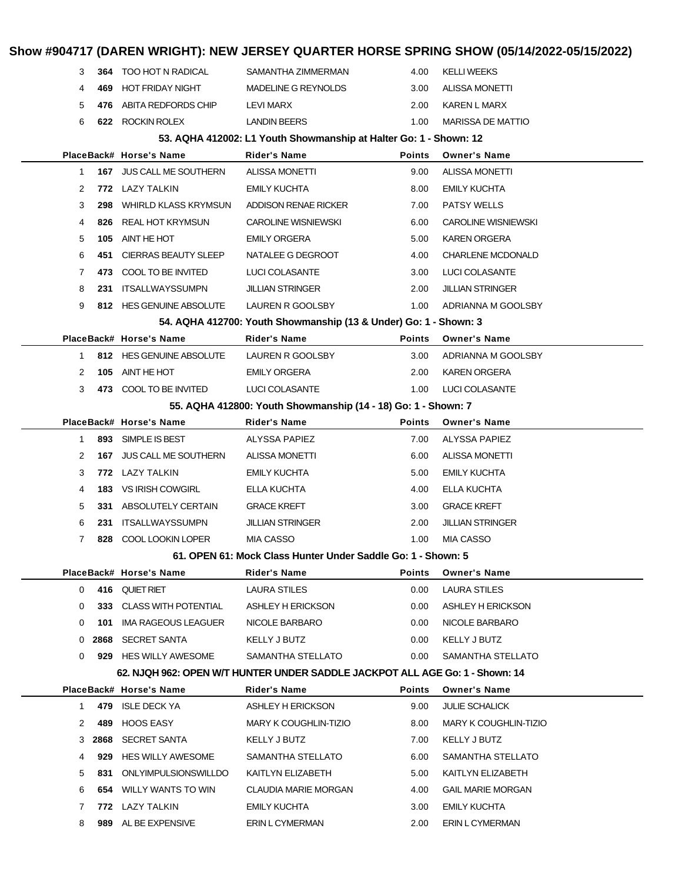## **Show #904717 (DAREN WRIGHT): NEW JERSEY QUARTER HORSE SPRING SHOW (05/14/2022-05/15/2022) 364** TOO HOT N RADICAL SAMANTHA ZIMMERMAN 4.00 KELLI WEEKS **469** HOT FRIDAY NIGHT MADELINE G REYNOLDS 3.00 ALISSA MONETTI **476** ABITA REDFORDS CHIP LEVI MARX 2.00 KAREN L MARX **622** ROCKIN ROLEX LANDIN BEERS 1.00 MARISSA DE MATTIO **53. AQHA 412002: L1 Youth Showmanship at Halter Go: 1 - Shown: 12 PlaceBack# Horse's Name Rider's Name Points Owner's Name 167** JUS CALL ME SOUTHERN ALISSA MONETTI 9.00 ALISSA MONETTI **772** LAZY TALKIN EMILY KUCHTA 8.00 EMILY KUCHTA **298** WHIRLD KLASS KRYMSUN ADDISON RENAE RICKER 7.00 PATSY WELLS **826** REAL HOT KRYMSUN CAROLINE WISNIEWSKI 6.00 CAROLINE WISNIEWSKI **105** AINT HE HOT EMILY ORGERA 5.00 KAREN ORGERA **451** CIERRAS BEAUTY SLEEP NATALEE G DEGROOT 4.00 CHARLENE MCDONALD **473** COOL TO BE INVITED LUCI COLASANTE 3.00 LUCI COLASANTE **231** ITSALLWAYSSUMPN JILLIAN STRINGER 2.00 JILLIAN STRINGER **812** HES GENUINE ABSOLUTE LAUREN R GOOLSBY 1.00 ADRIANNA M GOOLSBY **54. AQHA 412700: Youth Showmanship (13 & Under) Go: 1 - Shown: 3 PlaceBack# Horse's Name Rider's Name Points Owner's Name 812** HES GENUINE ABSOLUTE LAUREN R GOOLSBY 3.00 ADRIANNA M GOOLSBY **105** AINT HE HOT **EMILY ORGERA** 2.00 KAREN ORGERA **473** COOL TO BE INVITED LUCI COLASANTE 1.00 LUCI COLASANTE **55. AQHA 412800: Youth Showmanship (14 - 18) Go: 1 - Shown: 7 PlaceBack# Horse's Name Rider's Name Points Owner's Name 893** SIMPLE IS BEST ALYSSA PAPIEZ 7.00 ALYSSA PAPIEZ **167** JUS CALL ME SOUTHERN ALISSA MONETTI 6.00 ALISSA MONETTI **772** LAZY TALKIN EMILY KUCHTA 5.00 EMILY KUCHTA **183** VS IRISH COWGIRL ELLA KUCHTA 4.00 ELLA KUCHTA **331** ABSOLUTELY CERTAIN GRACE KREFT 3.00 GRACE KREFT **231** ITSALLWAYSSUMPN JILLIAN STRINGER 2.00 JILLIAN STRINGER **828** COOL LOOKIN LOPER MIA CASSO 1.00 MIA CASSO **61. OPEN 61: Mock Class Hunter Under Saddle Go: 1 - Shown: 5 PlaceBack# Horse's Name Rider's Name Points Owner's Name 416** QUIET RIET **LAURA STILES** 0.00 LAURA STILES **333** CLASS WITH POTENTIAL ASHLEY H ERICKSON 0.00 ASHLEY H ERICKSON **101** IMA RAGEOUS LEAGUER NICOLE BARBARO 0.00 NICOLE BARBARO **2868** SECRET SANTA **KELLY J BUTZ** 0.00 KELLY J BUTZ **929** HES WILLY AWESOME SAMANTHA STELLATO 0.00 SAMANTHA STELLATO **62. NJQH 962: OPEN W/T HUNTER UNDER SADDLE JACKPOT ALL AGE Go: 1 - Shown: 14 PlaceBack# Horse's Name Rider's Name Points Owner's Name 479** ISLE DECK YA ASHLEY H ERICKSON 9.00 JULIE SCHALICK **489** HOOS EASY MARY K COUGHLIN-TIZIO 8.00 MARY K COUGHLIN-TIZIO **2868** SECRET SANTA KELLY J BUTZ 7.00 KELLY J BUTZ **929** HES WILLY AWESOME SAMANTHA STELLATO 6.00 SAMANTHA STELLATO **831** ONLYIMPULSIONSWILLDO KAITLYN ELIZABETH 5.00 KAITLYN ELIZABETH **654** WILLY WANTS TO WIN CLAUDIA MARIE MORGAN 4.00 GAIL MARIE MORGAN **772** LAZY TALKIN EMILY KUCHTA 3.00 EMILY KUCHTA **989** AL BE EXPENSIVE ERIN L CYMERMAN 2.00 ERIN L CYMERMAN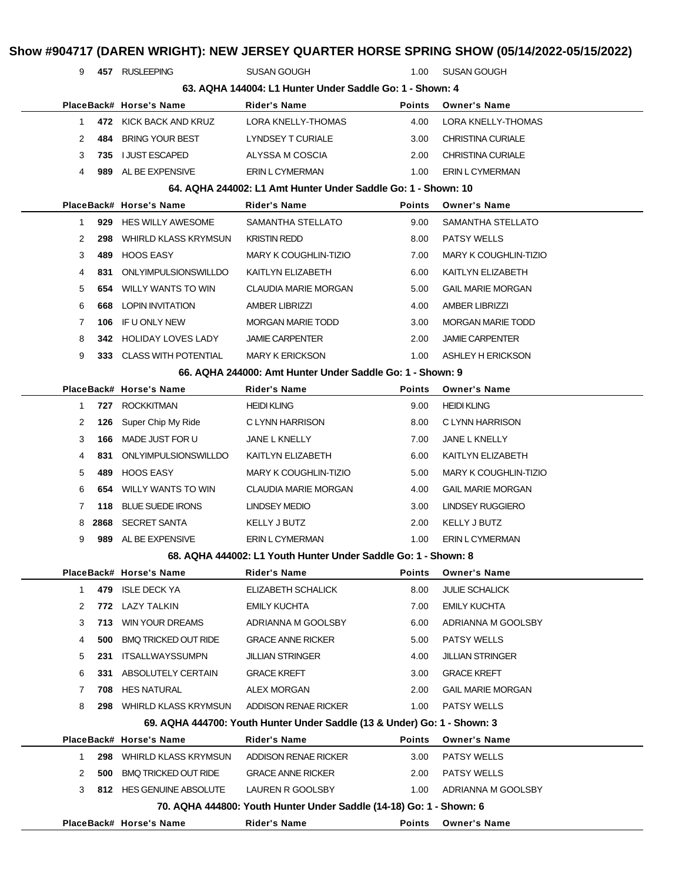|              |      |                             |                                                                          |               | Show #904717 (DAREN WRIGHT): NEW JERSEY QUARTER HORSE SPRING SHOW (05/14/2022-05/15/2022) |
|--------------|------|-----------------------------|--------------------------------------------------------------------------|---------------|-------------------------------------------------------------------------------------------|
| 9            |      | 457 RUSLEEPING              | <b>SUSAN GOUGH</b>                                                       | 1.00          | <b>SUSAN GOUGH</b>                                                                        |
|              |      |                             | 63. AQHA 144004: L1 Hunter Under Saddle Go: 1 - Shown: 4                 |               |                                                                                           |
|              |      | PlaceBack# Horse's Name     | Rider's Name                                                             | <b>Points</b> | <b>Owner's Name</b>                                                                       |
| 1            |      | 472 KICK BACK AND KRUZ      | <b>LORA KNELLY-THOMAS</b>                                                | 4.00          | LORA KNELLY-THOMAS                                                                        |
| 2            | 484  | <b>BRING YOUR BEST</b>      | LYNDSEY T CURIALE                                                        | 3.00          | <b>CHRISTINA CURIALE</b>                                                                  |
| 3            |      | 735 I JUST ESCAPED          | ALYSSA M COSCIA                                                          | 2.00          | <b>CHRISTINA CURIALE</b>                                                                  |
| 4            |      | 989 AL BE EXPENSIVE         | ERIN L CYMERMAN                                                          | 1.00          | <b>ERIN L CYMERMAN</b>                                                                    |
|              |      |                             | 64. AQHA 244002: L1 Amt Hunter Under Saddle Go: 1 - Shown: 10            |               |                                                                                           |
|              |      | PlaceBack# Horse's Name     | Rider's Name                                                             | <b>Points</b> | <b>Owner's Name</b>                                                                       |
| 1            |      | 929 HES WILLY AWESOME       | SAMANTHA STELLATO                                                        | 9.00          | SAMANTHA STELLATO                                                                         |
| 2            | 298  | WHIRLD KLASS KRYMSUN        | <b>KRISTIN REDD</b>                                                      | 8.00          | <b>PATSY WELLS</b>                                                                        |
| 3            | 489. | HOOS EASY                   | <b>MARY K COUGHLIN-TIZIO</b>                                             | 7.00          | <b>MARY K COUGHLIN-TIZIO</b>                                                              |
| 4            | 831  | <b>ONLYIMPULSIONSWILLDO</b> | KAITLYN ELIZABETH                                                        | 6.00          | KAITLYN ELIZABETH                                                                         |
| 5            | 654  | WILLY WANTS TO WIN          | CLAUDIA MARIE MORGAN                                                     | 5.00          | <b>GAIL MARIE MORGAN</b>                                                                  |
| 6            | 668  | LOPIN INVITATION            | <b>AMBER LIBRIZZI</b>                                                    | 4.00          | <b>AMBER LIBRIZZI</b>                                                                     |
| 7            | 106  | IF U ONLY NEW               | <b>MORGAN MARIE TODD</b>                                                 | 3.00          | <b>MORGAN MARIE TODD</b>                                                                  |
| 8            | 342. | HOLIDAY LOVES LADY          | <b>JAMIE CARPENTER</b>                                                   | 2.00          | <b>JAMIE CARPENTER</b>                                                                    |
| 9            |      | 333 CLASS WITH POTENTIAL    | <b>MARY K ERICKSON</b>                                                   | 1.00          | ASHLEY H ERICKSON                                                                         |
|              |      |                             | 66. AQHA 244000: Amt Hunter Under Saddle Go: 1 - Shown: 9                |               |                                                                                           |
|              |      | PlaceBack# Horse's Name     | Rider's Name                                                             | <b>Points</b> | <b>Owner's Name</b>                                                                       |
| 1            | 727  | <b>ROCKKITMAN</b>           | <b>HEIDI KLING</b>                                                       | 9.00          | <b>HEIDI KLING</b>                                                                        |
| 2            | 126  | Super Chip My Ride          | C LYNN HARRISON                                                          | 8.00          | C LYNN HARRISON                                                                           |
| 3            | 166  | MADE JUST FOR U             | JANE L KNELLY                                                            | 7.00          | JANE L KNELLY                                                                             |
| 4            | 831. | ONLYIMPULSIONSWILLDO        | KAITLYN ELIZABETH                                                        | 6.00          | KAITLYN ELIZABETH                                                                         |
| 5            | 489. | <b>HOOS EASY</b>            | MARY K COUGHLIN-TIZIO                                                    | 5.00          | <b>MARY K COUGHLIN-TIZIO</b>                                                              |
| 6            | 654  | WILLY WANTS TO WIN          | CLAUDIA MARIE MORGAN                                                     | 4.00          | <b>GAIL MARIE MORGAN</b>                                                                  |
| 7            | 118  | <b>BLUE SUEDE IRONS</b>     | LINDSEY MEDIO                                                            | 3.00          | <b>LINDSEY RUGGIERO</b>                                                                   |
| 8            |      | 2868 SECRET SANTA           | <b>KELLY J BUTZ</b>                                                      | 2.00          | KELLY J BUTZ                                                                              |
| 9            |      | 989 AL BE EXPENSIVE         | ERIN L CYMERMAN                                                          | 1.00          | ERIN L CYMERMAN                                                                           |
|              |      |                             | 68. AQHA 444002: L1 Youth Hunter Under Saddle Go: 1 - Shown: 8           |               |                                                                                           |
|              |      | PlaceBack# Horse's Name     | Rider's Name                                                             | Points        | <b>Owner's Name</b>                                                                       |
| $\mathbf{1}$ | 479  | <b>ISLE DECK YA</b>         | ELIZABETH SCHALICK                                                       | 8.00          | <b>JULIE SCHALICK</b>                                                                     |
| 2            |      | 772 LAZY TALKIN             | <b>EMILY KUCHTA</b>                                                      | 7.00          | EMILY KUCHTA                                                                              |
| 3            | 713  | WIN YOUR DREAMS             | ADRIANNA M GOOLSBY                                                       | 6.00          | ADRIANNA M GOOLSBY                                                                        |
| 4            | 500  | <b>BMQ TRICKED OUT RIDE</b> | <b>GRACE ANNE RICKER</b>                                                 | 5.00          | <b>PATSY WELLS</b>                                                                        |
| 5            | 231  | <b>ITSALLWAYSSUMPN</b>      | <b>JILLIAN STRINGER</b>                                                  | 4.00          | <b>JILLIAN STRINGER</b>                                                                   |
| 6            | 331  | ABSOLUTELY CERTAIN          | <b>GRACE KREFT</b>                                                       | 3.00          | <b>GRACE KREFT</b>                                                                        |
| 7            | 708  | <b>HES NATURAL</b>          | ALEX MORGAN                                                              | 2.00          | <b>GAIL MARIE MORGAN</b>                                                                  |
| 8            | 298  | <b>WHIRLD KLASS KRYMSUN</b> | ADDISON RENAE RICKER                                                     | 1.00          | <b>PATSY WELLS</b>                                                                        |
|              |      |                             | 69. AQHA 444700: Youth Hunter Under Saddle (13 & Under) Go: 1 - Shown: 3 |               |                                                                                           |
|              |      | PlaceBack# Horse's Name     | <b>Rider's Name</b>                                                      | <b>Points</b> | <b>Owner's Name</b>                                                                       |
| 1            |      | 298 WHIRLD KLASS KRYMSUN    | ADDISON RENAE RICKER                                                     | 3.00          | PATSY WELLS                                                                               |
| 2            | 500  | <b>BMQ TRICKED OUT RIDE</b> | <b>GRACE ANNE RICKER</b>                                                 | 2.00          | PATSY WELLS                                                                               |
| 3            |      | 812 HES GENUINE ABSOLUTE    | LAUREN R GOOLSBY                                                         | 1.00          | ADRIANNA M GOOLSBY                                                                        |
|              |      |                             | 70. AQHA 444800: Youth Hunter Under Saddle (14-18) Go: 1 - Shown: 6      |               |                                                                                           |
|              |      | PlaceBack# Horse's Name     | <b>Rider's Name</b>                                                      | <b>Points</b> | <b>Owner's Name</b>                                                                       |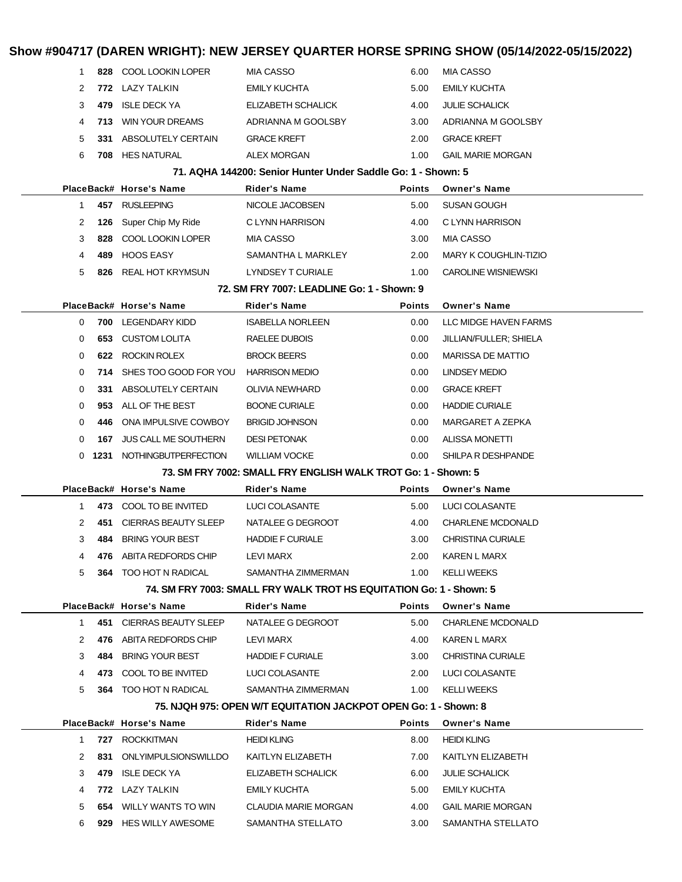|              |      |                              |                                                                                       |               | Show #904717 (DAREN WRIGHT): NEW JERSEY QUARTER HORSE SPRING SHOW (05/14/2022-05/15/2022) |
|--------------|------|------------------------------|---------------------------------------------------------------------------------------|---------------|-------------------------------------------------------------------------------------------|
| 1            | 828  | <b>COOL LOOKIN LOPER</b>     | <b>MIA CASSO</b>                                                                      | 6.00          | <b>MIA CASSO</b>                                                                          |
| 2            |      | 772 LAZY TALKIN              | <b>EMILY KUCHTA</b>                                                                   | 5.00          | <b>EMILY KUCHTA</b>                                                                       |
| 3            | 479  | <b>ISLE DECK YA</b>          | ELIZABETH SCHALICK                                                                    | 4.00          | <b>JULIE SCHALICK</b>                                                                     |
| 4            | 713. | <b>WIN YOUR DREAMS</b>       | ADRIANNA M GOOLSBY                                                                    | 3.00          | ADRIANNA M GOOLSBY                                                                        |
| 5            | 331  | ABSOLUTELY CERTAIN           | <b>GRACE KREFT</b>                                                                    | 2.00          | <b>GRACE KREFT</b>                                                                        |
| 6            | 708  | HES NATURAL                  | <b>ALEX MORGAN</b>                                                                    | 1.00          | <b>GAIL MARIE MORGAN</b>                                                                  |
|              |      |                              | 71. AQHA 144200: Senior Hunter Under Saddle Go: 1 - Shown: 5                          |               |                                                                                           |
|              |      | PlaceBack# Horse's Name      | Rider's Name                                                                          | <b>Points</b> | <b>Owner's Name</b>                                                                       |
| 1            |      | 457 RUSLEEPING               | NICOLE JACOBSEN                                                                       | 5.00          | <b>SUSAN GOUGH</b>                                                                        |
| 2            | 126  | Super Chip My Ride           | C LYNN HARRISON                                                                       | 4.00          | C LYNN HARRISON                                                                           |
| 3            | 828  | COOL LOOKIN LOPER            | MIA CASSO                                                                             | 3.00          | <b>MIA CASSO</b>                                                                          |
| 4            | 489  | <b>HOOS EASY</b>             | SAMANTHA L MARKLEY                                                                    | 2.00          | MARY K COUGHLIN-TIZIO                                                                     |
| 5            | 826  | <b>REAL HOT KRYMSUN</b>      | LYNDSEY T CURIALE                                                                     | 1.00          | <b>CAROLINE WISNIEWSKI</b>                                                                |
|              |      |                              | 72. SM FRY 7007: LEADLINE Go: 1 - Shown: 9                                            |               |                                                                                           |
|              |      | PlaceBack# Horse's Name      | <b>Rider's Name</b>                                                                   | <b>Points</b> | <b>Owner's Name</b>                                                                       |
| 0            | 700  | LEGENDARY KIDD               | <b>ISABELLA NORLEEN</b>                                                               | 0.00          | LLC MIDGE HAVEN FARMS                                                                     |
| 0            | 653  | <b>CUSTOM LOLITA</b>         | RAELEE DUBOIS                                                                         | 0.00          | JILLIAN/FULLER; SHIELA                                                                    |
| 0            |      | 622 ROCKIN ROLEX             | <b>BROCK BEERS</b>                                                                    | 0.00          | <b>MARISSA DE MATTIO</b>                                                                  |
| 0            |      | 714 SHES TOO GOOD FOR YOU    | <b>HARRISON MEDIO</b>                                                                 | 0.00          | <b>LINDSEY MEDIO</b>                                                                      |
| 0            | 331  | ABSOLUTELY CERTAIN           | <b>OLIVIA NEWHARD</b>                                                                 | 0.00          | <b>GRACE KREFT</b>                                                                        |
| 0            | 953  | ALL OF THE BEST              | <b>BOONE CURIALE</b>                                                                  | 0.00          | <b>HADDIE CURIALE</b>                                                                     |
| 0            | 446  | ONA IMPULSIVE COWBOY         | <b>BRIGID JOHNSON</b>                                                                 | 0.00          | MARGARET A ZEPKA                                                                          |
| 0            | 167  | <b>JUS CALL ME SOUTHERN</b>  | <b>DESI PETONAK</b>                                                                   | 0.00          | <b>ALISSA MONETTI</b>                                                                     |
| 0            |      | 1231 NOTHINGBUTPERFECTION    | <b>WILLIAM VOCKE</b>                                                                  | 0.00          | SHILPA R DESHPANDE                                                                        |
|              |      |                              | 73. SM FRY 7002: SMALL FRY ENGLISH WALK TROT Go: 1 - Shown: 5                         |               |                                                                                           |
|              |      | PlaceBack# Horse's Name      | Rider's Name                                                                          | <b>Points</b> | <b>Owner's Name</b>                                                                       |
| 1            |      | 473 COOL TO BE INVITED       | LUCI COLASANTE                                                                        | 5.00          | LUCI COLASANTE                                                                            |
| 2            | 451  | <b>CIERRAS BEAUTY SLEEP</b>  | NATALEE G DEGROOT                                                                     | 4.00          | <b>CHARLENE MCDONALD</b>                                                                  |
| 3            |      | 484 BRING YOUR BEST          | <b>HADDIE F CURIALE</b>                                                               | 3.00          | <b>CHRISTINA CURIALE</b>                                                                  |
| 4            |      | 476 ABITA REDFORDS CHIP      | LEVI MARX                                                                             | 2.00          | KAREN L MARX                                                                              |
| 5            |      | 364 TOO HOT N RADICAL        | SAMANTHA ZIMMERMAN                                                                    | 1.00          | <b>KELLI WEEKS</b>                                                                        |
|              |      |                              | 74. SM FRY 7003: SMALL FRY WALK TROT HS EQUITATION Go: 1 - Shown: 5                   |               |                                                                                           |
|              |      | PlaceBack# Horse's Name      | Rider's Name                                                                          | <b>Points</b> | <b>Owner's Name</b>                                                                       |
| $\mathbf 1$  |      | 451 CIERRAS BEAUTY SLEEP     | NATALEE G DEGROOT                                                                     | 5.00          | <b>CHARLENE MCDONALD</b>                                                                  |
| 2            |      | 476 ABITA REDFORDS CHIP      | LEVI MARX                                                                             | 4.00          | KAREN L MARX                                                                              |
| 3            |      | 484 BRING YOUR BEST          | <b>HADDIE F CURIALE</b>                                                               | 3.00          | <b>CHRISTINA CURIALE</b>                                                                  |
| 4<br>5       |      | 473 COOL TO BE INVITED       | LUCI COLASANTE                                                                        | 2.00          | LUCI COLASANTE                                                                            |
|              |      | <b>364 TOO HOT N RADICAL</b> | SAMANTHA ZIMMERMAN<br>75. NJQH 975: OPEN W/T EQUITATION JACKPOT OPEN Go: 1 - Shown: 8 | 1.00          | <b>KELLI WEEKS</b>                                                                        |
|              |      | PlaceBack# Horse's Name      | <b>Rider's Name</b>                                                                   | <b>Points</b> | <b>Owner's Name</b>                                                                       |
| $\mathbf{1}$ |      | 727 ROCKKITMAN               | <b>HEIDI KLING</b>                                                                    | 8.00          | <b>HEIDI KLING</b>                                                                        |
| 2            |      | 831 ONLYIMPULSIONSWILLDO     | KAITLYN ELIZABETH                                                                     | 7.00          | KAITLYN ELIZABETH                                                                         |
| 3            |      | 479 ISLE DECK YA             | ELIZABETH SCHALICK                                                                    | 6.00          | <b>JULIE SCHALICK</b>                                                                     |
| 4            |      | 772 LAZY TALKIN              | EMILY KUCHTA                                                                          | 5.00          | <b>EMILY KUCHTA</b>                                                                       |
| 5            |      | 654 WILLY WANTS TO WIN       | CLAUDIA MARIE MORGAN                                                                  | 4.00          | <b>GAIL MARIE MORGAN</b>                                                                  |
| 6            |      | 929 HES WILLY AWESOME        | SAMANTHA STELLATO                                                                     | 3.00          | SAMANTHA STELLATO                                                                         |
|              |      |                              |                                                                                       |               |                                                                                           |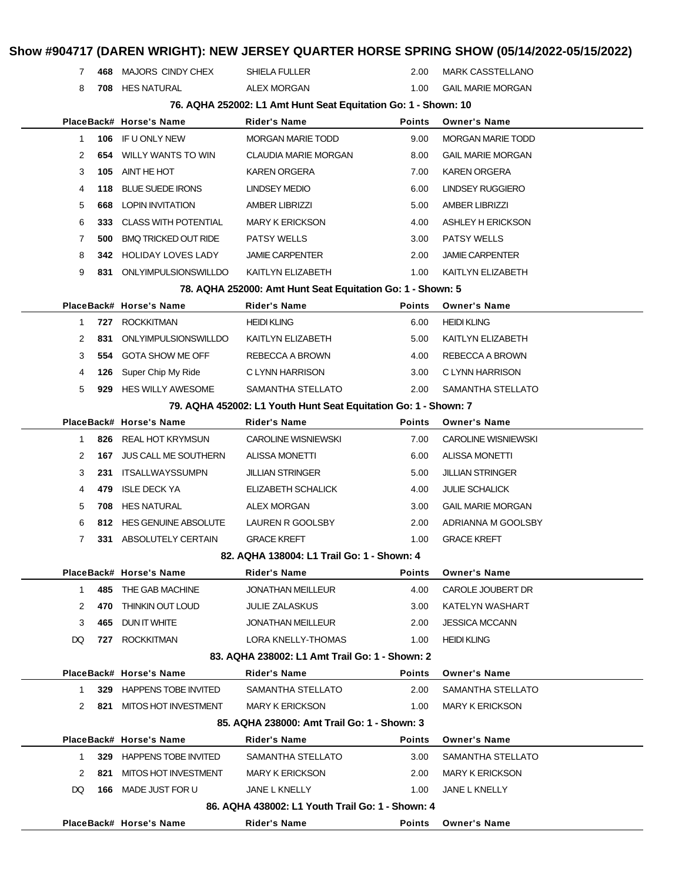|              |      |                                                       |                                                                 |                   | Show #904717 (DAREN WRIGHT): NEW JERSEY QUARTER HORSE SPRING SHOW (05/14/2022-05/15/2022) |
|--------------|------|-------------------------------------------------------|-----------------------------------------------------------------|-------------------|-------------------------------------------------------------------------------------------|
| 7            |      | 468 MAJORS CINDY CHEX                                 | <b>SHIELA FULLER</b>                                            | 2.00              | <b>MARK CASSTELLANO</b>                                                                   |
| 8            |      | 708 HES NATURAL                                       | <b>ALEX MORGAN</b>                                              | 1.00              | <b>GAIL MARIE MORGAN</b>                                                                  |
|              |      |                                                       | 76. AQHA 252002: L1 Amt Hunt Seat Equitation Go: 1 - Shown: 10  |                   |                                                                                           |
|              |      | PlaceBack# Horse's Name                               | <b>Rider's Name</b>                                             | <b>Points</b>     | <b>Owner's Name</b>                                                                       |
| 1            | 106  | IF U ONLY NEW                                         | <b>MORGAN MARIE TODD</b>                                        | 9.00              | <b>MORGAN MARIE TODD</b>                                                                  |
| 2            | 654  | WILLY WANTS TO WIN                                    | <b>CLAUDIA MARIE MORGAN</b>                                     | 8.00              | <b>GAIL MARIE MORGAN</b>                                                                  |
| 3            | 105  | AINT HE HOT                                           | <b>KAREN ORGERA</b>                                             | 7.00              | <b>KAREN ORGERA</b>                                                                       |
| 4            | 118  | <b>BLUE SUEDE IRONS</b>                               | <b>LINDSEY MEDIO</b>                                            | 6.00              | <b>LINDSEY RUGGIERO</b>                                                                   |
| 5            | 668  | <b>LOPIN INVITATION</b>                               | <b>AMBER LIBRIZZI</b>                                           | 5.00              | <b>AMBER LIBRIZZI</b>                                                                     |
| 6            | 333. | <b>CLASS WITH POTENTIAL</b>                           | <b>MARY K ERICKSON</b>                                          | 4.00              | ASHLEY H ERICKSON                                                                         |
| 7            | 500  | <b>BMQ TRICKED OUT RIDE</b>                           | <b>PATSY WELLS</b>                                              | 3.00              | <b>PATSY WELLS</b>                                                                        |
| 8            | 342. | <b>HOLIDAY LOVES LADY</b>                             | <b>JAMIE CARPENTER</b>                                          | 2.00              | <b>JAMIE CARPENTER</b>                                                                    |
| 9            | 831  | ONLYIMPULSIONSWILLDO                                  | KAITLYN ELIZABETH                                               | 1.00              | KAITLYN ELIZABETH                                                                         |
|              |      |                                                       | 78. AQHA 252000: Amt Hunt Seat Equitation Go: 1 - Shown: 5      |                   |                                                                                           |
|              |      | PlaceBack# Horse's Name                               | Rider's Name                                                    | Points            | <b>Owner's Name</b>                                                                       |
| 1            | 727  | <b>ROCKKITMAN</b>                                     | <b>HEIDI KLING</b>                                              | 6.00              | <b>HEIDI KLING</b>                                                                        |
| 2            | 831  | <b>ONLYIMPULSIONSWILLDO</b>                           | KAITLYN ELIZABETH                                               | 5.00              | KAITLYN ELIZABETH                                                                         |
| 3            | 554  | <b>GOTA SHOW ME OFF</b>                               | REBECCA A BROWN                                                 | 4.00              | REBECCA A BROWN                                                                           |
| 4            | 126  | Super Chip My Ride                                    | C LYNN HARRISON                                                 | 3.00              | C LYNN HARRISON                                                                           |
| 5<br>929     |      | 2.00<br><b>HES WILLY AWESOME</b><br>SAMANTHA STELLATO |                                                                 | SAMANTHA STELLATO |                                                                                           |
|              |      |                                                       | 79. AQHA 452002: L1 Youth Hunt Seat Equitation Go: 1 - Shown: 7 |                   |                                                                                           |
|              |      | PlaceBack# Horse's Name                               | <b>Rider's Name</b>                                             | <b>Points</b>     | <b>Owner's Name</b>                                                                       |
| 1            |      | 826 REAL HOT KRYMSUN                                  | <b>CAROLINE WISNIEWSKI</b>                                      | 7.00              | <b>CAROLINE WISNIEWSKI</b>                                                                |
| 2            | 167  | <b>JUS CALL ME SOUTHERN</b>                           | <b>ALISSA MONETTI</b>                                           | 6.00              | <b>ALISSA MONETTI</b>                                                                     |
| 3            | 231  | <b>ITSALLWAYSSUMPN</b>                                | <b>JILLIAN STRINGER</b>                                         | 5.00              | <b>JILLIAN STRINGER</b>                                                                   |
| 4            | 479  | <b>ISLE DECK YA</b>                                   | ELIZABETH SCHALICK                                              | 4.00              | <b>JULIE SCHALICK</b>                                                                     |
| 5            | 708  | <b>HES NATURAL</b>                                    | ALEX MORGAN                                                     | 3.00              | <b>GAIL MARIE MORGAN</b>                                                                  |
| 6            |      | 812 HES GENUINE ABSOLUTE                              | LAUREN R GOOLSBY                                                | 2.00              | ADRIANNA M GOOLSBY                                                                        |
|              | 7    | 331 ABSOLUTELY CERTAIN                                | <b>GRACE KREFT</b>                                              | 1.00              | <b>GRACE KREFT</b>                                                                        |
|              |      |                                                       | 82. AQHA 138004: L1 Trail Go: 1 - Shown: 4                      |                   |                                                                                           |
|              |      | PlaceBack# Horse's Name                               | <b>Rider's Name</b>                                             | Points            | <b>Owner's Name</b>                                                                       |
| $\mathbf{1}$ |      | 485 THE GAB MACHINE                                   | <b>JONATHAN MEILLEUR</b>                                        | 4.00              | CAROLE JOUBERT DR                                                                         |
| 2            | 470  | THINKIN OUT LOUD                                      | JULIE ZALASKUS                                                  | 3.00              | KATELYN WASHART                                                                           |
| 3            | 465  | DUN IT WHITE                                          | <b>JONATHAN MEILLEUR</b>                                        | 2.00              | <b>JESSICA MCCANN</b>                                                                     |
| DQ           | 727  | <b>ROCKKITMAN</b>                                     | <b>LORA KNELLY-THOMAS</b>                                       | 1.00              | <b>HEIDI KLING</b>                                                                        |
|              |      |                                                       | 83. AQHA 238002: L1 Amt Trail Go: 1 - Shown: 2                  |                   |                                                                                           |
|              |      | PlaceBack# Horse's Name                               | <b>Rider's Name</b>                                             | Points            | <b>Owner's Name</b>                                                                       |
| 1            |      | 329 HAPPENS TOBE INVITED                              | SAMANTHA STELLATO                                               | 2.00              | SAMANTHA STELLATO                                                                         |
| 2            | 821  | MITOS HOT INVESTMENT                                  | MARY K ERICKSON                                                 | 1.00              | <b>MARY K ERICKSON</b>                                                                    |
|              |      |                                                       | 85. AQHA 238000: Amt Trail Go: 1 - Shown: 3                     |                   |                                                                                           |
|              |      | PlaceBack# Horse's Name                               | <b>Rider's Name</b>                                             | <b>Points</b>     | <b>Owner's Name</b>                                                                       |
| 1            |      | 329 HAPPENS TOBE INVITED                              | SAMANTHA STELLATO                                               | 3.00              | SAMANTHA STELLATO                                                                         |
| 2            | 821  | MITOS HOT INVESTMENT                                  | <b>MARY K ERICKSON</b>                                          | 2.00              | <b>MARY K ERICKSON</b>                                                                    |
| DQ           |      | <b>166 MADE JUST FOR U</b>                            | JANE L KNELLY                                                   | 1.00              | JANE L KNELLY                                                                             |
|              |      |                                                       | 86. AQHA 438002: L1 Youth Trail Go: 1 - Shown: 4                |                   |                                                                                           |
|              |      | PlaceBack# Horse's Name                               | Rider's Name                                                    | Points            | <b>Owner's Name</b>                                                                       |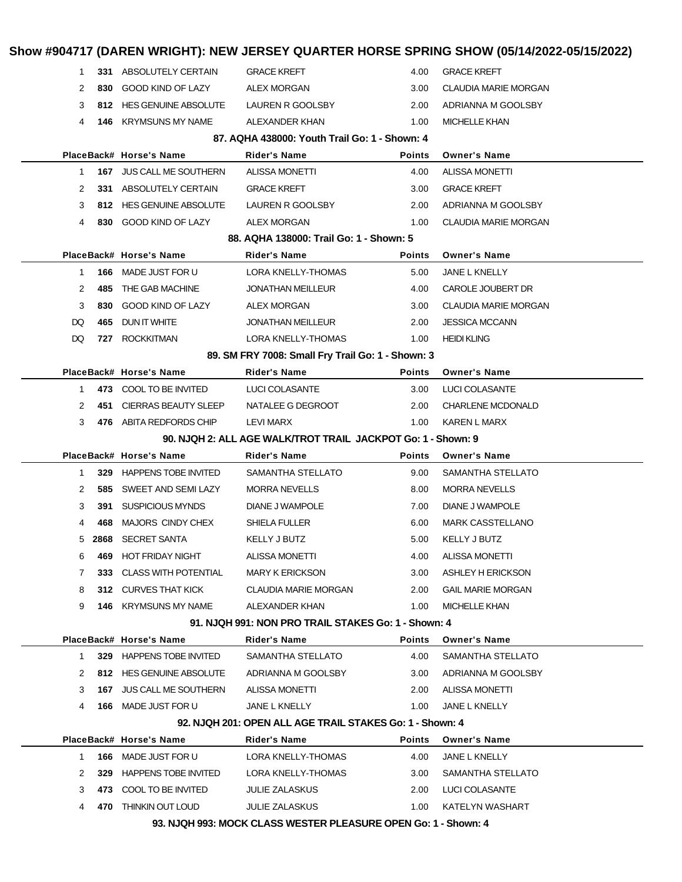| $\mathbf{1}$ |     | 331 ABSOLUTELY CERTAIN          | <b>GRACE KREFT</b>                                           | 4.00          | <b>GRACE KREFT</b>          |
|--------------|-----|---------------------------------|--------------------------------------------------------------|---------------|-----------------------------|
| 2            | 830 | GOOD KIND OF LAZY               | ALEX MORGAN                                                  | 3.00          | <b>CLAUDIA MARIE MORGAN</b> |
| 3            |     | 812 HES GENUINE ABSOLUTE        | LAUREN R GOOLSBY                                             | 2.00          | ADRIANNA M GOOLSBY          |
| 4            |     | <b>146 KRYMSUNS MY NAME</b>     | ALEXANDER KHAN                                               | 1.00          | <b>MICHELLE KHAN</b>        |
|              |     |                                 | 87. AQHA 438000: Youth Trail Go: 1 - Shown: 4                |               |                             |
|              |     | PlaceBack# Horse's Name         | Rider's Name                                                 | <b>Points</b> | <b>Owner's Name</b>         |
| 1            |     | 167 JUS CALL ME SOUTHERN        | <b>ALISSA MONETTI</b>                                        | 4.00          | <b>ALISSA MONETTI</b>       |
| 2            |     | 331 ABSOLUTELY CERTAIN          | <b>GRACE KREFT</b>                                           | 3.00          | <b>GRACE KREFT</b>          |
| 3            |     | 812 HES GENUINE ABSOLUTE        | LAUREN R GOOLSBY                                             | 2.00          | ADRIANNA M GOOLSBY          |
| 4            |     | 830 GOOD KIND OF LAZY           | <b>ALEX MORGAN</b>                                           | 1.00          | <b>CLAUDIA MARIE MORGAN</b> |
|              |     |                                 | 88. AQHA 138000: Trail Go: 1 - Shown: 5                      |               |                             |
|              |     | PlaceBack# Horse's Name         | Rider's Name                                                 | <b>Points</b> | <b>Owner's Name</b>         |
| $\mathbf{1}$ |     | 166 MADE JUST FOR U             | LORA KNELLY-THOMAS                                           | 5.00          | <b>JANE L KNELLY</b>        |
| 2            | 485 | THE GAB MACHINE                 | <b>JONATHAN MEILLEUR</b>                                     | 4.00          | CAROLE JOUBERT DR           |
| 3            |     | 830 GOOD KIND OF LAZY           | <b>ALEX MORGAN</b>                                           | 3.00          | <b>CLAUDIA MARIE MORGAN</b> |
| DQ           | 465 | DUN IT WHITE                    | <b>JONATHAN MEILLEUR</b>                                     | 2.00          | <b>JESSICA MCCANN</b>       |
| DQ           | 727 | <b>ROCKKITMAN</b>               | LORA KNELLY-THOMAS                                           | 1.00          | <b>HEIDI KLING</b>          |
|              |     |                                 | 89. SM FRY 7008: Small Fry Trail Go: 1 - Shown: 3            |               |                             |
|              |     | PlaceBack# Horse's Name         | <b>Rider's Name</b>                                          | <b>Points</b> | <b>Owner's Name</b>         |
| 1            |     | 473 COOL TO BE INVITED          | LUCI COLASANTE                                               | 3.00          | <b>LUCI COLASANTE</b>       |
| 2            | 451 | CIERRAS BEAUTY SLEEP            | NATALEE G DEGROOT                                            | 2.00          | <b>CHARLENE MCDONALD</b>    |
| 3            |     | 476 ABITA REDFORDS CHIP         | LEVI MARX                                                    | 1.00          | KAREN L MARX                |
|              |     |                                 |                                                              |               |                             |
|              |     |                                 | 90. NJQH 2: ALL AGE WALK/TROT TRAIL JACKPOT Go: 1 - Shown: 9 |               |                             |
|              |     | PlaceBack# Horse's Name         | Rider's Name                                                 | <b>Points</b> | <b>Owner's Name</b>         |
| $\mathbf{1}$ |     | 329 HAPPENS TOBE INVITED        | SAMANTHA STELLATO                                            | 9.00          | SAMANTHA STELLATO           |
| 2            | 585 | SWEET AND SEMI LAZY             | <b>MORRA NEVELLS</b>                                         | 8.00          | <b>MORRA NEVELLS</b>        |
| 3            | 391 | <b>SUSPICIOUS MYNDS</b>         | DIANE J WAMPOLE                                              | 7.00          | DIANE J WAMPOLE             |
| 4            | 468 | MAJORS CINDY CHEX               | SHIELA FULLER                                                | 6.00          | <b>MARK CASSTELLANO</b>     |
| 5            |     | 2868 SECRET SANTA               | KELLY J BUTZ                                                 | 5.00          | KELLY J BUTZ                |
| 6            | 469 | <b>HOT FRIDAY NIGHT</b>         | <b>ALISSA MONETTI</b>                                        | 4.00          | <b>ALISSA MONETTI</b>       |
| 7            | 333 | <b>CLASS WITH POTENTIAL</b>     | <b>MARY K ERICKSON</b>                                       | 3.00          | ASHLEY H ERICKSON           |
| 8            |     | 312 CURVES THAT KICK            | <b>CLAUDIA MARIE MORGAN</b>                                  | 2.00          | <b>GAIL MARIE MORGAN</b>    |
| 9            |     | <b>146 KRYMSUNS MY NAME</b>     | ALEXANDER KHAN                                               | 1.00          | <b>MICHELLE KHAN</b>        |
|              |     |                                 | 91. NJQH 991: NON PRO TRAIL STAKES Go: 1 - Shown: 4          |               |                             |
|              |     | PlaceBack# Horse's Name         | <b>Rider's Name</b>                                          | <b>Points</b> | <b>Owner's Name</b>         |
| $\mathbf{1}$ |     | 329 HAPPENS TOBE INVITED        | SAMANTHA STELLATO                                            | 4.00          | SAMANTHA STELLATO           |
| 2            |     | 812 HES GENUINE ABSOLUTE        | ADRIANNA M GOOLSBY                                           | 3.00          | ADRIANNA M GOOLSBY          |
| 3            |     | <b>167 JUS CALL ME SOUTHERN</b> | <b>ALISSA MONETTI</b>                                        | 2.00          | <b>ALISSA MONETTI</b>       |
| 4            |     | <b>166 MADE JUST FOR U</b>      | JANE L KNELLY                                                | 1.00          | JANE L KNELLY               |
|              |     |                                 | 92. NJQH 201: OPEN ALL AGE TRAIL STAKES Go: 1 - Shown: 4     |               |                             |
|              |     | PlaceBack# Horse's Name         | Rider's Name                                                 | <b>Points</b> | <b>Owner's Name</b>         |
| 1            |     | <b>166 MADE JUST FOR U</b>      | LORA KNELLY-THOMAS                                           | 4.00          | JANE L KNELLY               |
| 2            |     | 329 HAPPENS TOBE INVITED        | LORA KNELLY-THOMAS                                           | 3.00          | SAMANTHA STELLATO           |
| 3            |     | 473 COOL TO BE INVITED          | <b>JULIE ZALASKUS</b>                                        | 2.00          | LUCI COLASANTE              |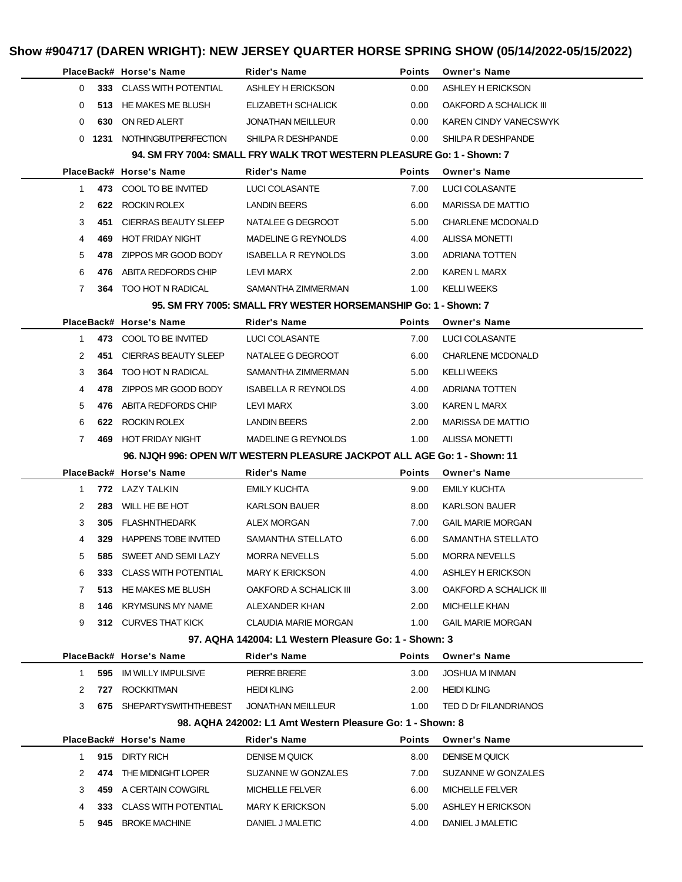|                      |     | PlaceBack# Horse's Name                                                   | <b>Rider's Name</b>                                                    | <b>Points</b> | <b>Owner's Name</b>          |  |
|----------------------|-----|---------------------------------------------------------------------------|------------------------------------------------------------------------|---------------|------------------------------|--|
| $\Omega$             |     | 333 CLASS WITH POTENTIAL                                                  | ASHLEY H ERICKSON                                                      | 0.00          | ASHLEY H ERICKSON            |  |
| 0                    |     | 513 HE MAKES ME BLUSH                                                     | ELIZABETH SCHALICK                                                     | 0.00          | OAKFORD A SCHALICK III       |  |
| $\Omega$             | 630 | ON RED ALERT                                                              | <b>JONATHAN MEILLEUR</b>                                               | 0.00          | <b>KAREN CINDY VANECSWYK</b> |  |
|                      |     | 0 1231 NOTHINGBUTPERFECTION                                               | SHILPA R DESHPANDE                                                     | 0.00          | SHILPA R DESHPANDE           |  |
|                      |     |                                                                           | 94. SM FRY 7004: SMALL FRY WALK TROT WESTERN PLEASURE Go: 1 - Shown: 7 |               |                              |  |
|                      |     | PlaceBack# Horse's Name                                                   | <b>Rider's Name</b>                                                    | <b>Points</b> | <b>Owner's Name</b>          |  |
| 1.                   |     | 473 COOL TO BE INVITED                                                    | LUCI COLASANTE                                                         | 7.00          | LUCI COLASANTE               |  |
| 2                    |     | 622 ROCKIN ROLEX                                                          | <b>LANDIN BEERS</b>                                                    | 6.00          | <b>MARISSA DE MATTIO</b>     |  |
| 3                    | 451 | CIERRAS BEAUTY SLEEP                                                      | NATALEE G DEGROOT                                                      | 5.00          | <b>CHARLENE MCDONALD</b>     |  |
| 4                    | 469 | HOT FRIDAY NIGHT                                                          | MADELINE G REYNOLDS                                                    | 4.00          | <b>ALISSA MONETTI</b>        |  |
| 5                    |     | 478 ZIPPOS MR GOOD BODY                                                   | <b>ISABELLA R REYNOLDS</b>                                             | 3.00          | ADRIANA TOTTEN               |  |
| 6                    | 476 | ABITA REDFORDS CHIP                                                       | LEVI MARX                                                              | 2.00          | KAREN L MARX                 |  |
| 7                    |     | <b>364 TOO HOT N RADICAL</b>                                              | SAMANTHA ZIMMERMAN                                                     | 1.00          | <b>KELLI WEEKS</b>           |  |
|                      |     |                                                                           | 95. SM FRY 7005: SMALL FRY WESTER HORSEMANSHIP Go: 1 - Shown: 7        |               |                              |  |
|                      |     | PlaceBack# Horse's Name                                                   | Rider's Name                                                           | <b>Points</b> | <b>Owner's Name</b>          |  |
| $\mathbf{1}$         |     | 473 COOL TO BE INVITED                                                    | LUCI COLASANTE                                                         | 7.00          | LUCI COLASANTE               |  |
| 2                    |     | 451 CIERRAS BEAUTY SLEEP                                                  | NATALEE G DEGROOT                                                      | 6.00          | <b>CHARLENE MCDONALD</b>     |  |
| 3                    |     | <b>364 TOO HOT N RADICAL</b>                                              | SAMANTHA ZIMMERMAN                                                     | 5.00          | <b>KELLI WEEKS</b>           |  |
| 4                    |     | 478 ZIPPOS MR GOOD BODY                                                   | <b>ISABELLA R REYNOLDS</b>                                             | 4.00          | ADRIANA TOTTEN               |  |
| 5                    | 476 | ABITA REDFORDS CHIP                                                       | LEVI MARX                                                              | 3.00          | KAREN L MARX                 |  |
| 6                    |     | 622 ROCKIN ROLEX                                                          | <b>LANDIN BEERS</b>                                                    | 2.00          | <b>MARISSA DE MATTIO</b>     |  |
| 7                    |     | 469 HOT FRIDAY NIGHT                                                      | MADELINE G REYNOLDS                                                    | 1.00          | ALISSA MONETTI               |  |
|                      |     | 96. NJQH 996: OPEN W/T WESTERN PLEASURE JACKPOT ALL AGE Go: 1 - Shown: 11 |                                                                        |               |                              |  |
|                      |     |                                                                           |                                                                        |               |                              |  |
|                      |     | PlaceBack# Horse's Name                                                   | <b>Rider's Name</b>                                                    | <b>Points</b> | <b>Owner's Name</b>          |  |
| 1                    |     | 772 LAZY TALKIN                                                           | <b>EMILY KUCHTA</b>                                                    | 9.00          | <b>EMILY KUCHTA</b>          |  |
| 2                    | 283 | WILL HE BE HOT                                                            | <b>KARLSON BAUER</b>                                                   | 8.00          | <b>KARLSON BAUER</b>         |  |
| 3                    |     | 305 FLASHNTHEDARK                                                         | <b>ALEX MORGAN</b>                                                     | 7.00          | <b>GAIL MARIE MORGAN</b>     |  |
| 4                    |     | 329 HAPPENS TOBE INVITED                                                  | SAMANTHA STELLATO                                                      | 6.00          | SAMANTHA STELLATO            |  |
| 5                    |     | 585 SWEET AND SEMI LAZY                                                   | <b>MORRA NEVELLS</b>                                                   | 5.00          | <b>MORRA NEVELLS</b>         |  |
| 6                    |     | 333 CLASS WITH POTENTIAL                                                  | <b>MARY K ERICKSON</b>                                                 | 4.00          | ASHLEY H ERICKSON            |  |
| 7                    |     | 513 HE MAKES ME BLUSH                                                     | OAKFORD A SCHALICK III                                                 | 3.00          | OAKFORD A SCHALICK III       |  |
| 8                    |     | <b>146 KRYMSUNS MY NAME</b>                                               | ALEXANDER KHAN                                                         | 2.00          | MICHELLE KHAN                |  |
| 9                    |     | 312 CURVES THAT KICK                                                      | CLAUDIA MARIE MORGAN                                                   | 1.00          | <b>GAIL MARIE MORGAN</b>     |  |
|                      |     |                                                                           | 97. AQHA 142004: L1 Western Pleasure Go: 1 - Shown: 3                  |               |                              |  |
|                      |     | PlaceBack# Horse's Name                                                   | Rider's Name                                                           | <b>Points</b> | <b>Owner's Name</b>          |  |
| 1                    |     | 595 IM WILLY IMPULSIVE                                                    | <b>PIERRE BRIERE</b>                                                   | 3.00          | <b>JOSHUA M INMAN</b>        |  |
| 2                    |     | 727 ROCKKITMAN                                                            | <b>HEIDI KLING</b>                                                     | 2.00          | <b>HEIDI KLING</b>           |  |
| 3                    |     | 675 SHEPARTYSWITHTHEBEST                                                  | JONATHAN MEILLEUR                                                      | 1.00          | TED D Dr FILANDRIANOS        |  |
|                      |     |                                                                           | 98. AQHA 242002: L1 Amt Western Pleasure Go: 1 - Shown: 8              |               |                              |  |
|                      |     | PlaceBack# Horse's Name                                                   | <b>Rider's Name</b>                                                    | <b>Points</b> | <b>Owner's Name</b>          |  |
| 1                    |     | 915 DIRTY RICH                                                            | <b>DENISE M QUICK</b>                                                  | 8.00          | <b>DENISE M QUICK</b>        |  |
| $\mathbf{2}^{\circ}$ |     | 474 THE MIDNIGHT LOPER                                                    | SUZANNE W GONZALES                                                     | 7.00          | SUZANNE W GONZALES           |  |
| 3                    |     | 459 A CERTAIN COWGIRL                                                     | <b>MICHELLE FELVER</b>                                                 | 6.00          | <b>MICHELLE FELVER</b>       |  |
| 4                    |     | 333 CLASS WITH POTENTIAL                                                  | <b>MARY K ERICKSON</b>                                                 | 5.00          | ASHLEY H ERICKSON            |  |
| 5                    |     | 945 BROKE MACHINE                                                         | DANIEL J MALETIC                                                       | 4.00          | DANIEL J MALETIC             |  |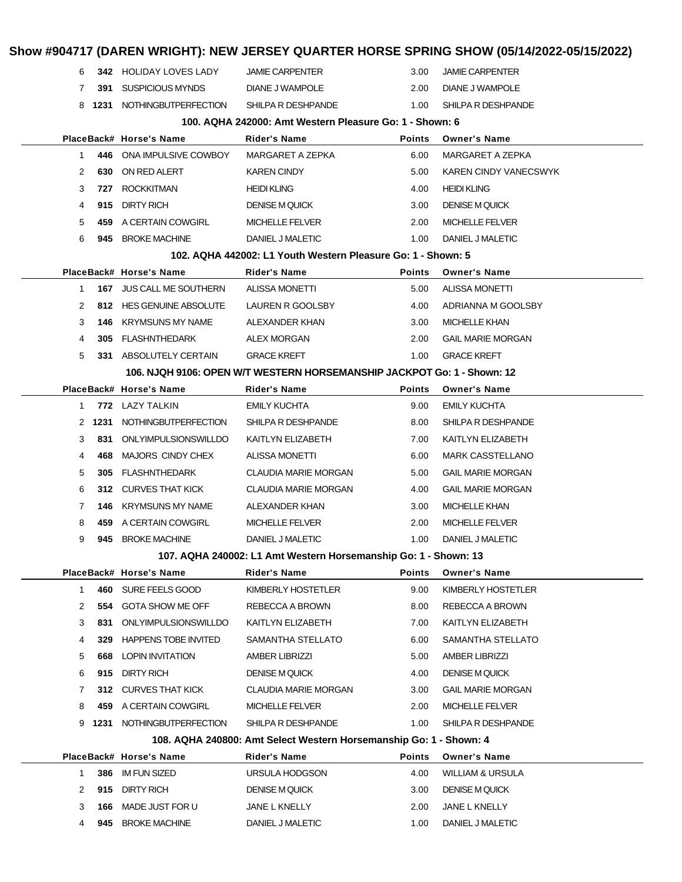|              |      |                                 |                                                                                          |               | Show #904717 (DAREN WRIGHT): NEW JERSEY QUARTER HORSE SPRING SHOW (05/14/2022-05/15/2022) |
|--------------|------|---------------------------------|------------------------------------------------------------------------------------------|---------------|-------------------------------------------------------------------------------------------|
| 6            |      | <b>342 HOLIDAY LOVES LADY</b>   | <b>JAMIE CARPENTER</b>                                                                   | 3.00          | <b>JAMIE CARPENTER</b>                                                                    |
| 7            |      | 391 SUSPICIOUS MYNDS            | DIANE J WAMPOLE                                                                          | 2.00          | DIANE J WAMPOLE                                                                           |
| 8            |      | 1231 NOTHINGBUTPERFECTION       | SHILPA R DESHPANDE                                                                       | 1.00          | SHILPA R DESHPANDE                                                                        |
|              |      |                                 | 100. AQHA 242000: Amt Western Pleasure Go: 1 - Shown: 6                                  |               |                                                                                           |
|              |      | PlaceBack# Horse's Name         | Rider's Name                                                                             | <b>Points</b> | <b>Owner's Name</b>                                                                       |
| 1            |      | 446 ONA IMPULSIVE COWBOY        | MARGARET A ZEPKA                                                                         | 6.00          | MARGARET A ZEPKA                                                                          |
| 2            | 630  | ON RED ALERT                    | <b>KAREN CINDY</b>                                                                       | 5.00          | KAREN CINDY VANECSWYK                                                                     |
| 3            | 727  | <b>ROCKKITMAN</b>               | <b>HEIDI KLING</b>                                                                       | 4.00          | <b>HEIDI KLING</b>                                                                        |
| 4            | 915  | <b>DIRTY RICH</b>               | <b>DENISE M QUICK</b>                                                                    | 3.00          | <b>DENISE M QUICK</b>                                                                     |
| 5            |      | 459 A CERTAIN COWGIRL           | <b>MICHELLE FELVER</b>                                                                   | 2.00          | <b>MICHELLE FELVER</b>                                                                    |
| 6            |      | 945 BROKE MACHINE               | DANIEL J MALETIC                                                                         | 1.00          | DANIEL J MALETIC                                                                          |
|              |      |                                 | 102. AQHA 442002: L1 Youth Western Pleasure Go: 1 - Shown: 5                             |               |                                                                                           |
|              |      | PlaceBack# Horse's Name         | Rider's Name                                                                             | <b>Points</b> | <b>Owner's Name</b>                                                                       |
| $\mathbf{1}$ |      | <b>167 JUS CALL ME SOUTHERN</b> | ALISSA MONETTI                                                                           | 5.00          | <b>ALISSA MONETTI</b>                                                                     |
| 2            |      | 812 HES GENUINE ABSOLUTE        | LAUREN R GOOLSBY                                                                         | 4.00          | ADRIANNA M GOOLSBY                                                                        |
| 3            | 146  | <b>KRYMSUNS MY NAME</b>         | ALEXANDER KHAN                                                                           | 3.00          | <b>MICHELLE KHAN</b>                                                                      |
| 4            | 305  | <b>FLASHNTHEDARK</b>            | ALEX MORGAN                                                                              | 2.00          | <b>GAIL MARIE MORGAN</b>                                                                  |
| 5            |      | 331 ABSOLUTELY CERTAIN          | <b>GRACE KREFT</b>                                                                       | 1.00          | <b>GRACE KREFT</b>                                                                        |
|              |      |                                 | 106. NJQH 9106: OPEN W/T WESTERN HORSEMANSHIP JACKPOT Go: 1 - Shown: 12                  |               |                                                                                           |
|              |      | PlaceBack# Horse's Name         | Rider's Name                                                                             | <b>Points</b> | <b>Owner's Name</b>                                                                       |
| 1            |      | 772 LAZY TALKIN                 | <b>EMILY KUCHTA</b>                                                                      | 9.00          | <b>EMILY KUCHTA</b>                                                                       |
| 2            | 1231 | NOTHINGBUTPERFECTION            | SHILPA R DESHPANDE                                                                       | 8.00          | SHILPA R DESHPANDE                                                                        |
| 3            | 831  | ONLYIMPULSIONSWILLDO            | KAITLYN ELIZABETH                                                                        | 7.00          | KAITLYN ELIZABETH                                                                         |
| 4            | 468  | MAJORS CINDY CHEX               | ALISSA MONETTI                                                                           | 6.00          | <b>MARK CASSTELLANO</b>                                                                   |
| 5            | 305  | <b>FLASHNTHEDARK</b>            | CLAUDIA MARIE MORGAN                                                                     | 5.00          | <b>GAIL MARIE MORGAN</b>                                                                  |
| 6            | 312. | CURVES THAT KICK                | CLAUDIA MARIE MORGAN                                                                     | 4.00          | <b>GAIL MARIE MORGAN</b>                                                                  |
| 7            | 146  | <b>KRYMSUNS MY NAME</b>         | ALEXANDER KHAN                                                                           | 3.00          | <b>MICHELLE KHAN</b>                                                                      |
| 8            |      | 459 A CERTAIN COWGIRL           | <b>MICHELLE FELVER</b>                                                                   | 2.00          | <b>MICHELLE FELVER</b>                                                                    |
| 9            |      | 945 BROKE MACHINE               | DANIEL J MALETIC                                                                         | 1.00          | DANIEL J MALETIC                                                                          |
|              |      |                                 | 107. AQHA 240002: L1 Amt Western Horsemanship Go: 1 - Shown: 13                          |               |                                                                                           |
|              |      | PlaceBack# Horse's Name         | Rider's Name                                                                             | Points        | <b>Owner's Name</b>                                                                       |
| $\mathbf{1}$ |      | 460 SURE FEELS GOOD             | KIMBERLY HOSTETLER                                                                       | 9.00          | KIMBERLY HOSTETLER                                                                        |
| 2            | 554  | <b>GOTA SHOW ME OFF</b>         | REBECCA A BROWN                                                                          | 8.00          | REBECCA A BROWN                                                                           |
| 3            | 831  | ONLYIMPULSIONSWILLDO            | KAITLYN ELIZABETH                                                                        | 7.00          | KAITLYN ELIZABETH                                                                         |
| 4            |      | 329 HAPPENS TOBE INVITED        | SAMANTHA STELLATO                                                                        | 6.00          | SAMANTHA STELLATO                                                                         |
| 5            |      | <b>668 LOPIN INVITATION</b>     | AMBER LIBRIZZI                                                                           | 5.00          | <b>AMBER LIBRIZZI</b>                                                                     |
| 6            | 915  | <b>DIRTY RICH</b>               | <b>DENISE M QUICK</b>                                                                    | 4.00          | <b>DENISE M QUICK</b>                                                                     |
| 7            |      | 312 CURVES THAT KICK            | CLAUDIA MARIE MORGAN                                                                     | 3.00          | <b>GAIL MARIE MORGAN</b>                                                                  |
| 8            |      | 459 A CERTAIN COWGIRL           | <b>MICHELLE FELVER</b>                                                                   | 2.00          | <b>MICHELLE FELVER</b>                                                                    |
| 9            |      | 1231 NOTHINGBUTPERFECTION       | SHILPA R DESHPANDE<br>108. AQHA 240800: Amt Select Western Horsemanship Go: 1 - Shown: 4 | 1.00          | SHILPA R DESHPANDE                                                                        |
|              |      | PlaceBack# Horse's Name         | Rider's Name                                                                             | Points        | <b>Owner's Name</b>                                                                       |
| $\mathbf 1$  | 386  | <b>IM FUN SIZED</b>             | URSULA HODGSON                                                                           | 4.00          | <b>WILLIAM &amp; URSULA</b>                                                               |
| 2            | 915  | <b>DIRTY RICH</b>               | <b>DENISE M QUICK</b>                                                                    | 3.00          | <b>DENISE M QUICK</b>                                                                     |
| 3            | 166  | MADE JUST FOR U                 | JANE L KNELLY                                                                            | 2.00          | JANE L KNELLY                                                                             |
| 4            | 945  | <b>BROKE MACHINE</b>            | DANIEL J MALETIC                                                                         | 1.00          | DANIEL J MALETIC                                                                          |
|              |      |                                 |                                                                                          |               |                                                                                           |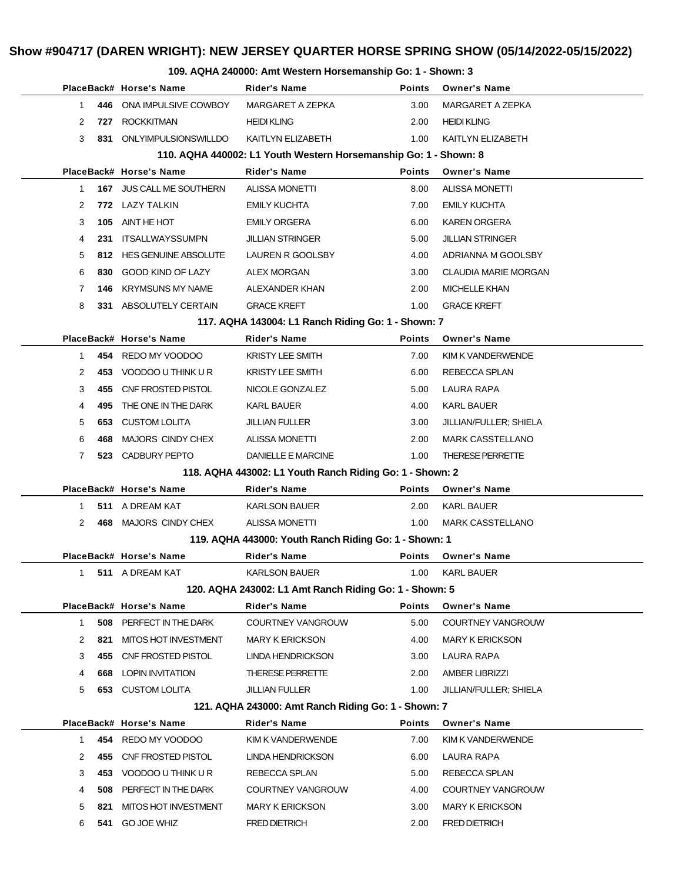## **PlaceBack# Horse's Name Rider's Name Points Owner's Name 446** ONA IMPULSIVE COWBOY MARGARET A ZEPKA 3.00 MARGARET A ZEPKA **727** ROCKKITMAN **HEIDI KLING 2.00 HEIDI KLING 831** ONLYIMPULSIONSWILLDO KAITLYN ELIZABETH 1.00 KAITLYN ELIZABETH **110. AQHA 440002: L1 Youth Western Horsemanship Go: 1 - Shown: 8 PlaceBack# Horse's Name Rider's Name Points Owner's Name 167** JUS CALL ME SOUTHERN ALISSA MONETTI 8.00 ALISSA MONETTI **772** LAZY TALKIN EMILY KUCHTA 7.00 EMILY KUCHTA **105** AINT HE HOT EMILY ORGERA 6.00 KAREN ORGERA **231** ITSALLWAYSSUMPN JILLIAN STRINGER 5.00 JILLIAN STRINGER **812** HES GENUINE ABSOLUTE LAUREN R GOOLSBY 4.00 ADRIANNA M GOOLSBY **830** GOOD KIND OF LAZY ALEX MORGAN 3.00 CLAUDIA MARIE MORGAN **146** KRYMSUNS MY NAME ALEXANDER KHAN 2.00 MICHELLE KHAN **331** ABSOLUTELY CERTAIN GRACE KREFT 1.00 GRACE KREFT **117. AQHA 143004: L1 Ranch Riding Go: 1 - Shown: 7 PlaceBack# Horse's Name Rider's Name Points Owner's Name 454** REDO MY VOODOO KRISTY LEE SMITH 7.00 KIM K VANDERWENDE 2 453 VOODOO U THINK U R KRISTY LEE SMITH 6.00 REBECCA SPLAN **455** CNF FROSTED PISTOL NICOLE GONZALEZ 5.00 LAURA RAPA **495** THE ONE IN THE DARK KARL BAUER **KARL BAUER** 4.00 KARL BAUER **653** CUSTOM LOLITA JILLIAN FULLER 3.00 JILLIAN/FULLER; SHIELA **468** MAJORS CINDY CHEX ALISSA MONETTI 2.00 MARK CASSTELLANO **523** CADBURY PEPTO DANIELLE E MARCINE 1.00 THERESE PERRETTE **118. AQHA 443002: L1 Youth Ranch Riding Go: 1 - Shown: 2 PlaceBack# Horse's Name Rider's Name Points Owner's Name 511** A DREAM KAT KARLSON BAUER 2.00 KARL BAUER **468** MAJORS CINDY CHEX ALISSA MONETTI 1.00 MARK CASSTELLANO **119. AQHA 443000: Youth Ranch Riding Go: 1 - Shown: 1 PlaceBack# Horse's Name Rider's Name Points Owner's Name 511** A DREAM KAT **KARLSON BAUER** 1.00 KARL BAUER **120. AQHA 243002: L1 Amt Ranch Riding Go: 1 - Shown: 5 PlaceBack# Horse's Name Rider's Name Points Owner's Name 508** PERFECT IN THE DARK COURTNEY VANGROUW 5.00 COURTNEY VANGROUW **821** MITOS HOT INVESTMENT MARY K ERICKSON 4.00 MARY K ERICKSON **455** CNF FROSTED PISTOL LINDA HENDRICKSON 3.00 LAURA RAPA **668** LOPIN INVITATION THERESE PERRETTE 2.00 AMBER LIBRIZZI **653** CUSTOM LOLITA JILLIAN FULLER 1.00 JILLIAN/FULLER; SHIELA **121. AQHA 243000: Amt Ranch Riding Go: 1 - Shown: 7 PlaceBack# Horse's Name Rider's Name Points Owner's Name 454** REDO MY VOODOO KIM K VANDERWENDE 7.00 KIM K VANDERWENDE **455** CNF FROSTED PISTOL LINDA HENDRICKSON 6.00 LAURA RAPA 3 453 VOODOO U THINK U R REBECCA SPLAN 5.00 REBECCA SPLAN **508** PERFECT IN THE DARK COURTNEY VANGROUW 4.00 COURTNEY VANGROUW **821** MITOS HOT INVESTMENT MARY K ERICKSON 3.00 MARY K ERICKSON **541** GO JOE WHIZ FRED DIETRICH 2.00 FRED DIETRICH

#### **109. AQHA 240000: Amt Western Horsemanship Go: 1 - Shown: 3**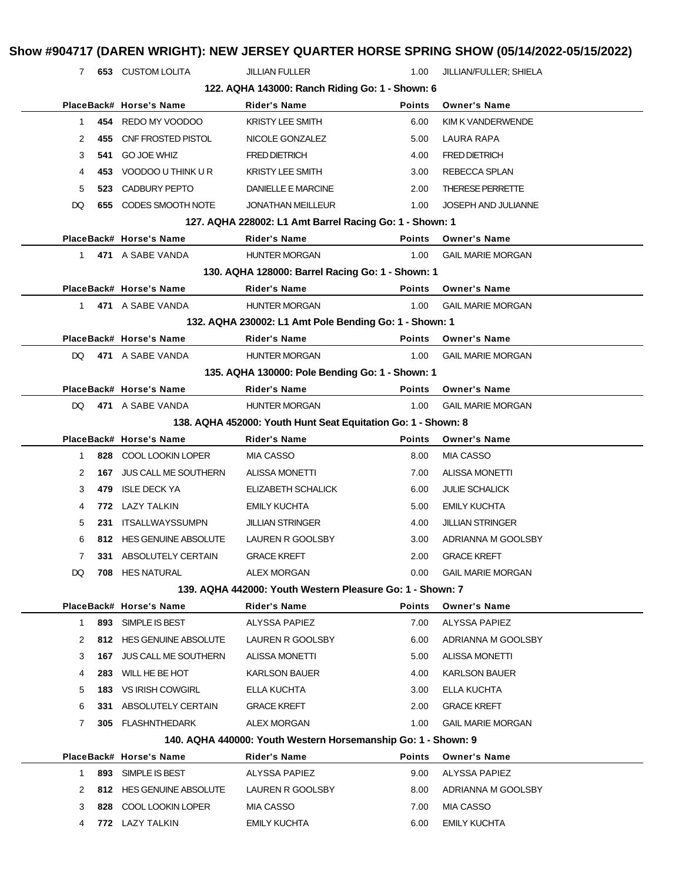7 **653** CUSTOM LOLITA JILLIAN FULLER 1.00 JILLIAN/FULLER; SHIELA

**122. AQHA 143000: Ranch Riding Go: 1 - Shown: 6**

|              |     |                             | 122. AQHA 143000: Ranch Riding Go: 1 - Shown: 6               |               |                          |
|--------------|-----|-----------------------------|---------------------------------------------------------------|---------------|--------------------------|
|              |     | PlaceBack# Horse's Name     | <b>Rider's Name</b>                                           | <b>Points</b> | <b>Owner's Name</b>      |
| $\mathbf 1$  |     | 454 REDO MY VOODOO          | <b>KRISTY LEE SMITH</b>                                       | 6.00          | KIM K VANDERWENDE        |
| 2            | 455 | CNF FROSTED PISTOL          | NICOLE GONZALEZ                                               | 5.00          | LAURA RAPA               |
| 3            | 541 | <b>GO JOE WHIZ</b>          | <b>FRED DIETRICH</b>                                          | 4.00          | <b>FRED DIETRICH</b>     |
| 4            | 453 | VOODOO U THINK U R          | <b>KRISTY LEE SMITH</b>                                       | 3.00          | <b>REBECCA SPLAN</b>     |
| 5            | 523 | CADBURY PEPTO               | DANIELLE E MARCINE                                            | 2.00          | <b>THERESE PERRETTE</b>  |
| DQ           | 655 | CODES SMOOTH NOTE           | <b>JONATHAN MEILLEUR</b>                                      | 1.00          | JOSEPH AND JULIANNE      |
|              |     |                             | 127. AQHA 228002: L1 Amt Barrel Racing Go: 1 - Shown: 1       |               |                          |
|              |     | PlaceBack# Horse's Name     | <b>Rider's Name</b>                                           | <b>Points</b> | <b>Owner's Name</b>      |
| 1.           |     | 471 A SABE VANDA            | <b>HUNTER MORGAN</b>                                          | 1.00          | <b>GAIL MARIE MORGAN</b> |
|              |     |                             | 130. AQHA 128000: Barrel Racing Go: 1 - Shown: 1              |               |                          |
|              |     | PlaceBack# Horse's Name     | <b>Rider's Name</b>                                           | <b>Points</b> | <b>Owner's Name</b>      |
| $\mathbf{1}$ |     | 471 A SABE VANDA            | <b>HUNTER MORGAN</b>                                          | 1.00          | <b>GAIL MARIE MORGAN</b> |
|              |     |                             | 132. AQHA 230002: L1 Amt Pole Bending Go: 1 - Shown: 1        |               |                          |
|              |     | PlaceBack# Horse's Name     | <b>Rider's Name</b>                                           | <b>Points</b> | <b>Owner's Name</b>      |
| DQ.          |     | 471 A SABE VANDA            | <b>HUNTER MORGAN</b>                                          | 1.00          | <b>GAIL MARIE MORGAN</b> |
|              |     |                             | 135. AQHA 130000: Pole Bending Go: 1 - Shown: 1               |               |                          |
|              |     | PlaceBack# Horse's Name     | <b>Rider's Name</b>                                           | <b>Points</b> | <b>Owner's Name</b>      |
| DQ.          |     | 471 A SABE VANDA            | <b>HUNTER MORGAN</b>                                          | 1.00          | <b>GAIL MARIE MORGAN</b> |
|              |     |                             | 138. AQHA 452000: Youth Hunt Seat Equitation Go: 1 - Shown: 8 |               |                          |
|              |     | PlaceBack# Horse's Name     | <b>Rider's Name</b>                                           | <b>Points</b> | <b>Owner's Name</b>      |
| $\mathbf 1$  |     | 828 COOL LOOKIN LOPER       | <b>MIA CASSO</b>                                              | 8.00          | <b>MIA CASSO</b>         |
| 2            | 167 | <b>JUS CALL ME SOUTHERN</b> | <b>ALISSA MONETTI</b>                                         | 7.00          | <b>ALISSA MONETTI</b>    |
| 3            | 479 | <b>ISLE DECK YA</b>         | ELIZABETH SCHALICK                                            | 6.00          | <b>JULIE SCHALICK</b>    |
| 4            |     | 772 LAZY TALKIN             | <b>EMILY KUCHTA</b>                                           | 5.00          | <b>EMILY KUCHTA</b>      |
| 5            |     | 231 ITSALLWAYSSUMPN         | <b>JILLIAN STRINGER</b>                                       | 4.00          | <b>JILLIAN STRINGER</b>  |
| 6            |     | 812 HES GENUINE ABSOLUTE    | LAUREN R GOOLSBY                                              | 3.00          | ADRIANNA M GOOLSBY       |
| 7            |     | 331 ABSOLUTELY CERTAIN      | <b>GRACE KREFT</b>                                            | 2.00          | <b>GRACE KREFT</b>       |
| DQ           |     | 708 HES NATURAL             | <b>ALEX MORGAN</b>                                            | 0.00          | <b>GAIL MARIE MORGAN</b> |
|              |     |                             | 139. AQHA 442000: Youth Western Pleasure Go: 1 - Shown: 7     |               |                          |
|              |     | PlaceBack# Horse's Name     | Rider's Name                                                  | Points        | <b>Owner's Name</b>      |
| 1            | 893 | SIMPLE IS BEST              | ALYSSA PAPIEZ                                                 | 7.00          | ALYSSA PAPIEZ            |
| 2            |     | 812 HES GENUINE ABSOLUTE    | LAUREN R GOOLSBY                                              | 6.00          | ADRIANNA M GOOLSBY       |
| 3            | 167 | JUS CALL ME SOUTHERN        | <b>ALISSA MONETTI</b>                                         | 5.00          | <b>ALISSA MONETTI</b>    |
| 4            | 283 | WILL HE BE HOT              | <b>KARLSON BAUER</b>                                          | 4.00          | <b>KARLSON BAUER</b>     |
| 5            |     | <b>183 VS IRISH COWGIRL</b> | ELLA KUCHTA                                                   | 3.00          | <b>ELLA KUCHTA</b>       |
| 6            | 331 | ABSOLUTELY CERTAIN          | <b>GRACE KREFT</b>                                            | 2.00          | <b>GRACE KREFT</b>       |
| 7            |     | 305 FLASHNTHEDARK           | ALEX MORGAN                                                   | 1.00          | <b>GAIL MARIE MORGAN</b> |
|              |     |                             | 140. AQHA 440000: Youth Western Horsemanship Go: 1 - Shown: 9 |               |                          |
|              |     | PlaceBack# Horse's Name     | Rider's Name                                                  | Points        | <b>Owner's Name</b>      |
| 1            | 893 | SIMPLE IS BEST              | ALYSSA PAPIEZ                                                 | 9.00          | ALYSSA PAPIEZ            |
| 2            |     | 812 HES GENUINE ABSOLUTE    | LAUREN R GOOLSBY                                              | 8.00          | ADRIANNA M GOOLSBY       |
| 3            | 828 | COOL LOOKIN LOPER           | MIA CASSO                                                     | 7.00          | <b>MIA CASSO</b>         |
| 4            |     | 772 LAZY TALKIN             | <b>EMILY KUCHTA</b>                                           | 6.00          | <b>EMILY KUCHTA</b>      |
|              |     |                             |                                                               |               |                          |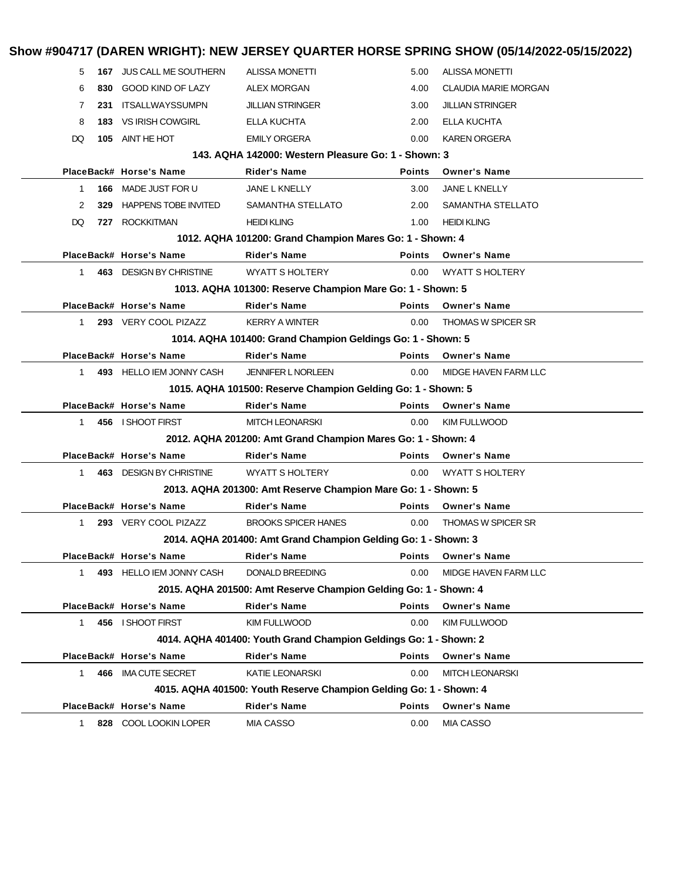|              |     |                             |                                                                    |               | Show #904717 (DAREN WRIGHT): NEW JERSEY QUARTER HORSE SPRING SHOW (05/14/2022-05/15/2022) |
|--------------|-----|-----------------------------|--------------------------------------------------------------------|---------------|-------------------------------------------------------------------------------------------|
| 5            |     | 167 JUS CALL ME SOUTHERN    | <b>ALISSA MONETTI</b>                                              | 5.00          | <b>ALISSA MONETTI</b>                                                                     |
| 6            | 830 | <b>GOOD KIND OF LAZY</b>    | <b>ALEX MORGAN</b>                                                 | 4.00          | <b>CLAUDIA MARIE MORGAN</b>                                                               |
| 7            | 231 | <b>ITSALLWAYSSUMPN</b>      | <b>JILLIAN STRINGER</b>                                            | 3.00          | <b>JILLIAN STRINGER</b>                                                                   |
| 8<br>183     |     | VS IRISH COWGIRL            | ELLA KUCHTA                                                        | 2.00          | ELLA KUCHTA                                                                               |
| DQ           | 105 | AINT HE HOT                 | <b>EMILY ORGERA</b>                                                | 0.00          | <b>KAREN ORGERA</b>                                                                       |
|              |     |                             | 143. AQHA 142000: Western Pleasure Go: 1 - Shown: 3                |               |                                                                                           |
|              |     | PlaceBack# Horse's Name     | Rider's Name                                                       | Points        | <b>Owner's Name</b>                                                                       |
| 1            |     | 166 MADE JUST FOR U         | JANE L KNELLY                                                      | 3.00          | <b>JANE L KNELLY</b>                                                                      |
| 2            | 329 | <b>HAPPENS TOBE INVITED</b> | SAMANTHA STELLATO                                                  | 2.00          | SAMANTHA STELLATO                                                                         |
| DQ           | 727 | <b>ROCKKITMAN</b>           | <b>HEIDI KLING</b>                                                 | 1.00          | <b>HEIDI KLING</b>                                                                        |
|              |     |                             | 1012. AQHA 101200: Grand Champion Mares Go: 1 - Shown: 4           |               |                                                                                           |
|              |     | PlaceBack# Horse's Name     | <b>Rider's Name</b>                                                | <b>Points</b> | <b>Owner's Name</b>                                                                       |
| 1            |     | 463 DESIGN BY CHRISTINE     | <b>WYATT S HOLTERY</b>                                             | 0.00          | <b>WYATT S HOLTERY</b>                                                                    |
|              |     |                             | 1013. AQHA 101300: Reserve Champion Mare Go: 1 - Shown: 5          |               |                                                                                           |
|              |     | PlaceBack# Horse's Name     | <b>Rider's Name</b>                                                | <b>Points</b> | <b>Owner's Name</b>                                                                       |
| 1            |     | 293 VERY COOL PIZAZZ        | <b>KERRY A WINTER</b>                                              | 0.00          | <b>THOMAS W SPICER SR</b>                                                                 |
|              |     |                             | 1014. AQHA 101400: Grand Champion Geldings Go: 1 - Shown: 5        |               |                                                                                           |
|              |     | PlaceBack# Horse's Name     | <b>Rider's Name</b>                                                | <b>Points</b> | <b>Owner's Name</b>                                                                       |
| $\mathbf{1}$ |     | 493 HELLO IEM JONNY CASH    | <b>JENNIFER L NORLEEN</b>                                          | 0.00          | MIDGE HAVEN FARM LLC                                                                      |
|              |     |                             | 1015. AQHA 101500: Reserve Champion Gelding Go: 1 - Shown: 5       |               |                                                                                           |
|              |     | PlaceBack# Horse's Name     | <b>Rider's Name</b>                                                | <b>Points</b> | <b>Owner's Name</b>                                                                       |
| 1            |     | 456 I SHOOT FIRST           | <b>MITCH LEONARSKI</b>                                             | 0.00          | <b>KIM FULLWOOD</b>                                                                       |
|              |     |                             | 2012. AQHA 201200: Amt Grand Champion Mares Go: 1 - Shown: 4       |               |                                                                                           |
|              |     | PlaceBack# Horse's Name     | <b>Rider's Name</b>                                                | Points        | <b>Owner's Name</b>                                                                       |
| 1            |     | 463 DESIGN BY CHRISTINE     | <b>WYATT S HOLTERY</b>                                             | 0.00          | <b>WYATT S HOLTERY</b>                                                                    |
|              |     |                             | 2013. AQHA 201300: Amt Reserve Champion Mare Go: 1 - Shown: 5      |               |                                                                                           |
|              |     | PlaceBack# Horse's Name     | Rider's Name                                                       | Points        | <b>Owner's Name</b>                                                                       |
| 1            |     | 293 VERY COOL PIZAZZ        | <b>BROOKS SPICER HANES</b>                                         | 0.00          | <b>THOMAS W SPICER SR</b>                                                                 |
|              |     |                             | 2014. AQHA 201400: Amt Grand Champion Gelding Go: 1 - Shown: 3     |               |                                                                                           |
|              |     | PlaceBack# Horse's Name     | Rider's Name                                                       | Points        | <b>Owner's Name</b>                                                                       |
| 1            |     | 493 HELLO IEM JONNY CASH    | <b>DONALD BREEDING</b>                                             | 0.00          | MIDGE HAVEN FARM LLC                                                                      |
|              |     |                             | 2015. AQHA 201500: Amt Reserve Champion Gelding Go: 1 - Shown: 4   |               |                                                                                           |
|              |     | PlaceBack# Horse's Name     | <b>Rider's Name</b>                                                | <b>Points</b> | <b>Owner's Name</b>                                                                       |
| 1            |     | 456 I SHOOT FIRST           | <b>KIM FULLWOOD</b>                                                | 0.00          | <b>KIM FULLWOOD</b>                                                                       |
|              |     |                             | 4014. AQHA 401400: Youth Grand Champion Geldings Go: 1 - Shown: 2  |               |                                                                                           |
|              |     | PlaceBack# Horse's Name     | <b>Rider's Name</b>                                                | <b>Points</b> | <b>Owner's Name</b>                                                                       |
| $\mathbf 1$  |     | 466 IMA CUTE SECRET         | <b>KATIE LEONARSKI</b>                                             | 0.00          | <b>MITCH LEONARSKI</b>                                                                    |
|              |     |                             | 4015. AQHA 401500: Youth Reserve Champion Gelding Go: 1 - Shown: 4 |               |                                                                                           |
|              |     | PlaceBack# Horse's Name     | <b>Rider's Name</b>                                                | Points        | <b>Owner's Name</b>                                                                       |
| 1.           |     | 828 COOL LOOKIN LOPER       | <b>MIA CASSO</b>                                                   | 0.00          | <b>MIA CASSO</b>                                                                          |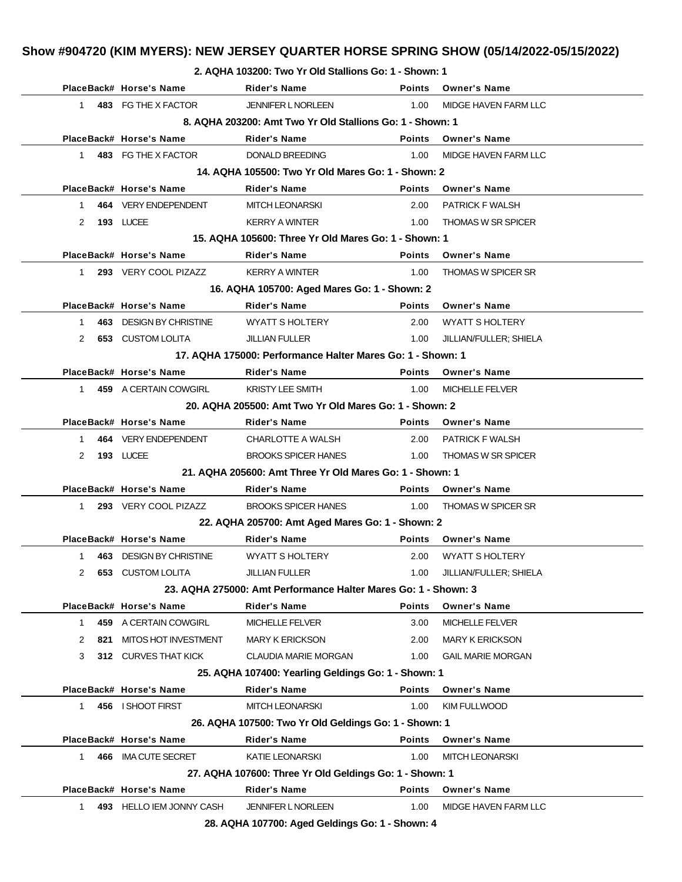| 9047ZU (NIM MTERS). NEW JERSET QUARTER HURSE SPRING SHUW (03/14/Z0ZZ-03/T |                                                       |  |  |
|---------------------------------------------------------------------------|-------------------------------------------------------|--|--|
|                                                                           | 2. AQHA 103200: Two Yr Old Stallions Go: 1 - Shown: 1 |  |  |

|              |     |                          | 2. AUTHA 103200: TWO TT OID STAILIONS GO: 1 - SNOWN: 1         |               |                           |
|--------------|-----|--------------------------|----------------------------------------------------------------|---------------|---------------------------|
|              |     | PlaceBack# Horse's Name  | <b>Rider's Name</b>                                            | <b>Points</b> | Owner's Name              |
| $\mathbf{1}$ |     | 483 FG THE X FACTOR      | <b>JENNIFER L NORLEEN</b>                                      | 1.00          | MIDGE HAVEN FARM LLC      |
|              |     |                          | 8. AQHA 203200: Amt Two Yr Old Stallions Go: 1 - Shown: 1      |               |                           |
|              |     | PlaceBack# Horse's Name  | <b>Rider's Name</b>                                            | <b>Points</b> | <b>Owner's Name</b>       |
| $\mathbf{1}$ |     | 483 FG THE X FACTOR      | DONALD BREEDING                                                | 1.00          | MIDGE HAVEN FARM LLC      |
|              |     |                          | 14. AQHA 105500: Two Yr Old Mares Go: 1 - Shown: 2             |               |                           |
|              |     | PlaceBack# Horse's Name  | <b>Rider's Name</b>                                            | <b>Points</b> | <b>Owner's Name</b>       |
| $\mathbf 1$  |     | 464 VERY ENDEPENDENT     | <b>MITCH LEONARSKI</b>                                         | 2.00          | <b>PATRICK F WALSH</b>    |
| 2            |     | 193 LUCEE                | <b>KERRY A WINTER</b>                                          | 1.00          | <b>THOMAS W SR SPICER</b> |
|              |     |                          | 15. AQHA 105600: Three Yr Old Mares Go: 1 - Shown: 1           |               |                           |
|              |     | PlaceBack# Horse's Name  | <b>Rider's Name</b>                                            | <b>Points</b> | <b>Owner's Name</b>       |
| $\mathbf 1$  |     | 293 VERY COOL PIZAZZ     | <b>KERRY A WINTER</b>                                          | 1.00          | <b>THOMAS W SPICER SR</b> |
|              |     |                          | 16. AQHA 105700: Aged Mares Go: 1 - Shown: 2                   |               |                           |
|              |     | PlaceBack# Horse's Name  | <b>Rider's Name</b>                                            | <b>Points</b> | <b>Owner's Name</b>       |
| $\mathbf{1}$ |     | 463 DESIGN BY CHRISTINE  | <b>WYATT S HOLTERY</b>                                         | 2.00          | <b>WYATT S HOLTERY</b>    |
| 2            |     | <b>653 CUSTOM LOLITA</b> | <b>JILLIAN FULLER</b>                                          | 1.00          | JILLIAN/FULLER; SHIELA    |
|              |     |                          | 17. AQHA 175000: Performance Halter Mares Go: 1 - Shown: 1     |               |                           |
|              |     | PlaceBack# Horse's Name  | Rider's Name                                                   | <b>Points</b> | <b>Owner's Name</b>       |
| $\mathbf{1}$ |     | 459 A CERTAIN COWGIRL    | <b>KRISTY LEE SMITH</b>                                        | 1.00          | <b>MICHELLE FELVER</b>    |
|              |     |                          | 20. AQHA 205500: Amt Two Yr Old Mares Go: 1 - Shown: 2         |               |                           |
|              |     | PlaceBack# Horse's Name  | <b>Rider's Name</b>                                            |               | Points Owner's Name       |
| 1            |     | 464 VERY ENDEPENDENT     | CHARLOTTE A WALSH                                              | 2.00          | <b>PATRICK F WALSH</b>    |
| 2            |     | 193 LUCEE                | <b>BROOKS SPICER HANES</b>                                     | 1.00          | <b>THOMAS W SR SPICER</b> |
|              |     |                          | 21. AQHA 205600: Amt Three Yr Old Mares Go: 1 - Shown: 1       |               |                           |
|              |     | PlaceBack# Horse's Name  | <b>Rider's Name</b>                                            | <b>Points</b> | Owner's Name              |
| $\mathbf{1}$ |     | 293 VERY COOL PIZAZZ     | <b>BROOKS SPICER HANES</b>                                     | 1.00          | <b>THOMAS W SPICER SR</b> |
|              |     |                          | 22. AQHA 205700: Amt Aged Mares Go: 1 - Shown: 2               |               |                           |
|              |     | PlaceBack# Horse's Name  | <b>Rider's Name</b>                                            | <b>Points</b> | <b>Owner's Name</b>       |
| 1            |     | 463 DESIGN BY CHRISTINE  | <b>WYATT S HOLTERY</b>                                         | 2.00          | <b>WYATT S HOLTERY</b>    |
|              |     | 653 CUSTOM LOLITA        | <b>JILLIAN FULLER</b>                                          | 1.00          | JILLIAN/FULLER; SHIELA    |
|              |     |                          | 23. AQHA 275000: Amt Performance Halter Mares Go: 1 - Shown: 3 |               |                           |
|              |     | PlaceBack# Horse's Name  | <b>Rider's Name</b>                                            | <b>Points</b> | <b>Owner's Name</b>       |
| $\mathbf{1}$ |     | 459 A CERTAIN COWGIRL    | MICHELLE FELVER                                                | 3.00          | <b>MICHELLE FELVER</b>    |
| 2            | 821 | MITOS HOT INVESTMENT     | <b>MARY K ERICKSON</b>                                         | 2.00          | <b>MARY K ERICKSON</b>    |
| 3            |     | 312 CURVES THAT KICK     | <b>CLAUDIA MARIE MORGAN</b>                                    | 1.00          | <b>GAIL MARIE MORGAN</b>  |
|              |     |                          | 25. AQHA 107400: Yearling Geldings Go: 1 - Shown: 1            |               |                           |
|              |     | PlaceBack# Horse's Name  | <b>Rider's Name</b>                                            | <b>Points</b> | <b>Owner's Name</b>       |
| 1            |     | 456 I SHOOT FIRST        | <b>MITCH LEONARSKI</b>                                         | 1.00          | <b>KIM FULLWOOD</b>       |
|              |     |                          | 26. AQHA 107500: Two Yr Old Geldings Go: 1 - Shown: 1          |               |                           |
|              |     | PlaceBack# Horse's Name  | <b>Rider's Name</b>                                            | <b>Points</b> | <b>Owner's Name</b>       |
| $\mathbf{1}$ | 466 | <b>IMA CUTE SECRET</b>   | KATIE LEONARSKI                                                | 1.00          | <b>MITCH LEONARSKI</b>    |
|              |     |                          | 27. AQHA 107600: Three Yr Old Geldings Go: 1 - Shown: 1        |               |                           |
|              |     | PlaceBack# Horse's Name  | <b>Rider's Name</b>                                            | <b>Points</b> | <b>Owner's Name</b>       |
| 1.           |     | 493 HELLO IEM JONNY CASH | <b>JENNIFER L NORLEEN</b>                                      | 1.00          | MIDGE HAVEN FARM LLC      |
|              |     |                          | 28. $AOHA$ 107700: Aged Geldings Go: 1 - Shown: $A$            |               |                           |

**28. AQHA 107700: Aged Geldings Go: 1 - Shown: 4**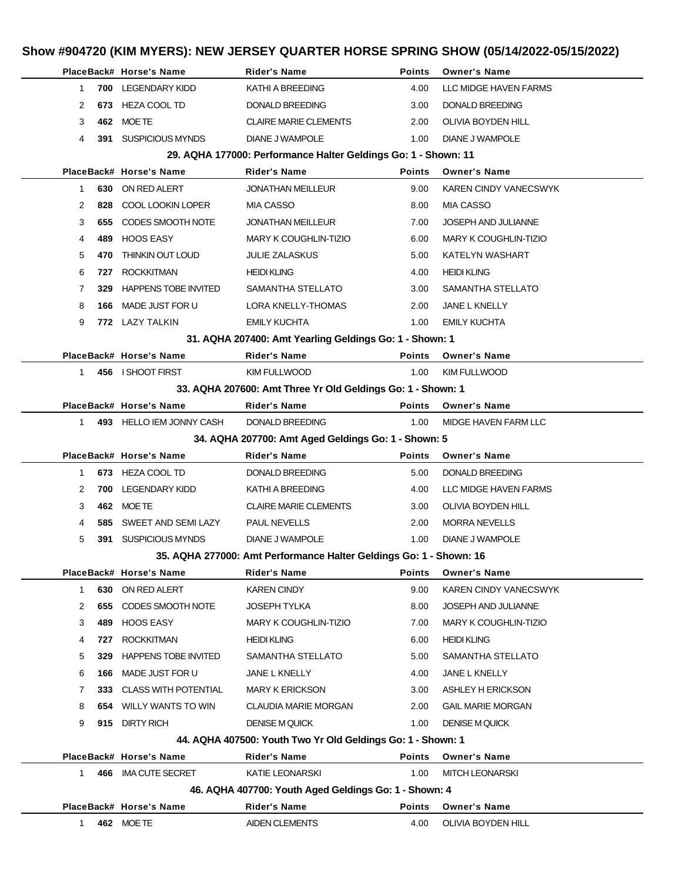|                                                     |     | PlaceBack# Horse's Name       | <b>Rider's Name</b>                                                | <b>Points</b> | <b>Owner's Name</b>          |  |  |  |
|-----------------------------------------------------|-----|-------------------------------|--------------------------------------------------------------------|---------------|------------------------------|--|--|--|
| 1                                                   |     | 700 LEGENDARY KIDD            | KATHI A BREEDING                                                   | 4.00          | LLC MIDGE HAVEN FARMS        |  |  |  |
| 2                                                   | 673 | <b>HEZA COOL TD</b>           | <b>DONALD BREEDING</b>                                             | 3.00          | DONALD BREEDING              |  |  |  |
| 3                                                   |     | 462 MOETE                     | <b>CLAIRE MARIE CLEMENTS</b>                                       | 2.00          | OLIVIA BOYDEN HILL           |  |  |  |
| 4                                                   |     | 391 SUSPICIOUS MYNDS          | DIANE J WAMPOLE                                                    | 1.00          | DIANE J WAMPOLE              |  |  |  |
|                                                     |     |                               | 29. AQHA 177000: Performance Halter Geldings Go: 1 - Shown: 11     |               |                              |  |  |  |
|                                                     |     | PlaceBack# Horse's Name       | <b>Rider's Name</b>                                                | <b>Points</b> | <b>Owner's Name</b>          |  |  |  |
| 1.                                                  |     | 630 ON RED ALERT              | <b>JONATHAN MEILLEUR</b>                                           | 9.00          | <b>KAREN CINDY VANECSWYK</b> |  |  |  |
| 2                                                   | 828 | COOL LOOKIN LOPER             | MIA CASSO                                                          | 8.00          | MIA CASSO                    |  |  |  |
| 3                                                   | 655 | CODES SMOOTH NOTE             | <b>JONATHAN MEILLEUR</b>                                           | 7.00          | <b>JOSEPH AND JULIANNE</b>   |  |  |  |
| 4                                                   | 489 | HOOS EASY                     | MARY K COUGHLIN-TIZIO                                              | 6.00          | <b>MARY K COUGHLIN-TIZIO</b> |  |  |  |
| 5                                                   |     | THINKIN OUT LOUD              |                                                                    | 5.00          | KATELYN WASHART              |  |  |  |
|                                                     | 470 |                               | JULIE ZALASKUS                                                     |               |                              |  |  |  |
| 6                                                   | 727 | <b>ROCKKITMAN</b>             | <b>HEIDI KLING</b>                                                 | 4.00          | <b>HEIDI KLING</b>           |  |  |  |
| 7                                                   | 329 | <b>HAPPENS TOBE INVITED</b>   | SAMANTHA STELLATO                                                  | 3.00          | SAMANTHA STELLATO            |  |  |  |
| 8                                                   | 166 | MADE JUST FOR U               | <b>LORA KNELLY-THOMAS</b>                                          | 2.00          | JANE L KNELLY                |  |  |  |
| 9                                                   |     | 772 LAZY TALKIN               | <b>EMILY KUCHTA</b>                                                | 1.00          | <b>EMILY KUCHTA</b>          |  |  |  |
|                                                     |     |                               | 31. AQHA 207400: Amt Yearling Geldings Go: 1 - Shown: 1            |               |                              |  |  |  |
|                                                     |     | PlaceBack# Horse's Name       | <b>Rider's Name</b>                                                | <b>Points</b> | <b>Owner's Name</b>          |  |  |  |
| 1.                                                  |     | 456 I SHOOT FIRST             | <b>KIM FULLWOOD</b>                                                | 1.00          | <b>KIM FULLWOOD</b>          |  |  |  |
|                                                     |     |                               | 33. AQHA 207600: Amt Three Yr Old Geldings Go: 1 - Shown: 1        |               |                              |  |  |  |
|                                                     |     | PlaceBack# Horse's Name       | <b>Rider's Name</b>                                                | <b>Points</b> | <b>Owner's Name</b>          |  |  |  |
| 1                                                   |     | 493 HELLO IEM JONNY CASH      | DONALD BREEDING                                                    | 1.00          | MIDGE HAVEN FARM LLC         |  |  |  |
| 34. AQHA 207700: Amt Aged Geldings Go: 1 - Shown: 5 |     |                               |                                                                    |               |                              |  |  |  |
|                                                     |     |                               |                                                                    |               |                              |  |  |  |
|                                                     |     | PlaceBack# Horse's Name       | <b>Rider's Name</b>                                                | <b>Points</b> | <b>Owner's Name</b>          |  |  |  |
| 1.                                                  |     | 673 HEZA COOL TD              | <b>DONALD BREEDING</b>                                             | 5.00          | <b>DONALD BREEDING</b>       |  |  |  |
| 2                                                   | 700 | <b>LEGENDARY KIDD</b>         | KATHI A BREEDING                                                   | 4.00          | LLC MIDGE HAVEN FARMS        |  |  |  |
| 3                                                   |     | 462 MOETE                     | <b>CLAIRE MARIE CLEMENTS</b>                                       | 3.00          | <b>OLIVIA BOYDEN HILL</b>    |  |  |  |
| 4                                                   | 585 | SWEET AND SEMI LAZY           | <b>PAUL NEVELLS</b>                                                | 2.00          | <b>MORRA NEVELLS</b>         |  |  |  |
| 5                                                   | 391 | SUSPICIOUS MYNDS              | DIANE J WAMPOLE                                                    | 1.00          | <b>DIANE J WAMPOLE</b>       |  |  |  |
|                                                     |     |                               | 35. AQHA 277000: Amt Performance Halter Geldings Go: 1 - Shown: 16 |               |                              |  |  |  |
|                                                     |     | PlaceBack# Horse's Name       | <b>Rider's Name</b>                                                | Points        | <b>Owner's Name</b>          |  |  |  |
| 1                                                   |     | 630 ON RED ALERT              | KAREN CINDY                                                        | 9.00          | <b>KAREN CINDY VANECSWYK</b> |  |  |  |
| 2                                                   |     | 655 CODES SMOOTH NOTE         | JOSEPH TYLKA                                                       | 8.00          | JOSEPH AND JULIANNE          |  |  |  |
| 3                                                   | 489 | HOOS EASY                     | <b>MARY K COUGHLIN-TIZIO</b>                                       | 7.00          | <b>MARY K COUGHLIN-TIZIO</b> |  |  |  |
| 4                                                   | 727 | <b>ROCKKITMAN</b>             | <b>HEIDI KLING</b>                                                 | 6.00          | <b>HEIDI KLING</b>           |  |  |  |
| 5                                                   | 329 | HAPPENS TOBE INVITED          | SAMANTHA STELLATO                                                  | 5.00          | SAMANTHA STELLATO            |  |  |  |
| 6                                                   |     | 166 MADE JUST FOR U           | JANE L KNELLY                                                      | 4.00          | JANE L KNELLY                |  |  |  |
| 7                                                   |     | 333 CLASS WITH POTENTIAL      | <b>MARY K ERICKSON</b>                                             | 3.00          | ASHLEY H ERICKSON            |  |  |  |
| 8                                                   |     | <b>654 WILLY WANTS TO WIN</b> | CLAUDIA MARIE MORGAN                                               | 2.00          | <b>GAIL MARIE MORGAN</b>     |  |  |  |
| 9                                                   |     | 915 DIRTY RICH                | <b>DENISE M QUICK</b>                                              | 1.00          | <b>DENISE M QUICK</b>        |  |  |  |
|                                                     |     |                               | 44. AQHA 407500: Youth Two Yr Old Geldings Go: 1 - Shown: 1        |               |                              |  |  |  |
|                                                     |     | PlaceBack# Horse's Name       | Rider's Name                                                       | <b>Points</b> | <b>Owner's Name</b>          |  |  |  |
| $1 \quad$                                           |     | 466 IMA CUTE SECRET           | KATIE LEONARSKI                                                    | 1.00          | <b>MITCH LEONARSKI</b>       |  |  |  |
|                                                     |     |                               | 46. AQHA 407700: Youth Aged Geldings Go: 1 - Shown: 4              |               |                              |  |  |  |
|                                                     |     | PlaceBack# Horse's Name       | <b>Rider's Name</b>                                                | <b>Points</b> | <b>Owner's Name</b>          |  |  |  |
| $1 \quad$                                           |     | 462 MOETE                     | <b>AIDEN CLEMENTS</b>                                              | 4.00          | OLIVIA BOYDEN HILL           |  |  |  |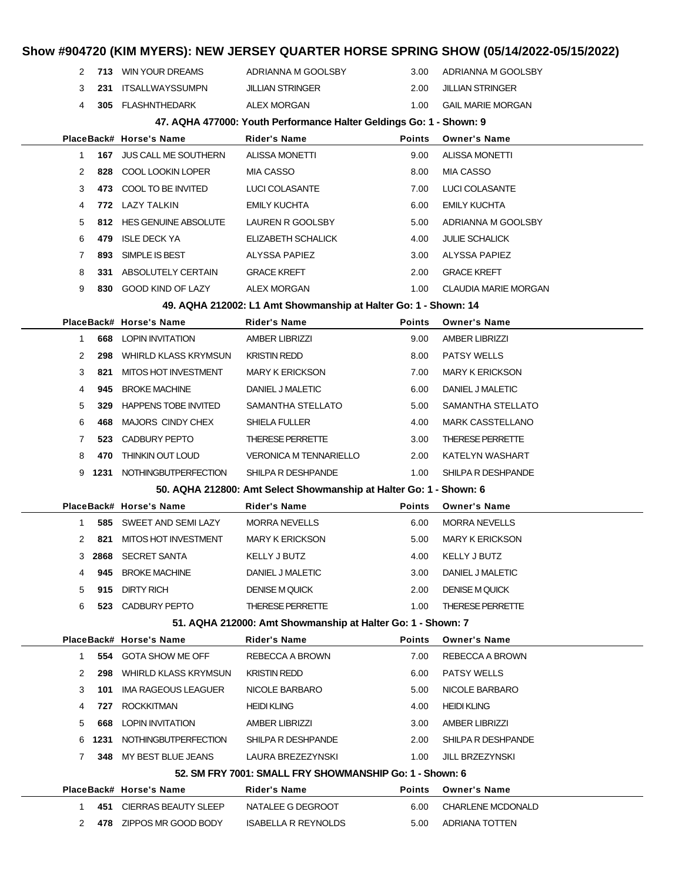## **Show #904720 (KIM MYERS): NEW JERSEY QUARTER HORSE SPRING SHOW (05/14/2022-05/15/2022) 713** WIN YOUR DREAMS ADRIANNA M GOOLSBY 3.00 ADRIANNA M GOOLSBY **231** ITSALLWAYSSUMPN JILLIAN STRINGER 2.00 JILLIAN STRINGER **305** FLASHNTHEDARK ALEX MORGAN 1.00 GAIL MARIE MORGAN **47. AQHA 477000: Youth Performance Halter Geldings Go: 1 - Shown: 9 PlaceBack# Horse's Name Rider's Name Points Owner's Name 167** JUS CALL ME SOUTHERN ALISSA MONETTI 9.00 ALISSA MONETTI **828** COOL LOOKIN LOPER MIA CASSO 8.00 MIA CASSO **473** COOL TO BE INVITED LUCI COLASANTE 7.00 LUCI COLASANTE **772** LAZY TALKIN EMILY KUCHTA 6.00 EMILY KUCHTA **812** HES GENUINE ABSOLUTE LAUREN R GOOLSBY 5.00 ADRIANNA M GOOLSBY **479** ISLE DECK YA ELIZABETH SCHALICK 4.00 JULIE SCHALICK **893** SIMPLE IS BEST ALYSSA PAPIEZ 3.00 ALYSSA PAPIEZ **331** ABSOLUTELY CERTAIN GRACE KREFT 2.00 GRACE KREFT **830** GOOD KIND OF LAZY ALEX MORGAN 1.00 CLAUDIA MARIE MORGAN **49. AQHA 212002: L1 Amt Showmanship at Halter Go: 1 - Shown: 14 PlaceBack# Horse's Name Rider's Name Points Owner's Name 668** LOPIN INVITATION AMBER LIBRIZZI 9.00 AMBER LIBRIZZI **298** WHIRLD KLASS KRYMSUN KRISTIN REDD 8.00 PATSY WELLS **821** MITOS HOT INVESTMENT MARY K ERICKSON 7.00 MARY K ERICKSON **945** BROKE MACHINE DANIEL J MALETIC 6.00 DANIEL J MALETIC **329** HAPPENS TOBE INVITED SAMANTHA STELLATO 5.00 SAMANTHA STELLATO **468** MAJORS CINDY CHEX SHIELA FULLER 4.00 MARK CASSTELLANO **523** CADBURY PEPTO THERESE PERRETTE 3.00 THERESE PERRETTE **470** THINKIN OUT LOUD VERONICA M TENNARIELLO 2.00 KATELYN WASHART **1231** NOTHINGBUTPERFECTION SHILPA R DESHPANDE 1.00 SHILPA R DESHPANDE **50. AQHA 212800: Amt Select Showmanship at Halter Go: 1 - Shown: 6 PlaceBack# Horse's Name Rider's Name Points Owner's Name 585** SWEET AND SEMI LAZY MORRA NEVELLS 6.00 MORRA NEVELLS **821** MITOS HOT INVESTMENT MARY K ERICKSON 5.00 MARY K ERICKSON **2868** SECRET SANTA KELLY J BUTZ 4.00 KELLY J BUTZ **945** BROKE MACHINE DANIEL J MALETIC 3.00 DANIEL J MALETIC **915** DIRTY RICH DENISE M QUICK 2.00 DENISE M QUICK **523** CADBURY PEPTO THERESE PERRETTE 1.00 THERESE PERRETTE **51. AQHA 212000: Amt Showmanship at Halter Go: 1 - Shown: 7 PlaceBack# Horse's Name Rider's Name Points Owner's Name 554** GOTA SHOW ME OFF REBECCA A BROWN 7.00 REBECCA A BROWN **298** WHIRLD KLASS KRYMSUN KRISTIN REDD 6.00 PATSY WELLS **101** IMA RAGEOUS LEAGUER NICOLE BARBARO 5.00 NICOLE BARBARO **727** ROCKKITMAN **HEIDI KLING 128 A.00 HEIDI KLING 668** LOPIN INVITATION AMBER LIBRIZZI 3.00 AMBER LIBRIZZI **1231** NOTHINGBUTPERFECTION SHILPA R DESHPANDE 2.00 SHILPA R DESHPANDE **348** MY BEST BLUE JEANS LAURA BREZEZYNSKI 1.00 JILL BRZEZYNSKI **52. SM FRY 7001: SMALL FRY SHOWMANSHIP Go: 1 - Shown: 6 PlaceBack# Horse's Name Rider's Name Points Owner's Name 451** CIERRAS BEAUTY SLEEP NATALEE G DEGROOT 6.00 CHARLENE MCDONALD **478** ZIPPOS MR GOOD BODY ISABELLA R REYNOLDS 5.00 ADRIANA TOTTEN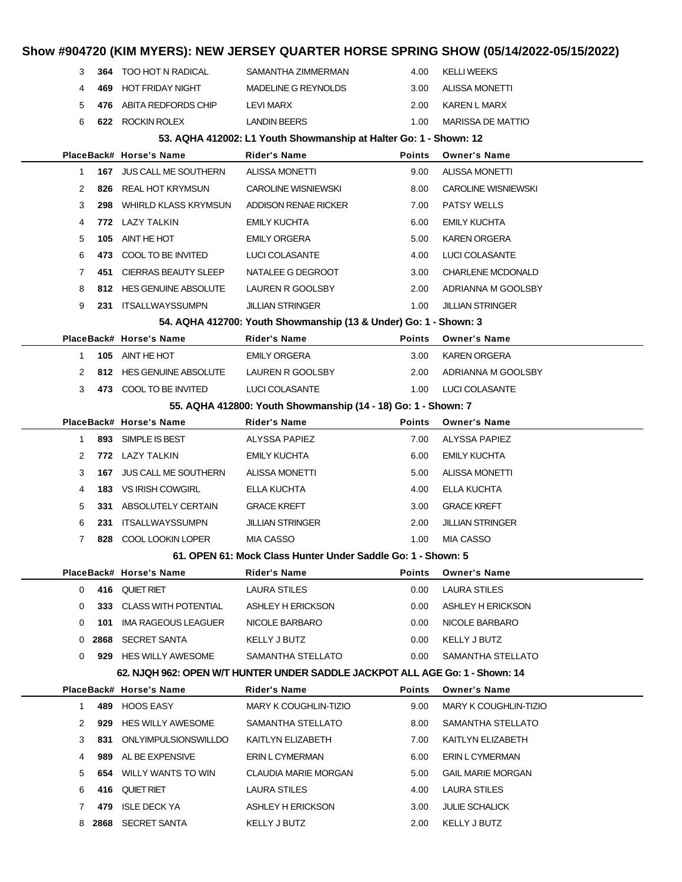## **Show #904720 (KIM MYERS): NEW JERSEY QUARTER HORSE SPRING SHOW (05/14/2022-05/15/2022) 364** TOO HOT N RADICAL SAMANTHA ZIMMERMAN 4.00 KELLI WEEKS **469** HOT FRIDAY NIGHT MADELINE G REYNOLDS 3.00 ALISSA MONETTI **476** ABITA REDFORDS CHIP LEVI MARX 2.00 KAREN L MARX **622** ROCKIN ROLEX LANDIN BEERS 1.00 MARISSA DE MATTIO **53. AQHA 412002: L1 Youth Showmanship at Halter Go: 1 - Shown: 12 PlaceBack# Horse's Name Rider's Name Points Owner's Name 167** JUS CALL ME SOUTHERN ALISSA MONETTI 9.00 ALISSA MONETTI **826** REAL HOT KRYMSUN CAROLINE WISNIEWSKI 8.00 CAROLINE WISNIEWSKI **298** WHIRLD KLASS KRYMSUN ADDISON RENAE RICKER 7.00 PATSY WELLS **772** LAZY TALKIN EMILY KUCHTA 6.00 EMILY KUCHTA **105** AINT HE HOT EMILY ORGERA 5.00 KAREN ORGERA **473** COOL TO BE INVITED LUCI COLASANTE 4.00 LUCI COLASANTE **451** CIERRAS BEAUTY SLEEP NATALEE G DEGROOT 3.00 CHARLENE MCDONALD **812** HES GENUINE ABSOLUTE LAUREN R GOOLSBY 2.00 ADRIANNA M GOOLSBY **231** ITSALLWAYSSUMPN JILLIAN STRINGER 1.00 JILLIAN STRINGER **54. AQHA 412700: Youth Showmanship (13 & Under) Go: 1 - Shown: 3 PlaceBack# Horse's Name Rider's Name Points Owner's Name 105** AINT HE HOT EMILY ORGERA 3.00 KAREN ORGERA **812** HES GENUINE ABSOLUTE LAUREN R GOOLSBY 2.00 ADRIANNA M GOOLSBY **473** COOL TO BE INVITED LUCI COLASANTE 1.00 LUCI COLASANTE **55. AQHA 412800: Youth Showmanship (14 - 18) Go: 1 - Shown: 7 PlaceBack# Horse's Name Rider's Name Points Owner's Name 893** SIMPLE IS BEST ALYSSA PAPIEZ 7.00 ALYSSA PAPIEZ **772** LAZY TALKIN EMILY KUCHTA 6.00 EMILY KUCHTA **167** JUS CALL ME SOUTHERN ALISSA MONETTI 5.00 ALISSA MONETTI **183** VS IRISH COWGIRL ELLA KUCHTA 4.00 ELLA KUCHTA **331** ABSOLUTELY CERTAIN GRACE KREFT 3.00 GRACE KREFT **231** ITSALLWAYSSUMPN JILLIAN STRINGER 2.00 JILLIAN STRINGER **828** COOL LOOKIN LOPER MIA CASSO 1.00 MIA CASSO **61. OPEN 61: Mock Class Hunter Under Saddle Go: 1 - Shown: 5 PlaceBack# Horse's Name Rider's Name Points Owner's Name 416** QUIET RIET **LAURA STILES** 0.00 LAURA STILES **333** CLASS WITH POTENTIAL ASHLEY H ERICKSON 0.00 ASHLEY H ERICKSON **101** IMA RAGEOUS LEAGUER NICOLE BARBARO 0.00 NICOLE BARBARO **2868** SECRET SANTA KELLY J BUTZ 0.00 KELLY J BUTZ **929** HES WILLY AWESOME SAMANTHA STELLATO 0.00 SAMANTHA STELLATO **62. NJQH 962: OPEN W/T HUNTER UNDER SADDLE JACKPOT ALL AGE Go: 1 - Shown: 14 PlaceBack# Horse's Name Rider's Name Points Owner's Name 489** HOOS EASY MARY K COUGHLIN-TIZIO 9.00 MARY K COUGHLIN-TIZIO **929** HES WILLY AWESOME SAMANTHA STELLATO 8.00 SAMANTHA STELLATO **831** ONLYIMPULSIONSWILLDO KAITLYN ELIZABETH 7.00 KAITLYN ELIZABETH **989** AL BE EXPENSIVE ERIN L CYMERMAN 6.00 ERIN L CYMERMAN **654** WILLY WANTS TO WIN CLAUDIA MARIE MORGAN 5.00 GAIL MARIE MORGAN **416** QUIET RIET LAURA STILES 4.00 LAURA STILES **479** ISLE DECK YA ASHLEY H ERICKSON 3.00 JULIE SCHALICK **2868** SECRET SANTA **KELLY J BUTZ** 2.00 KELLY J BUTZ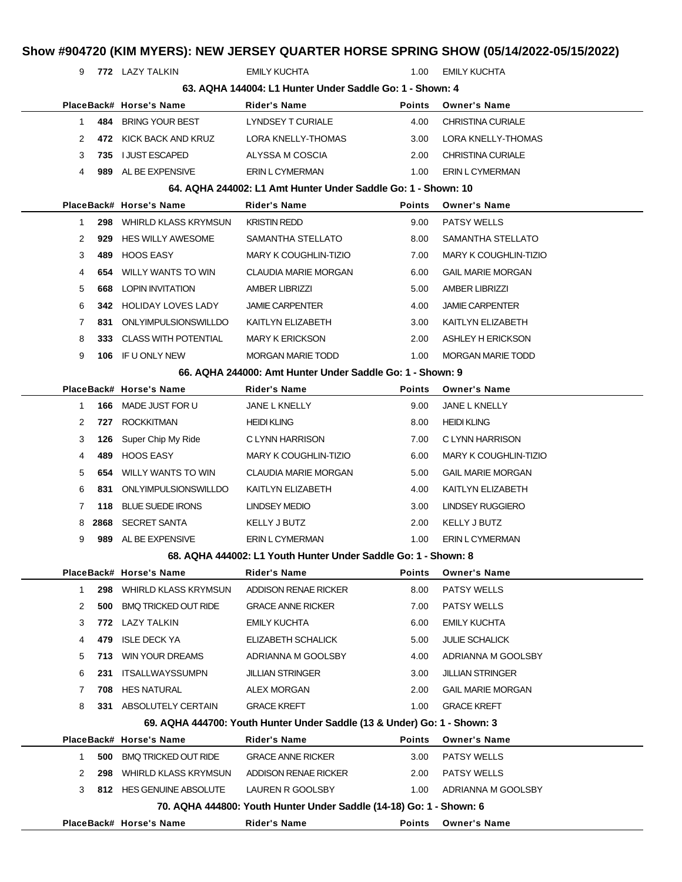|              |     |                                                                |                                                                          |               | Show #904720 (KIM MYERS): NEW JERSEY QUARTER HORSE SPRING SHOW (05/14/2022-05/15/2022) |
|--------------|-----|----------------------------------------------------------------|--------------------------------------------------------------------------|---------------|----------------------------------------------------------------------------------------|
| 9            |     | 772 LAZY TALKIN                                                | <b>EMILY KUCHTA</b>                                                      | 1.00          | <b>EMILY KUCHTA</b>                                                                    |
|              |     |                                                                | 63. AQHA 144004: L1 Hunter Under Saddle Go: 1 - Shown: 4                 |               |                                                                                        |
|              |     | PlaceBack# Horse's Name                                        | Rider's Name                                                             | <b>Points</b> | <b>Owner's Name</b>                                                                    |
| $\mathbf{1}$ | 484 | BRING YOUR BEST                                                | LYNDSEY T CURIALE                                                        | 4.00          | CHRISTINA CURIALE                                                                      |
| 2            |     | 472 KICK BACK AND KRUZ                                         | LORA KNELLY-THOMAS                                                       | 3.00          | LORA KNELLY-THOMAS                                                                     |
| 3            | 735 | <b>I JUST ESCAPED</b>                                          | ALYSSA M COSCIA                                                          | 2.00          | <b>CHRISTINA CURIALE</b>                                                               |
| 4            |     | 989 AL BE EXPENSIVE                                            | ERIN L CYMERMAN                                                          | 1.00          | ERIN L CYMERMAN                                                                        |
|              |     |                                                                | 64. AQHA 244002: L1 Amt Hunter Under Saddle Go: 1 - Shown: 10            |               |                                                                                        |
|              |     | PlaceBack# Horse's Name                                        | Rider's Name                                                             | Points        | <b>Owner's Name</b>                                                                    |
| 1            | 298 | WHIRLD KLASS KRYMSUN                                           | <b>KRISTIN REDD</b>                                                      | 9.00          | <b>PATSY WELLS</b>                                                                     |
| 2            | 929 | HES WILLY AWESOME                                              | SAMANTHA STELLATO                                                        | 8.00          | SAMANTHA STELLATO                                                                      |
| 3            | 489 | HOOS EASY                                                      | MARY K COUGHLIN-TIZIO                                                    | 7.00          | MARY K COUGHLIN-TIZIO                                                                  |
| 4            | 654 | <b>WILLY WANTS TO WIN</b>                                      | CLAUDIA MARIE MORGAN                                                     | 6.00          | <b>GAIL MARIE MORGAN</b>                                                               |
| 5            | 668 | LOPIN INVITATION                                               | <b>AMBER LIBRIZZI</b>                                                    | 5.00          | <b>AMBER LIBRIZZI</b>                                                                  |
| 6            | 342 | HOLIDAY LOVES LADY                                             | <b>JAMIE CARPENTER</b>                                                   | 4.00          | <b>JAMIE CARPENTER</b>                                                                 |
| 7            | 831 | ONLYIMPULSIONSWILLDO                                           | KAITLYN ELIZABETH                                                        | 3.00          | KAITLYN ELIZABETH                                                                      |
| 8            | 333 | CLASS WITH POTENTIAL                                           | <b>MARY K ERICKSON</b>                                                   | 2.00          | ASHLEY H ERICKSON                                                                      |
| 9            |     | 106 IF U ONLY NEW                                              | <b>MORGAN MARIE TODD</b>                                                 | 1.00          | <b>MORGAN MARIE TODD</b>                                                               |
|              |     |                                                                | 66. AQHA 244000: Amt Hunter Under Saddle Go: 1 - Shown: 9                |               |                                                                                        |
|              |     | PlaceBack# Horse's Name                                        | <b>Rider's Name</b>                                                      | Points        | <b>Owner's Name</b>                                                                    |
| 1            | 166 | MADE JUST FOR U                                                | JANE L KNELLY                                                            | 9.00          | <b>JANE L KNELLY</b>                                                                   |
| 2            | 727 | <b>ROCKKITMAN</b>                                              | <b>HEIDI KLING</b>                                                       | 8.00          | <b>HEIDI KLING</b>                                                                     |
| 3            | 126 | Super Chip My Ride                                             | C LYNN HARRISON                                                          | 7.00          | C LYNN HARRISON                                                                        |
| 4            | 489 | HOOS EASY                                                      | MARY K COUGHLIN-TIZIO                                                    | 6.00          | <b>MARY K COUGHLIN-TIZIO</b>                                                           |
| 5            | 654 | WILLY WANTS TO WIN                                             | <b>CLAUDIA MARIE MORGAN</b>                                              | 5.00          | <b>GAIL MARIE MORGAN</b>                                                               |
| 6            | 831 | ONLYIMPULSIONSWILLDO                                           | KAITLYN ELIZABETH                                                        | 4.00          | KAITLYN ELIZABETH                                                                      |
| 7            | 118 | <b>BLUE SUEDE IRONS</b>                                        | LINDSEY MEDIO                                                            | 3.00          | LINDSEY RUGGIERO                                                                       |
| 8            |     | 2868 SECRET SANTA                                              | KELLY J BUTZ                                                             | 2.00          | KELLY J BUTZ                                                                           |
| 9            |     | 989 AL BE EXPENSIVE                                            | ERIN L CYMERMAN                                                          | 1.00          | ERIN L CYMERMAN                                                                        |
|              |     | 68. AQHA 444002: L1 Youth Hunter Under Saddle Go: 1 - Shown: 8 |                                                                          |               |                                                                                        |
|              |     | PlaceBack# Horse's Name                                        | <b>Rider's Name</b>                                                      | Points        | <b>Owner's Name</b>                                                                    |
| $\mathbf{1}$ | 298 | <b>WHIRLD KLASS KRYMSUN</b>                                    | ADDISON RENAE RICKER                                                     | 8.00          | <b>PATSY WELLS</b>                                                                     |
| 2            | 500 | <b>BMQ TRICKED OUT RIDE</b>                                    | <b>GRACE ANNE RICKER</b>                                                 | 7.00          | <b>PATSY WELLS</b>                                                                     |
| 3            |     | 772 LAZY TALKIN                                                | EMILY KUCHTA                                                             | 6.00          | <b>EMILY KUCHTA</b>                                                                    |
| 4            | 479 | <b>ISLE DECK YA</b>                                            | ELIZABETH SCHALICK                                                       | 5.00          | <b>JULIE SCHALICK</b>                                                                  |
| 5            | 713 | <b>WIN YOUR DREAMS</b>                                         | ADRIANNA M GOOLSBY                                                       | 4.00          | ADRIANNA M GOOLSBY                                                                     |
| 6            | 231 | ITSALLWAYSSUMPN                                                | <b>JILLIAN STRINGER</b>                                                  | 3.00          | <b>JILLIAN STRINGER</b>                                                                |
| 7            | 708 | <b>HES NATURAL</b>                                             | ALEX MORGAN                                                              | 2.00          | <b>GAIL MARIE MORGAN</b>                                                               |
| 8            |     | 331 ABSOLUTELY CERTAIN                                         | <b>GRACE KREFT</b>                                                       | 1.00          | <b>GRACE KREFT</b>                                                                     |
|              |     |                                                                | 69. AQHA 444700: Youth Hunter Under Saddle (13 & Under) Go: 1 - Shown: 3 |               |                                                                                        |
|              |     | PlaceBack# Horse's Name                                        | <b>Rider's Name</b>                                                      | Points        | <b>Owner's Name</b>                                                                    |
| $\mathbf 1$  | 500 | <b>BMQ TRICKED OUT RIDE</b>                                    | <b>GRACE ANNE RICKER</b>                                                 | 3.00          | PATSY WELLS                                                                            |
| 2            | 298 | WHIRLD KLASS KRYMSUN                                           | ADDISON RENAE RICKER                                                     | 2.00          | <b>PATSY WELLS</b>                                                                     |
| 3            |     | 812 HES GENUINE ABSOLUTE                                       | LAUREN R GOOLSBY                                                         | 1.00          | ADRIANNA M GOOLSBY                                                                     |
|              |     |                                                                | 70. AQHA 444800: Youth Hunter Under Saddle (14-18) Go: 1 - Shown: 6      |               |                                                                                        |
|              |     | PlaceBack# Horse's Name                                        | <b>Rider's Name</b>                                                      | Points        | <b>Owner's Name</b>                                                                    |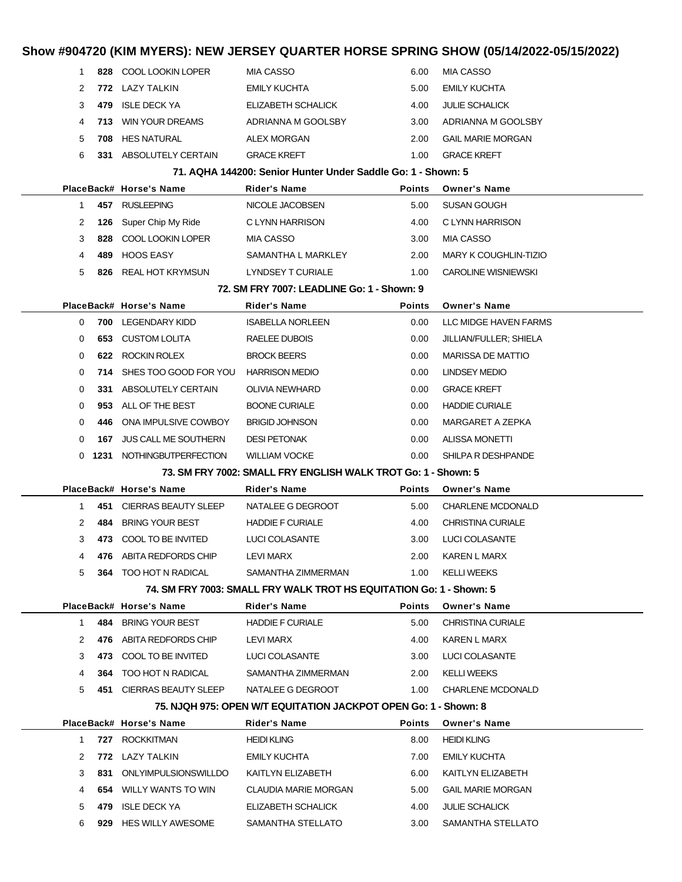|              |              |                                            |                                                                     |               | Show #904720 (KIM MYERS): NEW JERSEY QUARTER HORSE SPRING SHOW (05/14/2022-05/15/2022) |
|--------------|--------------|--------------------------------------------|---------------------------------------------------------------------|---------------|----------------------------------------------------------------------------------------|
| 1            |              | 828 COOL LOOKIN LOPER                      | <b>MIA CASSO</b>                                                    | 6.00          | <b>MIA CASSO</b>                                                                       |
| 2            |              | 772 LAZY TALKIN                            | <b>EMILY KUCHTA</b>                                                 | 5.00          | <b>EMILY KUCHTA</b>                                                                    |
| 3            | 479          | <b>ISLE DECK YA</b>                        | ELIZABETH SCHALICK                                                  | 4.00          | <b>JULIE SCHALICK</b>                                                                  |
| 4            | 713          | <b>WIN YOUR DREAMS</b>                     | ADRIANNA M GOOLSBY                                                  | 3.00          | ADRIANNA M GOOLSBY                                                                     |
| 5            | 708          | <b>HES NATURAL</b>                         | <b>ALEX MORGAN</b>                                                  | 2.00          | <b>GAIL MARIE MORGAN</b>                                                               |
| 6            |              | 331 ABSOLUTELY CERTAIN                     | <b>GRACE KREFT</b>                                                  | 1.00          | <b>GRACE KREFT</b>                                                                     |
|              |              |                                            | 71. AQHA 144200: Senior Hunter Under Saddle Go: 1 - Shown: 5        |               |                                                                                        |
|              |              | PlaceBack# Horse's Name                    | Rider's Name                                                        | <b>Points</b> | <b>Owner's Name</b>                                                                    |
| 1            |              | 457 RUSLEEPING                             | NICOLE JACOBSEN                                                     | 5.00          | <b>SUSAN GOUGH</b>                                                                     |
| 2            | 126          | Super Chip My Ride                         | C LYNN HARRISON                                                     | 4.00          | C LYNN HARRISON                                                                        |
| 3            | 828          | COOL LOOKIN LOPER                          | MIA CASSO                                                           | 3.00          | MIA CASSO                                                                              |
| 4            | 489          | <b>HOOS EASY</b>                           | SAMANTHA L MARKLEY                                                  | 2.00          | MARY K COUGHLIN-TIZIO                                                                  |
| 5            | 826          | <b>REAL HOT KRYMSUN</b>                    | LYNDSEY T CURIALE                                                   | 1.00          | <b>CAROLINE WISNIEWSKI</b>                                                             |
|              |              |                                            | 72. SM FRY 7007: LEADLINE Go: 1 - Shown: 9                          |               |                                                                                        |
|              |              | PlaceBack# Horse's Name                    | Rider's Name                                                        | <b>Points</b> | <b>Owner's Name</b>                                                                    |
| 0            | 700          | LEGENDARY KIDD                             | <b>ISABELLA NORLEEN</b>                                             | 0.00          | LLC MIDGE HAVEN FARMS                                                                  |
| 0            | 653          | <b>CUSTOM LOLITA</b>                       | RAELEE DUBOIS                                                       | 0.00          | JILLIAN/FULLER; SHIELA                                                                 |
| 0            | 622          | ROCKIN ROLEX                               | <b>BROCK BEERS</b>                                                  | 0.00          | <b>MARISSA DE MATTIO</b>                                                               |
| 0            | 714          | SHES TOO GOOD FOR YOU HARRISON MEDIO       |                                                                     | 0.00          | <b>LINDSEY MEDIO</b>                                                                   |
| 0            | 331          | ABSOLUTELY CERTAIN                         | <b>OLIVIA NEWHARD</b>                                               | 0.00          | <b>GRACE KREFT</b>                                                                     |
| 0            | 953          | ALL OF THE BEST                            | <b>BOONE CURIALE</b>                                                | 0.00          | <b>HADDIE CURIALE</b>                                                                  |
| 0            | 446          | ONA IMPULSIVE COWBOY                       | <b>BRIGID JOHNSON</b>                                               | 0.00          | MARGARET A ZEPKA                                                                       |
| 0            | 167          | <b>JUS CALL ME SOUTHERN</b>                | <b>DESI PETONAK</b>                                                 | 0.00          | <b>ALISSA MONETTI</b>                                                                  |
| 0            |              | 1231 NOTHINGBUTPERFECTION                  | <b>WILLIAM VOCKE</b>                                                | 0.00          | SHILPA R DESHPANDE                                                                     |
|              |              |                                            | 73. SM FRY 7002: SMALL FRY ENGLISH WALK TROT Go: 1 - Shown: 5       |               |                                                                                        |
|              |              | PlaceBack# Horse's Name                    | Rider's Name                                                        | <b>Points</b> | <b>Owner's Name</b>                                                                    |
| 1            | 451          | CIERRAS BEAUTY SLEEP                       | NATALEE G DEGROOT                                                   | 5.00          | <b>CHARLENE MCDONALD</b>                                                               |
| 2            | 484          | BRING YOUR BEST                            | <b>HADDIE F CURIALE</b>                                             | 4.00          | <b>CHRISTINA CURIALE</b>                                                               |
| 3            |              | 473 COOL TO BE INVITED                     | LUCI COLASANTE                                                      | 3.00          | LUCI COLASANTE                                                                         |
| 4            |              | 476 ABITA REDFORDS CHIP                    | LEVI MARX                                                           | 2.00          | KAREN L MARX                                                                           |
| 5            |              | <b>364 TOO HOT N RADICAL</b>               | SAMANTHA ZIMMERMAN                                                  | 1.00          | <b>KELLI WEEKS</b>                                                                     |
|              |              |                                            | 74. SM FRY 7003: SMALL FRY WALK TROT HS EQUITATION Go: 1 - Shown: 5 |               |                                                                                        |
|              |              | PlaceBack# Horse's Name                    | Rider's Name                                                        | <b>Points</b> | <b>Owner's Name</b>                                                                    |
|              | $\mathbf{1}$ | 484 BRING YOUR BEST                        | <b>HADDIE F CURIALE</b>                                             | 5.00          | <b>CHRISTINA CURIALE</b>                                                               |
| 2            |              | 476 ABITA REDFORDS CHIP                    | LEVI MARX                                                           | 4.00          | <b>KAREN L MARX</b>                                                                    |
| 3            |              | 473 COOL TO BE INVITED                     | LUCI COLASANTE                                                      | 3.00          | LUCI COLASANTE                                                                         |
| 4            |              | <b>364 TOO HOT N RADICAL</b>               | SAMANTHA ZIMMERMAN                                                  | 2.00          | <b>KELLI WEEKS</b>                                                                     |
| 5            |              | 451 CIERRAS BEAUTY SLEEP NATALEE G DEGROOT |                                                                     | 1.00          | <b>CHARLENE MCDONALD</b>                                                               |
|              |              |                                            | 75. NJQH 975: OPEN W/T EQUITATION JACKPOT OPEN Go: 1 - Shown: 8     |               |                                                                                        |
|              |              | PlaceBack# Horse's Name                    | Rider's Name                                                        | Points        | <b>Owner's Name</b>                                                                    |
| $\mathbf{1}$ |              | 727 ROCKKITMAN                             | <b>HEIDI KLING</b>                                                  | 8.00          | <b>HEIDI KLING</b>                                                                     |
| 2            |              | 772 LAZY TALKIN                            | EMILY KUCHTA                                                        | 7.00          | <b>EMILY KUCHTA</b>                                                                    |
| 3            | 831          | ONLYIMPULSIONSWILLDO                       | KAITLYN ELIZABETH                                                   | 6.00          | KAITLYN ELIZABETH                                                                      |
| 4            |              | 654 WILLY WANTS TO WIN                     | CLAUDIA MARIE MORGAN                                                | 5.00          | <b>GAIL MARIE MORGAN</b>                                                               |
| 5            |              | 479 ISLE DECK YA                           | ELIZABETH SCHALICK                                                  | 4.00          | <b>JULIE SCHALICK</b>                                                                  |
| 6            |              | 929 HES WILLY AWESOME                      | SAMANTHA STELLATO                                                   | 3.00          | SAMANTHA STELLATO                                                                      |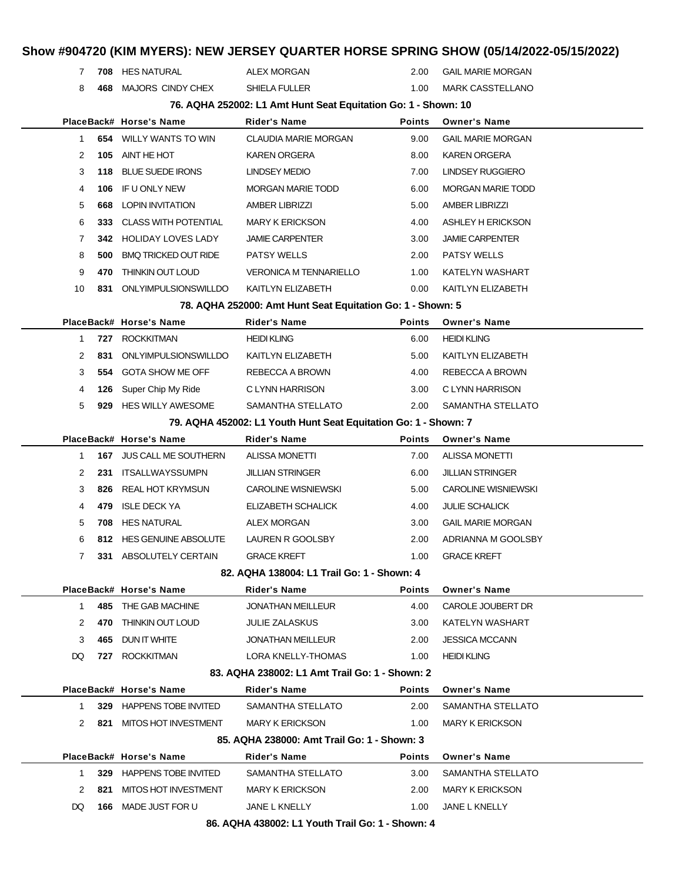## **Show #904720 (KIM MYERS): NEW JERSEY QUARTER HORSE SPRING SHOW (05/14/2022-05/15/2022) 708** HES NATURAL ALEX MORGAN 2.00 GAIL MARIE MORGAN **468** MAJORS CINDY CHEX SHIELA FULLER 1.00 MARK CASSTELLANO **76. AQHA 252002: L1 Amt Hunt Seat Equitation Go: 1 - Shown: 10 PlaceBack# Horse's Name Rider's Name Points Owner's Name 654** WILLY WANTS TO WIN CLAUDIA MARIE MORGAN 9.00 GAIL MARIE MORGAN **105** AINT HE HOT **KAREN ORGERA** 8.00 KAREN ORGERA **118** BLUE SUEDE IRONS LINDSEY MEDIO 7.00 LINDSEY RUGGIERO **106** IF U ONLY NEW MORGAN MARIE TODD 6.00 MORGAN MARIE TODD **668** LOPIN INVITATION AMBER LIBRIZZI 5.00 AMBER LIBRIZZI **333** CLASS WITH POTENTIAL MARY K ERICKSON 4.00 ASHLEY H ERICKSON **342** HOLIDAY LOVES LADY JAMIE CARPENTER 3.00 JAMIE CARPENTER **500** BMQ TRICKED OUT RIDE PATSY WELLS 2.00 PATSY WELLS **470** THINKIN OUT LOUD VERONICA M TENNARIELLO 1.00 KATELYN WASHART **831** ONLYIMPULSIONSWILLDO KAITLYN ELIZABETH 0.00 KAITLYN ELIZABETH **78. AQHA 252000: Amt Hunt Seat Equitation Go: 1 - Shown: 5 PlaceBack# Horse's Name Rider's Name Points Owner's Name 727** ROCKKITMAN **HEIDI KLING HEIDI KLING** 6.00 HEIDI KLING **831** ONLYIMPULSIONSWILLDO KAITLYN ELIZABETH 5.00 KAITLYN ELIZABETH **554** GOTA SHOW ME OFF REBECCA A BROWN 4.00 REBECCA A BROWN **126** Super Chip My Ride C LYNN HARRISON 3.00 C LYNN HARRISON **929** HES WILLY AWESOME SAMANTHA STELLATO 2.00 SAMANTHA STELLATO **79. AQHA 452002: L1 Youth Hunt Seat Equitation Go: 1 - Shown: 7 PlaceBack# Horse's Name Rider's Name Points Owner's Name 167** JUS CALL ME SOUTHERN ALISSA MONETTI 7.00 ALISSA MONETTI **231** ITSALLWAYSSUMPN JILLIAN STRINGER 6.00 JILLIAN STRINGER **826** REAL HOT KRYMSUN CAROLINE WISNIEWSKI 5.00 CAROLINE WISNIEWSKI **479** ISLE DECK YA ELIZABETH SCHALICK 4.00 JULIE SCHALICK **708** HES NATURAL ALEX MORGAN 3.00 GAIL MARIE MORGAN **812** HES GENUINE ABSOLUTE LAUREN R GOOLSBY 2.00 ADRIANNA M GOOLSBY **331** ABSOLUTELY CERTAIN GRACE KREFT 1.00 GRACE KREFT **82. AQHA 138004: L1 Trail Go: 1 - Shown: 4 PlaceBack# Horse's Name Rider's Name Points Owner's Name 485** THE GAB MACHINE JONATHAN MEILLEUR 4.00 CAROLE JOUBERT DR **470** THINKIN OUT LOUD JULIE ZALASKUS 3.00 KATELYN WASHART **465** DUN IT WHITE JONATHAN MEILLEUR 2.00 JESSICA MCCANN DQ **727** ROCKKITMAN LORA KNELLY-THOMAS 1.00 HEIDI KLING **83. AQHA 238002: L1 Amt Trail Go: 1 - Shown: 2 PlaceBack# Horse's Name Rider's Name Points Owner's Name 329** HAPPENS TOBE INVITED SAMANTHA STELLATO 2.00 SAMANTHA STELLATO **821** MITOS HOT INVESTMENT MARY K ERICKSON 1.00 MARY K ERICKSON **85. AQHA 238000: Amt Trail Go: 1 - Shown: 3 PlaceBack# Horse's Name Rider's Name Points Owner's Name 329** HAPPENS TOBE INVITED SAMANTHA STELLATO 3.00 SAMANTHA STELLATO **821** MITOS HOT INVESTMENT MARY K ERICKSON 2.00 MARY K ERICKSON DQ **166** MADE JUST FOR U JANE L KNELLY 1.00 JANE L KNELLY

**86. AQHA 438002: L1 Youth Trail Go: 1 - Shown: 4**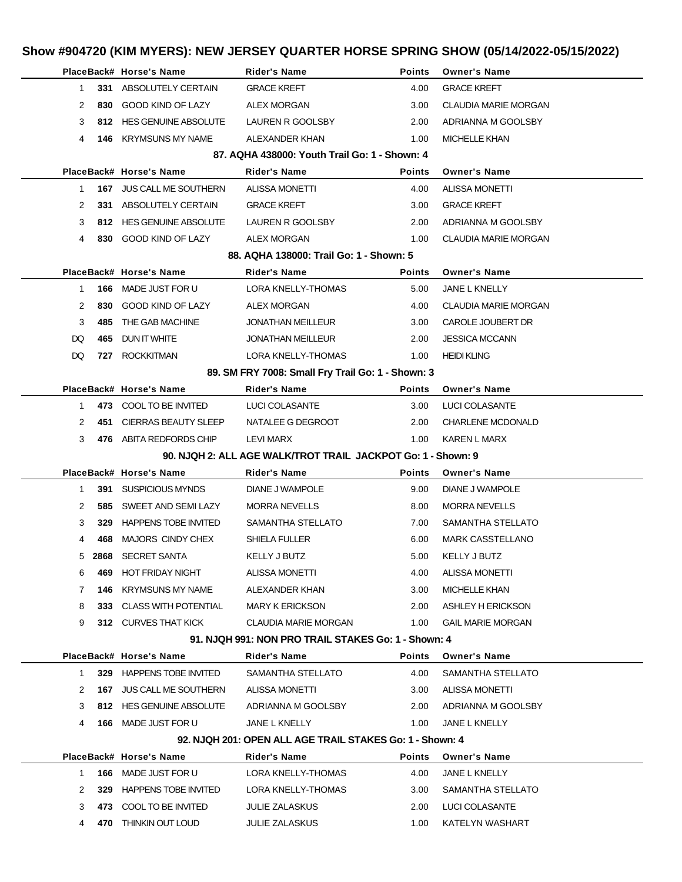|                      |     | PlaceBack# Horse's Name         | <b>Rider's Name</b>                                          | <b>Points</b> | <b>Owner's Name</b>         |  |
|----------------------|-----|---------------------------------|--------------------------------------------------------------|---------------|-----------------------------|--|
| $\mathbf{1}$         |     | 331 ABSOLUTELY CERTAIN          | <b>GRACE KREFT</b>                                           | 4.00          | <b>GRACE KREFT</b>          |  |
| $\mathbf{2}^{\circ}$ |     | 830 GOOD KIND OF LAZY           | <b>ALEX MORGAN</b>                                           | 3.00          | <b>CLAUDIA MARIE MORGAN</b> |  |
| 3                    |     | 812 HES GENUINE ABSOLUTE        | LAUREN R GOOLSBY                                             | 2.00          | ADRIANNA M GOOLSBY          |  |
| 4                    | 146 | KRYMSUNS MY NAME                | ALEXANDER KHAN                                               | 1.00          | <b>MICHELLE KHAN</b>        |  |
|                      |     |                                 | 87. AQHA 438000: Youth Trail Go: 1 - Shown: 4                |               |                             |  |
|                      |     | PlaceBack# Horse's Name         | <b>Rider's Name</b>                                          | <b>Points</b> | <b>Owner's Name</b>         |  |
| 1                    |     | 167 JUS CALL ME SOUTHERN        | <b>ALISSA MONETTI</b>                                        | 4.00          | <b>ALISSA MONETTI</b>       |  |
| 2                    |     | 331 ABSOLUTELY CERTAIN          | <b>GRACE KREFT</b>                                           | 3.00          | <b>GRACE KREFT</b>          |  |
| 3                    |     | 812 HES GENUINE ABSOLUTE        | LAUREN R GOOLSBY                                             | 2.00          | ADRIANNA M GOOLSBY          |  |
| 4                    |     | 830 GOOD KIND OF LAZY           | <b>ALEX MORGAN</b>                                           | 1.00          | <b>CLAUDIA MARIE MORGAN</b> |  |
|                      |     |                                 | 88. AQHA 138000: Trail Go: 1 - Shown: 5                      |               |                             |  |
|                      |     | PlaceBack# Horse's Name         | Rider's Name                                                 | <b>Points</b> | <b>Owner's Name</b>         |  |
| $\mathbf{1}$         | 166 | MADE JUST FOR U                 | <b>LORA KNELLY-THOMAS</b>                                    | 5.00          | JANE L KNELLY               |  |
| 2                    | 830 | GOOD KIND OF LAZY               | <b>ALEX MORGAN</b>                                           | 4.00          | <b>CLAUDIA MARIE MORGAN</b> |  |
| 3                    | 485 | THE GAB MACHINE                 | JONATHAN MEILLEUR                                            | 3.00          | CAROLE JOUBERT DR           |  |
| DQ                   | 465 | DUN IT WHITE                    | <b>JONATHAN MEILLEUR</b>                                     | 2.00          | <b>JESSICA MCCANN</b>       |  |
| DQ                   | 727 | <b>ROCKKITMAN</b>               | LORA KNELLY-THOMAS                                           | 1.00          | <b>HEIDI KLING</b>          |  |
|                      |     |                                 | 89. SM FRY 7008: Small Fry Trail Go: 1 - Shown: 3            |               |                             |  |
|                      |     | PlaceBack# Horse's Name         | Rider's Name                                                 | <b>Points</b> | <b>Owner's Name</b>         |  |
| $\mathbf{1}$         |     | 473 COOL TO BE INVITED          | LUCI COLASANTE                                               | 3.00          | LUCI COLASANTE              |  |
| 2                    |     | 451 CIERRAS BEAUTY SLEEP        | NATALEE G DEGROOT                                            | 2.00          | <b>CHARLENE MCDONALD</b>    |  |
| 3                    |     | 476 ABITA REDFORDS CHIP         | LEVI MARX                                                    | 1.00          | KAREN L MARX                |  |
|                      |     |                                 | 90. NJQH 2: ALL AGE WALK/TROT TRAIL JACKPOT Go: 1 - Shown: 9 |               |                             |  |
|                      |     | PlaceBack# Horse's Name         | Rider's Name                                                 | Points        | <b>Owner's Name</b>         |  |
|                      |     |                                 |                                                              |               |                             |  |
| 1                    |     | 391 SUSPICIOUS MYNDS            | DIANE J WAMPOLE                                              | 9.00          | DIANE J WAMPOLE             |  |
| 2                    | 585 | SWEET AND SEMI LAZY             | <b>MORRA NEVELLS</b>                                         | 8.00          | <b>MORRA NEVELLS</b>        |  |
| 3                    | 329 |                                 | SAMANTHA STELLATO                                            |               |                             |  |
| 4                    | 468 | <b>HAPPENS TOBE INVITED</b>     |                                                              | 7.00<br>6.00  | SAMANTHA STELLATO           |  |
|                      |     | MAJORS CINDY CHEX               | SHIELA FULLER                                                |               | <b>MARK CASSTELLANO</b>     |  |
| 5                    |     | 2868 SECRET SANTA               | <b>KELLY J BUTZ</b>                                          | 5.00          | <b>KELLY J BUTZ</b>         |  |
| 6                    |     | 469 HOT FRIDAY NIGHT            | ALISSA MONETTI                                               | 4.00          | <b>ALISSA MONETTI</b>       |  |
| 7                    | 146 | KRYMSUNS MY NAME                | ALEXANDER KHAN                                               | 3.00          | <b>MICHELLE KHAN</b>        |  |
| 8                    |     | 333 CLASS WITH POTENTIAL        | <b>MARY K ERICKSON</b>                                       | 2.00          | ASHLEY H ERICKSON           |  |
| 9                    |     | 312 CURVES THAT KICK            | CLAUDIA MARIE MORGAN                                         | 1.00          | <b>GAIL MARIE MORGAN</b>    |  |
|                      |     |                                 | 91. NJQH 991: NON PRO TRAIL STAKES Go: 1 - Shown: 4          |               |                             |  |
|                      |     | PlaceBack# Horse's Name         | <b>Rider's Name</b>                                          | <b>Points</b> | <b>Owner's Name</b>         |  |
| $\mathbf{1}$         |     | 329 HAPPENS TOBE INVITED        | SAMANTHA STELLATO                                            | 4.00          | SAMANTHA STELLATO           |  |
| 2                    |     | <b>167 JUS CALL ME SOUTHERN</b> | <b>ALISSA MONETTI</b>                                        | 3.00          | <b>ALISSA MONETTI</b>       |  |
| 3                    |     | 812 HES GENUINE ABSOLUTE        | ADRIANNA M GOOLSBY                                           | 2.00          | ADRIANNA M GOOLSBY          |  |
| 4                    |     | <b>166 MADE JUST FOR U</b>      | JANE L KNELLY                                                | 1.00          | JANE L KNELLY               |  |
|                      |     |                                 | 92. NJQH 201: OPEN ALL AGE TRAIL STAKES Go: 1 - Shown: 4     |               |                             |  |
|                      |     | PlaceBack# Horse's Name         | Rider's Name                                                 | <b>Points</b> | <b>Owner's Name</b>         |  |
| $\mathbf{1}$         | 166 | MADE JUST FOR U                 | LORA KNELLY-THOMAS                                           | 4.00          | JANE L KNELLY               |  |
| 2                    | 329 | HAPPENS TOBE INVITED            | LORA KNELLY-THOMAS                                           | 3.00          | SAMANTHA STELLATO           |  |
| 3                    |     | 473 COOL TO BE INVITED          | JULIE ZALASKUS                                               | 2.00          | LUCI COLASANTE              |  |
| 4                    |     | 470 THINKIN OUT LOUD            | JULIE ZALASKUS                                               | 1.00          | KATELYN WASHART             |  |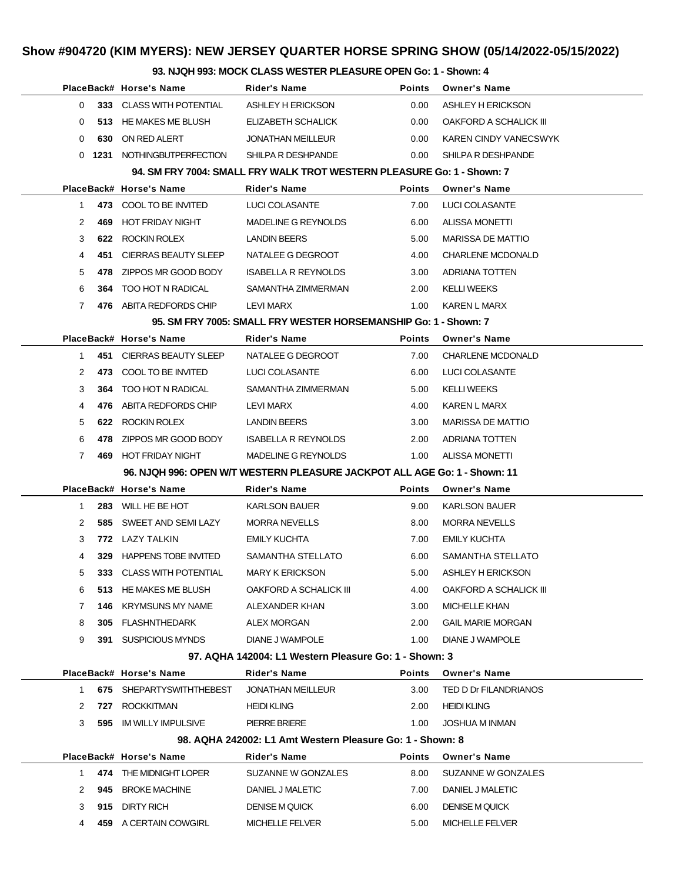**93. NJQH 993: MOCK CLASS WESTER PLEASURE OPEN Go: 1 - Shown: 4**

| 33. NJQIT 333. MOGN GEASS WESTEN FEEASONE OF EN GO. THISHOWII. 4 |              |                             |                                                                           |               |                              |  |
|------------------------------------------------------------------|--------------|-----------------------------|---------------------------------------------------------------------------|---------------|------------------------------|--|
|                                                                  |              | PlaceBack# Horse's Name     | <b>Rider's Name</b>                                                       | <b>Points</b> | <b>Owner's Name</b>          |  |
|                                                                  |              | 0 333 CLASS WITH POTENTIAL  | ASHLEY H ERICKSON                                                         | 0.00          | ASHLEY H ERICKSON            |  |
| $\Omega$                                                         |              | 513 HE MAKES ME BLUSH       | ELIZABETH SCHALICK                                                        | 0.00          | OAKFORD A SCHALICK III       |  |
| 0                                                                | 630          | ON RED ALERT                | <b>JONATHAN MEILLEUR</b>                                                  | 0.00          | <b>KAREN CINDY VANECSWYK</b> |  |
|                                                                  |              | 0 1231 NOTHINGBUTPERFECTION | SHILPA R DESHPANDE                                                        | 0.00          | SHILPA R DESHPANDE           |  |
|                                                                  |              |                             | 94. SM FRY 7004: SMALL FRY WALK TROT WESTERN PLEASURE Go: 1 - Shown: 7    |               |                              |  |
|                                                                  |              | PlaceBack# Horse's Name     | <b>Rider's Name</b>                                                       | <b>Points</b> | <b>Owner's Name</b>          |  |
|                                                                  | $\mathbf{1}$ | 473 COOL TO BE INVITED      | LUCI COLASANTE                                                            | 7.00          | LUCI COLASANTE               |  |
| 2                                                                | 469          | HOT FRIDAY NIGHT            | MADELINE G REYNOLDS                                                       | 6.00          | <b>ALISSA MONETTI</b>        |  |
| 3                                                                | 622          | ROCKIN ROLEX                | <b>LANDIN BEERS</b>                                                       | 5.00          | MARISSA DE MATTIO            |  |
| 4                                                                |              | 451 CIERRAS BEAUTY SLEEP    | NATALEE G DEGROOT                                                         | 4.00          | <b>CHARLENE MCDONALD</b>     |  |
| 5                                                                | 478          | ZIPPOS MR GOOD BODY         | <b>ISABELLA R REYNOLDS</b>                                                | 3.00          | ADRIANA TOTTEN               |  |
| 6                                                                | 364          | TOO HOT N RADICAL           | SAMANTHA ZIMMERMAN                                                        | 2.00          | <b>KELLI WEEKS</b>           |  |
| $7^{\circ}$                                                      |              | 476 ABITA REDFORDS CHIP     | LEVI MARX                                                                 | 1.00          | KAREN L MARX                 |  |
|                                                                  |              |                             | 95. SM FRY 7005: SMALL FRY WESTER HORSEMANSHIP Go: 1 - Shown: 7           |               |                              |  |
|                                                                  |              | PlaceBack# Horse's Name     | <b>Rider's Name</b>                                                       | Points        | <b>Owner's Name</b>          |  |
| $\mathbf{1}$                                                     |              | 451 CIERRAS BEAUTY SLEEP    | NATALEE G DEGROOT                                                         | 7.00          | CHARLENE MCDONALD            |  |
| $\mathbf{2}^{\circ}$                                             |              | 473 COOL TO BE INVITED      | LUCI COLASANTE                                                            | 6.00          | LUCI COLASANTE               |  |
| 3                                                                | 364          | TOO HOT N RADICAL           | SAMANTHA ZIMMERMAN                                                        | 5.00          | <b>KELLI WEEKS</b>           |  |
| 4                                                                | 476          | ABITA REDFORDS CHIP         | LEVI MARX                                                                 | 4.00          | KAREN L MARX                 |  |
| 5                                                                | 622          | ROCKIN ROLEX                | <b>LANDIN BEERS</b>                                                       | 3.00          | <b>MARISSA DE MATTIO</b>     |  |
| 6                                                                | 478          | ZIPPOS MR GOOD BODY         | <b>ISABELLA R REYNOLDS</b>                                                | 2.00          | ADRIANA TOTTEN               |  |
| $7^{\circ}$                                                      |              | 469 HOT FRIDAY NIGHT        | MADELINE G REYNOLDS                                                       | 1.00          | <b>ALISSA MONETTI</b>        |  |
|                                                                  |              |                             | 96. NJQH 996: OPEN W/T WESTERN PLEASURE JACKPOT ALL AGE Go: 1 - Shown: 11 |               |                              |  |
|                                                                  |              | PlaceBack# Horse's Name     | Rider's Name                                                              | <b>Points</b> | <b>Owner's Name</b>          |  |
| $\mathbf{1}$                                                     |              | 283 WILL HE BE HOT          | <b>KARLSON BAUER</b>                                                      | 9.00          | <b>KARLSON BAUER</b>         |  |
| 2                                                                |              | 585 SWEET AND SEMILAZY      | <b>MORRA NEVELLS</b>                                                      | 8.00          | <b>MORRA NEVELLS</b>         |  |
| 3                                                                |              | 772 LAZY TALKIN             | EMILY KUCHTA                                                              | 7.00          | <b>EMILY KUCHTA</b>          |  |
| 4                                                                |              | 329 HAPPENS TOBE INVITED    | SAMANTHA STELLATO                                                         | 6.00          | SAMANTHA STELLATO            |  |
|                                                                  | $5 -$        | 333 CLASS WITH POTENTIAL    | MARY K ERICKSON                                                           |               | 5.00 ASHLEY H ERICKSON       |  |
| 6                                                                |              | 513 HE MAKES ME BLUSH       | OAKFORD A SCHALICK III                                                    | 4.00          | OAKFORD A SCHALICK III       |  |
| 7                                                                |              | <b>146 KRYMSUNS MY NAME</b> | ALEXANDER KHAN                                                            | 3.00          | <b>MICHELLE KHAN</b>         |  |
| 8                                                                |              | 305 FLASHNTHEDARK           | ALEX MORGAN                                                               | 2.00          | <b>GAIL MARIE MORGAN</b>     |  |
| 9                                                                |              | 391 SUSPICIOUS MYNDS        | DIANE J WAMPOLE                                                           |               | 1.00 DIANE J WAMPOLE         |  |
|                                                                  |              |                             | 97. AQHA 142004: L1 Western Pleasure Go: 1 - Shown: 3                     |               |                              |  |
|                                                                  |              | PlaceBack# Horse's Name     | <b>Rider's Name</b>                                                       | Points        | <b>Owner's Name</b>          |  |
|                                                                  |              | 1 675 SHEPARTYSWITHTHEBEST  | JONATHAN MEILLEUR                                                         | 3.00          | TED D Dr FILANDRIANOS        |  |
|                                                                  |              | 2 727 ROCKKITMAN            | <b>HEIDI KLING</b>                                                        | 2.00          | <b>HEIDI KLING</b>           |  |
|                                                                  |              | 3 595 IM WILLY IMPULSIVE    | PIERRE BRIERE                                                             |               | 1.00 JOSHUA M INMAN          |  |
|                                                                  |              |                             | 98. AQHA 242002: L1 Amt Western Pleasure Go: 1 - Shown: 8                 |               |                              |  |
|                                                                  |              | PlaceBack# Horse's Name     | Rider's Name                                                              | Points        | <b>Owner's Name</b>          |  |
|                                                                  |              | 1 474 THE MIDNIGHT LOPER    | SUZANNE W GONZALES                                                        | 8.00          | SUZANNE W GONZALES           |  |
|                                                                  |              | 2 945 BROKE MACHINE         | DANIEL J MALETIC                                                          | 7.00          | DANIEL J MALETIC             |  |
| 3                                                                |              | 915 DIRTY RICH              | <b>DENISE M QUICK</b>                                                     | 6.00          | DENISE M QUICK               |  |
|                                                                  | 4            | 459 A CERTAIN COWGIRL       | <b>MICHELLE FELVER</b>                                                    | 5.00          | <b>MICHELLE FELVER</b>       |  |
|                                                                  |              |                             |                                                                           |               |                              |  |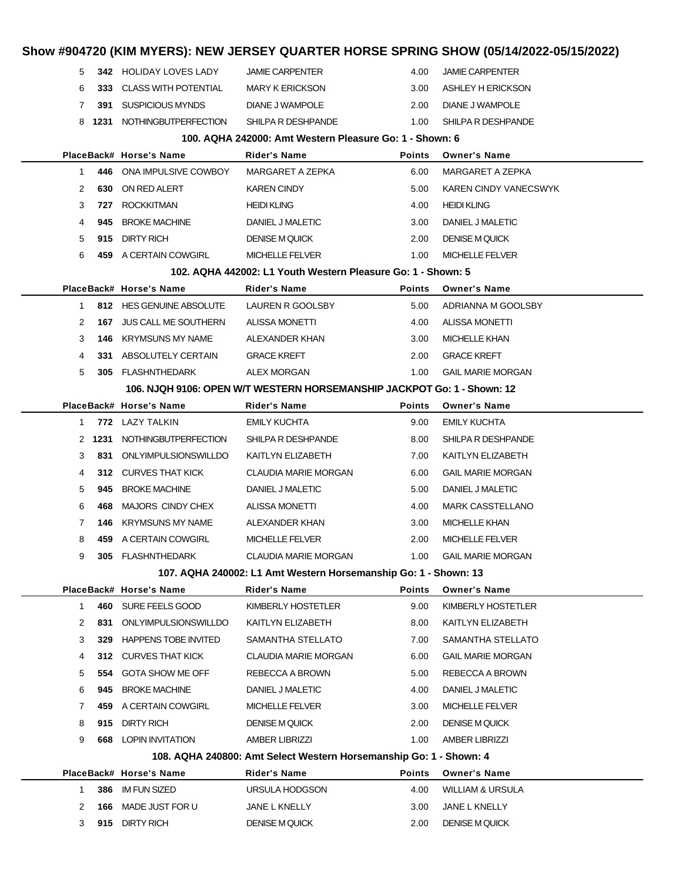| Show #904720 (KIM MYERS): NEW JERSEY QUARTER HORSE SPRING SHOW (05/14/2022-05/15/2022) |        |                                                |                                                                         |                       |                                           |  |
|----------------------------------------------------------------------------------------|--------|------------------------------------------------|-------------------------------------------------------------------------|-----------------------|-------------------------------------------|--|
| 5                                                                                      |        | <b>342 HOLIDAY LOVES LADY</b>                  | <b>JAMIE CARPENTER</b>                                                  | 4.00                  | <b>JAMIE CARPENTER</b>                    |  |
| 6                                                                                      | 333    | CLASS WITH POTENTIAL                           | <b>MARY K ERICKSON</b>                                                  | 3.00                  | ASHLEY H ERICKSON                         |  |
| 7                                                                                      | 391    | <b>SUSPICIOUS MYNDS</b>                        | DIANE J WAMPOLE                                                         | 2.00                  | DIANE J WAMPOLE                           |  |
|                                                                                        |        | 8 1231 NOTHINGBUTPERFECTION                    | SHILPA R DESHPANDE                                                      | 1.00                  | SHILPA R DESHPANDE                        |  |
|                                                                                        |        |                                                | 100. AQHA 242000: Amt Western Pleasure Go: 1 - Shown: 6                 |                       |                                           |  |
|                                                                                        |        | PlaceBack# Horse's Name                        | <b>Rider's Name</b>                                                     | <b>Points</b>         | <b>Owner's Name</b>                       |  |
| $\mathbf{1}$                                                                           |        | 446 ONA IMPULSIVE COWBOY                       | MARGARET A ZEPKA                                                        | 6.00                  | MARGARET A ZEPKA                          |  |
| 2                                                                                      | 630    | ON RED ALERT                                   | <b>KAREN CINDY</b>                                                      | 5.00                  | KAREN CINDY VANECSWYK                     |  |
| 3                                                                                      | 727    | <b>ROCKKITMAN</b>                              | <b>HEIDI KLING</b>                                                      | 4.00                  | <b>HEIDI KLING</b>                        |  |
| 4                                                                                      | 945    | <b>BROKE MACHINE</b>                           | DANIEL J MALETIC                                                        | 3.00                  | DANIEL J MALETIC                          |  |
| 5                                                                                      | 915    | DIRTY RICH                                     | <b>DENISE M QUICK</b>                                                   | 2.00                  | <b>DENISE M QUICK</b>                     |  |
| 6                                                                                      |        | 459 A CERTAIN COWGIRL                          | <b>MICHELLE FELVER</b>                                                  | 1.00                  | <b>MICHELLE FELVER</b>                    |  |
|                                                                                        |        |                                                | 102. AQHA 442002: L1 Youth Western Pleasure Go: 1 - Shown: 5            |                       |                                           |  |
|                                                                                        |        | PlaceBack# Horse's Name                        | <b>Rider's Name</b>                                                     | <b>Points</b>         | <b>Owner's Name</b>                       |  |
| $\mathbf{1}$                                                                           |        | 812 HES GENUINE ABSOLUTE                       | LAUREN R GOOLSBY                                                        | 5.00                  | ADRIANNA M GOOLSBY                        |  |
| 2                                                                                      | 167    | JUS CALL ME SOUTHERN                           | ALISSA MONETTI                                                          | 4.00                  | <b>ALISSA MONETTI</b>                     |  |
| 3                                                                                      | 146    | <b>KRYMSUNS MY NAME</b>                        | ALEXANDER KHAN                                                          | 3.00                  | <b>MICHELLE KHAN</b>                      |  |
| 4                                                                                      | 331    | ABSOLUTELY CERTAIN                             | <b>GRACE KREFT</b>                                                      | 2.00                  | <b>GRACE KREFT</b>                        |  |
| 5                                                                                      |        | 305 FLASHNTHEDARK                              | ALEX MORGAN                                                             | 1.00                  | <b>GAIL MARIE MORGAN</b>                  |  |
|                                                                                        |        |                                                | 106. NJQH 9106: OPEN W/T WESTERN HORSEMANSHIP JACKPOT Go: 1 - Shown: 12 |                       |                                           |  |
|                                                                                        |        | PlaceBack# Horse's Name                        | Rider's Name                                                            | <b>Points</b>         | <b>Owner's Name</b>                       |  |
| 1                                                                                      |        | 772 LAZY TALKIN                                | <b>EMILY KUCHTA</b>                                                     | 9.00                  | <b>EMILY KUCHTA</b>                       |  |
|                                                                                        | 2 1231 | NOTHINGBUTPERFECTION                           | SHILPA R DESHPANDE                                                      | 8.00                  | SHILPA R DESHPANDE                        |  |
| 3                                                                                      | 831    | ONLYIMPULSIONSWILLDO                           | KAITLYN ELIZABETH                                                       | 7.00                  | KAITLYN ELIZABETH                         |  |
| 4                                                                                      |        | 312 CURVES THAT KICK                           | CLAUDIA MARIE MORGAN                                                    | 6.00                  | <b>GAIL MARIE MORGAN</b>                  |  |
| 5                                                                                      | 945    | <b>BROKE MACHINE</b>                           | DANIEL J MALETIC                                                        | 5.00                  | DANIEL J MALETIC                          |  |
| 6                                                                                      | 468    | MAJORS CINDY CHEX                              | ALISSA MONETTI                                                          | 4.00                  | <b>MARK CASSTELLANO</b>                   |  |
| 7                                                                                      |        | <b>146 KRYMSUNS MY NAME</b>                    | ALEXANDER KHAN                                                          | 3.00                  | <b>MICHELLE KHAN</b>                      |  |
| 8                                                                                      |        | 459 A CERTAIN COWGIRL                          | <b>MICHELLE FELVER</b>                                                  | 2.00                  | <b>MICHELLE FELVER</b>                    |  |
| 9                                                                                      |        | 305 FLASHNTHEDARK                              | <b>CLAUDIA MARIE MORGAN</b>                                             | 1.00                  | <b>GAIL MARIE MORGAN</b>                  |  |
|                                                                                        |        |                                                | 107. AQHA 240002: L1 Amt Western Horsemanship Go: 1 - Shown: 13         |                       |                                           |  |
|                                                                                        |        | PlaceBack# Horse's Name<br>460 SURE FEELS GOOD | <b>Rider's Name</b>                                                     | <b>Points</b><br>9.00 | <b>Owner's Name</b><br>KIMBERLY HOSTETLER |  |
| $\mathbf{1}$                                                                           | 831    | ONLYIMPULSIONSWILLDO                           | KIMBERLY HOSTETLER                                                      |                       |                                           |  |
| 2<br>3                                                                                 | 329    | <b>HAPPENS TOBE INVITED</b>                    | KAITLYN ELIZABETH<br>SAMANTHA STELLATO                                  | 8.00<br>7.00          | KAITLYN ELIZABETH<br>SAMANTHA STELLATO    |  |
| 4                                                                                      |        | 312 CURVES THAT KICK                           | <b>CLAUDIA MARIE MORGAN</b>                                             | 6.00                  | <b>GAIL MARIE MORGAN</b>                  |  |
| 5                                                                                      | 554    | GOTA SHOW ME OFF                               | REBECCA A BROWN                                                         | 5.00                  | REBECCA A BROWN                           |  |
| 6                                                                                      | 945    | <b>BROKE MACHINE</b>                           | DANIEL J MALETIC                                                        | 4.00                  | DANIEL J MALETIC                          |  |
| 7                                                                                      | 459    | A CERTAIN COWGIRL                              | <b>MICHELLE FELVER</b>                                                  | 3.00                  | <b>MICHELLE FELVER</b>                    |  |
| 8                                                                                      | 915    | <b>DIRTY RICH</b>                              | <b>DENISE M QUICK</b>                                                   | 2.00                  | <b>DENISE M QUICK</b>                     |  |
| 9                                                                                      |        | <b>668 LOPIN INVITATION</b>                    | AMBER LIBRIZZI                                                          | 1.00                  | <b>AMBER LIBRIZZI</b>                     |  |
|                                                                                        |        |                                                | 108. AQHA 240800: Amt Select Western Horsemanship Go: 1 - Shown: 4      |                       |                                           |  |
|                                                                                        |        | PlaceBack# Horse's Name                        | <b>Rider's Name</b>                                                     | Points                | <b>Owner's Name</b>                       |  |
| $\mathbf{1}$                                                                           | 386    | IM FUN SIZED                                   | URSULA HODGSON                                                          | 4.00                  | <b>WILLIAM &amp; URSULA</b>               |  |
| 2                                                                                      | 166    | MADE JUST FOR U                                | JANE L KNELLY                                                           | 3.00                  | JANE L KNELLY                             |  |
| 3                                                                                      |        | 915 DIRTY RICH                                 | <b>DENISE M QUICK</b>                                                   | 2.00                  | <b>DENISE M QUICK</b>                     |  |
|                                                                                        |        |                                                |                                                                         |                       |                                           |  |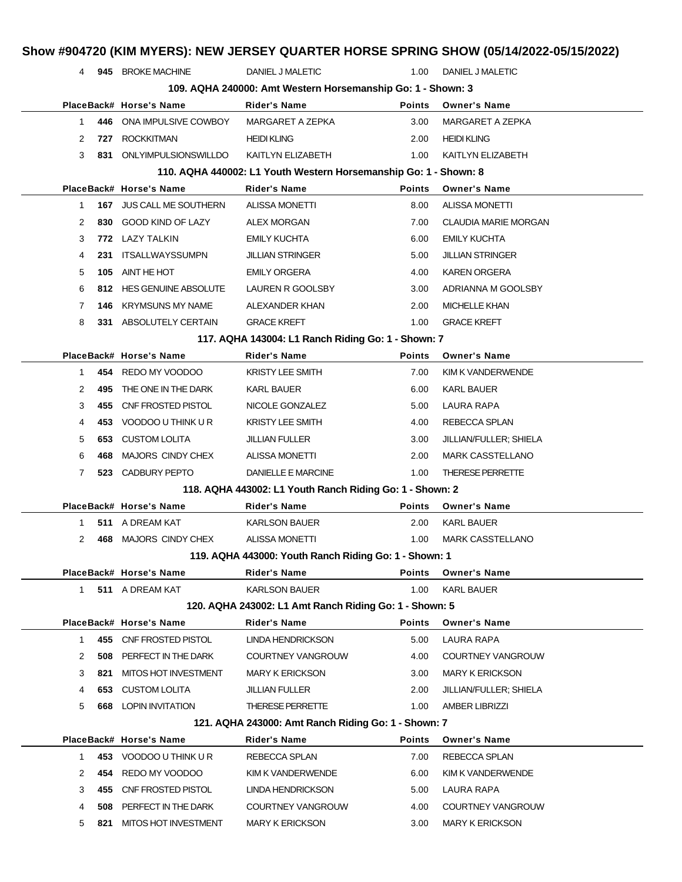|                                                       |            | 4 945 BROKE MACHINE                                              | DANIEL J MALETIC                                                              | 1.00          | DANIEL J MALETIC                |
|-------------------------------------------------------|------------|------------------------------------------------------------------|-------------------------------------------------------------------------------|---------------|---------------------------------|
|                                                       |            |                                                                  | 109. AQHA 240000: Amt Western Horsemanship Go: 1 - Shown: 3                   |               |                                 |
|                                                       |            | PlaceBack# Horse's Name                                          | <b>Rider's Name</b>                                                           | <b>Points</b> | <b>Owner's Name</b>             |
| 1                                                     |            | 446 ONA IMPULSIVE COWBOY                                         | MARGARET A ZEPKA                                                              | 3.00          | MARGARET A ZEPKA                |
| 2                                                     | 727        | <b>ROCKKITMAN</b>                                                | <b>HEIDI KLING</b>                                                            | 2.00          | <b>HEIDI KLING</b>              |
| 3                                                     |            | 831 ONLYIMPULSIONSWILLDO                                         | KAITLYN ELIZABETH                                                             | 1.00          | KAITLYN ELIZABETH               |
|                                                       |            | 110. AQHA 440002: L1 Youth Western Horsemanship Go: 1 - Shown: 8 |                                                                               |               |                                 |
|                                                       |            | PlaceBack# Horse's Name                                          | Rider's Name                                                                  | <b>Points</b> | <b>Owner's Name</b>             |
| 1                                                     |            | 167 JUS CALL ME SOUTHERN                                         | <b>ALISSA MONETTI</b>                                                         | 8.00          | <b>ALISSA MONETTI</b>           |
| 2                                                     |            | 830 GOOD KIND OF LAZY                                            | ALEX MORGAN                                                                   | 7.00          | <b>CLAUDIA MARIE MORGAN</b>     |
| 3                                                     |            | 772 LAZY TALKIN                                                  | <b>EMILY KUCHTA</b>                                                           | 6.00          | <b>EMILY KUCHTA</b>             |
| 4                                                     | 231        | ITSALLWAYSSUMPN                                                  | <b>JILLIAN STRINGER</b>                                                       | 5.00          | <b>JILLIAN STRINGER</b>         |
| 5                                                     | 105        | AINT HE HOT                                                      | <b>EMILY ORGERA</b>                                                           | 4.00          | <b>KAREN ORGERA</b>             |
| 6                                                     | 812.       | <b>HES GENUINE ABSOLUTE</b>                                      | LAUREN R GOOLSBY                                                              | 3.00          | ADRIANNA M GOOLSBY              |
| 7                                                     | 146        | KRYMSUNS MY NAME                                                 | <b>ALEXANDER KHAN</b>                                                         | 2.00          | <b>MICHELLE KHAN</b>            |
| 8                                                     |            | 331 ABSOLUTELY CERTAIN                                           | <b>GRACE KREFT</b>                                                            | 1.00          | <b>GRACE KREFT</b>              |
|                                                       |            |                                                                  | 117. AQHA 143004: L1 Ranch Riding Go: 1 - Shown: 7                            |               |                                 |
|                                                       |            | PlaceBack# Horse's Name                                          | Rider's Name                                                                  | <b>Points</b> | <b>Owner's Name</b>             |
| 1                                                     | 454        | REDO MY VOODOO                                                   | <b>KRISTY LEE SMITH</b>                                                       | 7.00          | KIM K VANDERWENDE               |
| 2                                                     | 495        | THE ONE IN THE DARK                                              | KARL BAUER                                                                    | 6.00          | KARL BAUER                      |
| 3                                                     | 455        | CNF FROSTED PISTOL                                               | NICOLE GONZALEZ                                                               | 5.00          | LAURA RAPA                      |
| 4                                                     | 453        | VOODOO U THINK U R                                               | <b>KRISTY LEE SMITH</b>                                                       | 4.00          | REBECCA SPLAN                   |
| 5                                                     |            | <b>653 CUSTOM LOLITA</b>                                         | <b>JILLIAN FULLER</b>                                                         | 3.00          | JILLIAN/FULLER; SHIELA          |
| 6                                                     | 468        | <b>MAJORS CINDY CHEX</b>                                         | <b>ALISSA MONETTI</b>                                                         | 2.00          | <b>MARK CASSTELLANO</b>         |
| $\overline{7}$                                        |            | 523 CADBURY PEPTO                                                | DANIELLE E MARCINE                                                            | 1.00          | THERESE PERRETTE                |
|                                                       |            |                                                                  | 118. AQHA 443002: L1 Youth Ranch Riding Go: 1 - Shown: 2                      |               |                                 |
|                                                       |            | PlaceBack# Horse's Name                                          | <b>Rider's Name</b>                                                           | <b>Points</b> | <b>Owner's Name</b>             |
| 1                                                     |            | 511 A DREAM KAT                                                  | <b>KARLSON BAUER</b>                                                          | 2.00          | KARL BAUER                      |
| 2                                                     |            | 468 MAJORS CINDY CHEX                                            | <b>ALISSA MONETTI</b>                                                         | 1.00          | <b>MARK CASSTELLANO</b>         |
| 119. AQHA 443000: Youth Ranch Riding Go: 1 - Shown: 1 |            |                                                                  |                                                                               |               |                                 |
|                                                       |            |                                                                  |                                                                               |               |                                 |
|                                                       |            |                                                                  |                                                                               |               |                                 |
|                                                       |            | PlaceBack# Horse's Name                                          | <b>Rider's Name</b>                                                           | <b>Points</b> | <b>Owner's Name</b>             |
| 1                                                     |            | 511 A DREAM KAT                                                  | <b>KARLSON BAUER</b>                                                          | 1.00          | <b>KARL BAUER</b>               |
|                                                       |            | PlaceBack# Horse's Name                                          | 120. AQHA 243002: L1 Amt Ranch Riding Go: 1 - Shown: 5<br><b>Rider's Name</b> | <b>Points</b> | <b>Owner's Name</b>             |
| $\mathbf{1}$                                          |            | 455 CNF FROSTED PISTOL                                           | <b>LINDA HENDRICKSON</b>                                                      | 5.00          | <b>LAURA RAPA</b>               |
| 2                                                     | 508        | PERFECT IN THE DARK                                              | <b>COURTNEY VANGROUW</b>                                                      | 4.00          | COURTNEY VANGROUW               |
| 3                                                     | 821        | <b>MITOS HOT INVESTMENT</b>                                      | <b>MARY K ERICKSON</b>                                                        | 3.00          | <b>MARY K ERICKSON</b>          |
| 4                                                     | 653        | <b>CUSTOM LOLITA</b>                                             |                                                                               |               |                                 |
|                                                       |            |                                                                  | JILLIAN FULLER                                                                | 2.00          | JILLIAN/FULLER; SHIELA          |
| 5                                                     | 668        | LOPIN INVITATION                                                 | <b>THERESE PERRETTE</b>                                                       | 1.00          | <b>AMBER LIBRIZZI</b>           |
|                                                       |            |                                                                  | 121. AQHA 243000: Amt Ranch Riding Go: 1 - Shown: 7                           |               |                                 |
|                                                       |            | PlaceBack# Horse's Name                                          | <b>Rider's Name</b>                                                           | <b>Points</b> | <b>Owner's Name</b>             |
| 1                                                     |            | 453 VOODOO U THINK U R                                           | REBECCA SPLAN                                                                 | 7.00          | REBECCA SPLAN                   |
| 2                                                     | 454        | REDO MY VOODOO                                                   | KIM K VANDERWENDE                                                             | 6.00          | KIM K VANDERWENDE               |
| 3<br>4                                                | 455<br>508 | CNF FROSTED PISTOL<br>PERFECT IN THE DARK                        | LINDA HENDRICKSON<br>COURTNEY VANGROUW                                        | 5.00<br>4.00  | LAURA RAPA<br>COURTNEY VANGROUW |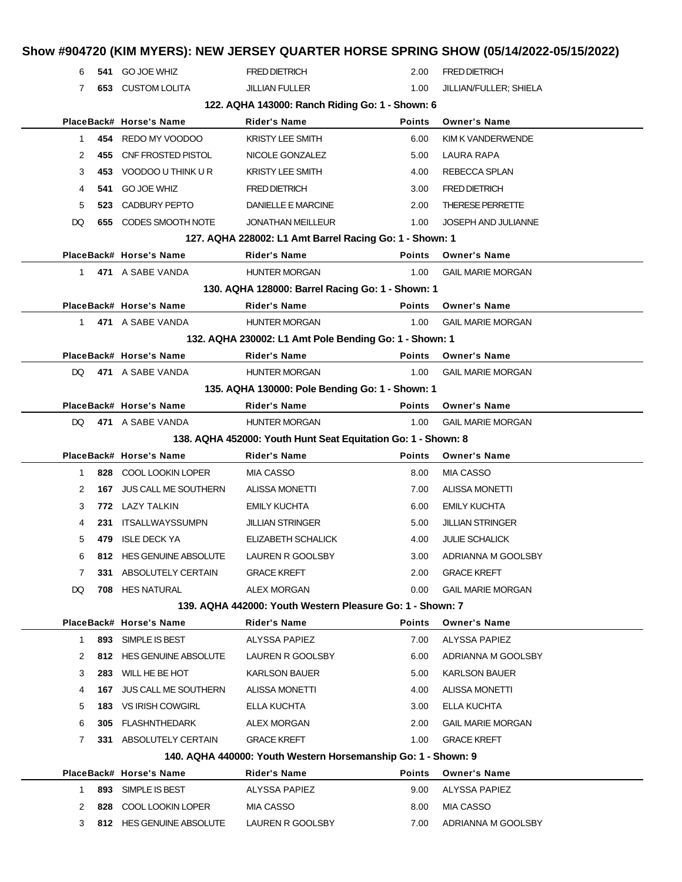| 6         | 541 | <b>GO JOE WHIZ</b>       | <b>FRED DIETRICH</b>                                          | 2.00          | <b>FRED DIETRICH</b>       |
|-----------|-----|--------------------------|---------------------------------------------------------------|---------------|----------------------------|
| 7         |     | <b>653 CUSTOM LOLITA</b> | <b>JILLIAN FULLER</b>                                         | 1.00          | JILLIAN/FULLER; SHIELA     |
|           |     |                          | 122. AQHA 143000: Ranch Riding Go: 1 - Shown: 6               |               |                            |
|           |     | PlaceBack# Horse's Name  | <b>Rider's Name</b>                                           | <b>Points</b> | <b>Owner's Name</b>        |
| 1.        |     | 454 REDO MY VOODOO       | <b>KRISTY LEE SMITH</b>                                       | 6.00          | KIM K VANDERWENDE          |
| 2         | 455 | CNF FROSTED PISTOL       | NICOLE GONZALEZ                                               | 5.00          | LAURA RAPA                 |
| 3         | 453 | VOODOO U THINK U R       | <b>KRISTY LEE SMITH</b>                                       | 4.00          | REBECCA SPLAN              |
| 4         | 541 | <b>GO JOE WHIZ</b>       | <b>FRED DIETRICH</b>                                          | 3.00          | <b>FRED DIETRICH</b>       |
| 5         |     | 523 CADBURY PEPTO        | DANIELLE E MARCINE                                            | 2.00          | <b>THERESE PERRETTE</b>    |
| DQ        |     | 655 CODES SMOOTH NOTE    | <b>JONATHAN MEILLEUR</b>                                      | 1.00          | <b>JOSEPH AND JULIANNE</b> |
|           |     |                          | 127. AQHA 228002: L1 Amt Barrel Racing Go: 1 - Shown: 1       |               |                            |
|           |     | PlaceBack# Horse's Name  | <b>Rider's Name</b>                                           | <b>Points</b> | <b>Owner's Name</b>        |
| $1 \quad$ |     | 471 A SABE VANDA         | <b>HUNTER MORGAN</b>                                          | 1.00          | <b>GAIL MARIE MORGAN</b>   |
|           |     |                          | 130. AQHA 128000: Barrel Racing Go: 1 - Shown: 1              |               |                            |
|           |     | PlaceBack# Horse's Name  | <b>Rider's Name</b>                                           | <b>Points</b> | <b>Owner's Name</b>        |
| 1.        |     | 471 A SABE VANDA         | <b>HUNTER MORGAN</b>                                          | 1.00          | <b>GAIL MARIE MORGAN</b>   |
|           |     |                          | 132. AQHA 230002: L1 Amt Pole Bending Go: 1 - Shown: 1        |               |                            |
|           |     | PlaceBack# Horse's Name  | <b>Rider's Name</b>                                           | <b>Points</b> | <b>Owner's Name</b>        |
| DQ.       |     | 471 A SABE VANDA         | <b>HUNTER MORGAN</b>                                          | 1.00          | <b>GAIL MARIE MORGAN</b>   |
|           |     |                          | 135. AQHA 130000: Pole Bending Go: 1 - Shown: 1               |               |                            |
|           |     | PlaceBack# Horse's Name  | <b>Rider's Name</b>                                           | <b>Points</b> | <b>Owner's Name</b>        |
| DQ.       |     | 471 A SABE VANDA         | <b>HUNTER MORGAN</b>                                          | 1.00          | <b>GAIL MARIE MORGAN</b>   |
|           |     |                          | 138. AQHA 452000: Youth Hunt Seat Equitation Go: 1 - Shown: 8 |               |                            |
|           |     | PlaceBack# Horse's Name  | <b>Rider's Name</b>                                           | <b>Points</b> | <b>Owner's Name</b>        |
| 1.        |     | 828 COOL LOOKIN LOPER    | <b>MIA CASSO</b>                                              | 8.00          | <b>MIA CASSO</b>           |
| 2         | 167 | JUS CALL ME SOUTHERN     | <b>ALISSA MONETTI</b>                                         | 7.00          | <b>ALISSA MONETTI</b>      |
| 3         |     | 772 LAZY TALKIN          | <b>EMILY KUCHTA</b>                                           | 6.00          | <b>EMILY KUCHTA</b>        |
| 4         | 231 | ITSALLWAYSSUMPN          | <b>JILLIAN STRINGER</b>                                       | 5.00          | <b>JILLIAN STRINGER</b>    |
| 5         | 479 | <b>ISLE DECK YA</b>      | ELIZABETH SCHALICK                                            | 4.00          | <b>JULIE SCHALICK</b>      |
| 6         |     | 812 HES GENUINE ABSOLUTE | LAUREN R GOOLSBY                                              | 3.00          | ADRIANNA M GOOLSBY         |
| 7         | 331 | ABSOLUTELY CERTAIN       | <b>GRACE KREFT</b>                                            | 2.00          | <b>GRACE KREFT</b>         |
| DQ        |     | <b>708 HES NATURAL</b>   | ALEX MORGAN                                                   | 0.00          | <b>GAIL MARIE MORGAN</b>   |
|           |     |                          | 139. AQHA 442000: Youth Western Pleasure Go: 1 - Shown: 7     |               |                            |
|           |     | PlaceBack# Horse's Name  | <b>Rider's Name</b>                                           | <b>Points</b> | <b>Owner's Name</b>        |
| 1.        |     | 893 SIMPLE IS BEST       | ALYSSA PAPIEZ                                                 | 7.00          | ALYSSA PAPIEZ              |
| 2         |     | 812 HES GENUINE ABSOLUTE | LAUREN R GOOLSBY                                              | 6.00          | ADRIANNA M GOOLSBY         |
| 3         | 283 | WILL HE BE HOT           | <b>KARLSON BAUER</b>                                          | 5.00          | <b>KARLSON BAUER</b>       |
| 4         |     | 167 JUS CALL ME SOUTHERN | <b>ALISSA MONETTI</b>                                         | 4.00          | ALISSA MONETTI             |
| 5         |     | 183 VS IRISH COWGIRL     | ELLA KUCHTA                                                   | 3.00          | ELLA KUCHTA                |
| 6         | 305 | FLASHNTHEDARK            | ALEX MORGAN                                                   | 2.00          | <b>GAIL MARIE MORGAN</b>   |
| 7         |     | 331 ABSOLUTELY CERTAIN   | <b>GRACE KREFT</b>                                            | 1.00          | <b>GRACE KREFT</b>         |
|           |     |                          | 140. AQHA 440000: Youth Western Horsemanship Go: 1 - Shown: 9 |               |                            |
|           |     | PlaceBack# Horse's Name  | Rider's Name                                                  | <b>Points</b> | <b>Owner's Name</b>        |
| 1.        |     | 893 SIMPLE IS BEST       | ALYSSA PAPIEZ                                                 | 9.00          | <b>ALYSSA PAPIEZ</b>       |
| 2         | 828 | COOL LOOKIN LOPER        | MIA CASSO                                                     | 8.00          | MIA CASSO                  |
| 3         |     | 812 HES GENUINE ABSOLUTE | LAUREN R GOOLSBY                                              | 7.00          | ADRIANNA M GOOLSBY         |
|           |     |                          |                                                               |               |                            |